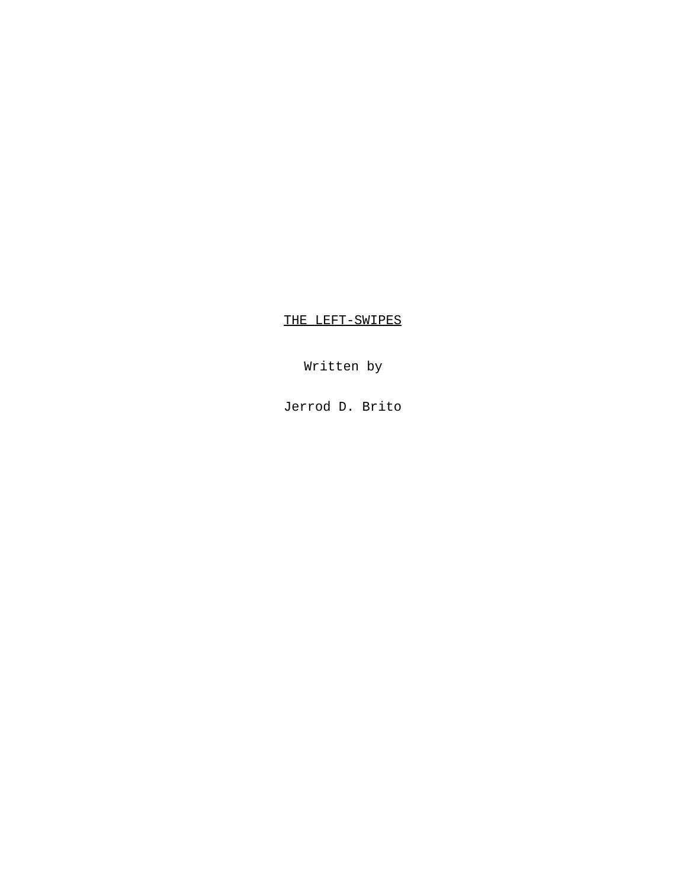THE LEFT-SWIPES

Written by

Jerrod D. Brito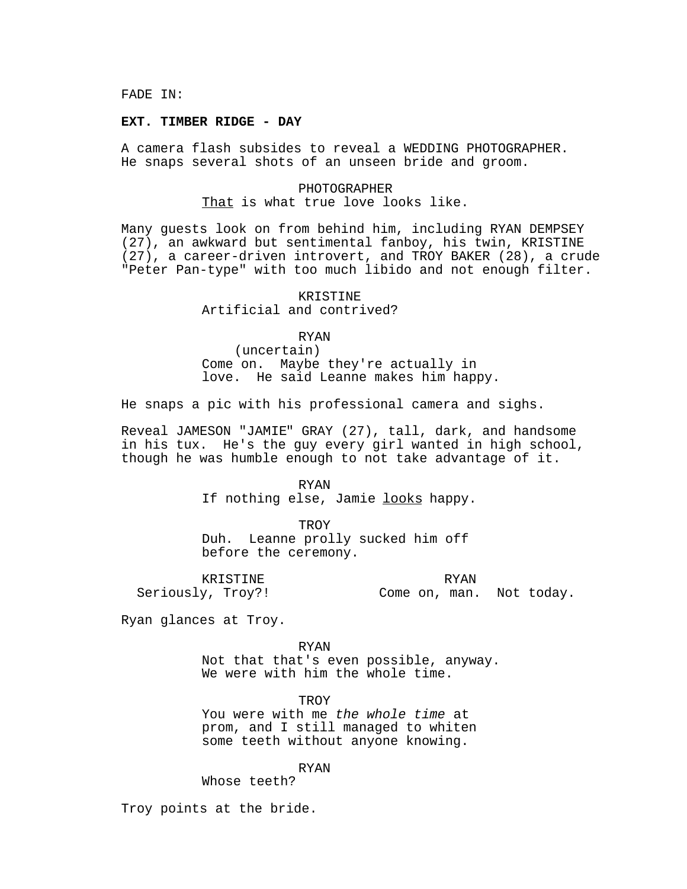FADE IN:

#### **EXT. TIMBER RIDGE - DAY**

A camera flash subsides to reveal a WEDDING PHOTOGRAPHER. He snaps several shots of an unseen bride and groom.

# PHOTOGRAPHER That is what true love looks like.

Many guests look on from behind him, including RYAN DEMPSEY (27), an awkward but sentimental fanboy, his twin, KRISTINE (27), a career-driven introvert, and TROY BAKER (28), a crude "Peter Pan-type" with too much libido and not enough filter.

> KRISTINE Artificial and contrived?

> > RYAN

(uncertain) Come on. Maybe they're actually in love. He said Leanne makes him happy.

He snaps a pic with his professional camera and sighs.

Reveal JAMESON "JAMIE" GRAY (27), tall, dark, and handsome in his tux. He's the guy every girl wanted in high school, though he was humble enough to not take advantage of it.

> RYAN If nothing else, Jamie looks happy.

**TROY** Duh. Leanne prolly sucked him off before the ceremony.

KRISTINE Seriously, Troy?!

RYAN Come on, man. Not today.

Ryan glances at Troy.

RYAN

Not that that's even possible, anyway. We were with him the whole time.

**TROY** 

You were with me the whole time at prom, and I still managed to whiten some teeth without anyone knowing.

RYAN

Whose teeth?

Troy points at the bride.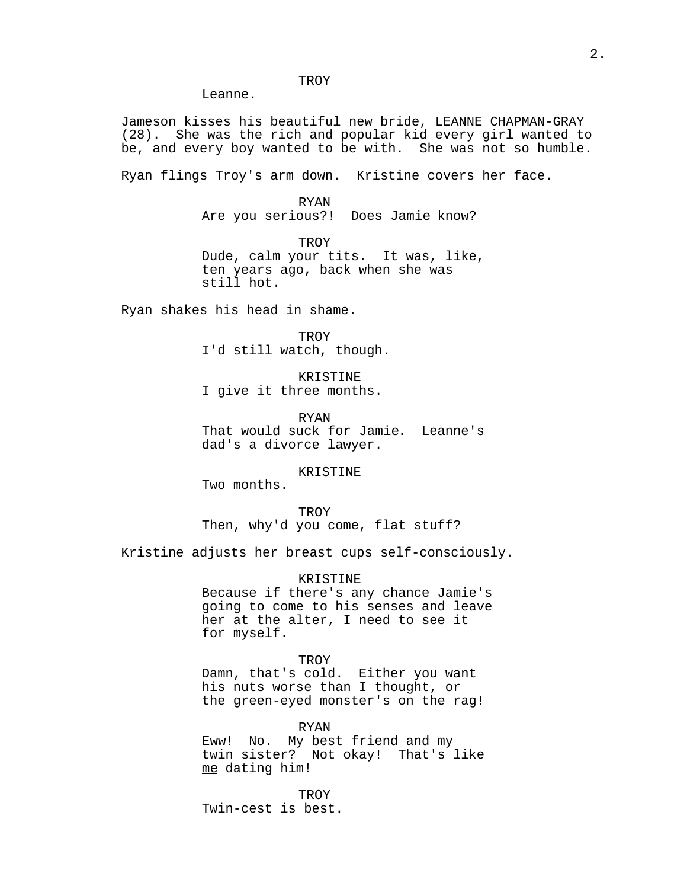TROY

Jameson kisses his beautiful new bride, LEANNE CHAPMAN-GRAY (28). She was the rich and popular kid every girl wanted to be, and every boy wanted to be with. She was not so humble.

Ryan flings Troy's arm down. Kristine covers her face.

RYAN Are you serious?! Does Jamie know?

**TROY** Dude, calm your tits. It was, like, ten years ago, back when she was still hot.

Ryan shakes his head in shame.

Leanne.

**TROY** I'd still watch, though.

KRISTINE I give it three months.

RYAN That would suck for Jamie. Leanne's dad's a divorce lawyer.

KRISTINE

Two months.

**TROY** Then, why'd you come, flat stuff?

Kristine adjusts her breast cups self-consciously.

KRISTINE Because if there's any chance Jamie's going to come to his senses and leave her at the alter, I need to see it for myself.

TROY Damn, that's cold. Either you want his nuts worse than I thought, or the green-eyed monster's on the rag!

RYAN Eww! No. My best friend and my twin sister? Not okay! That's like me dating him!

**TROY** Twin-cest is best.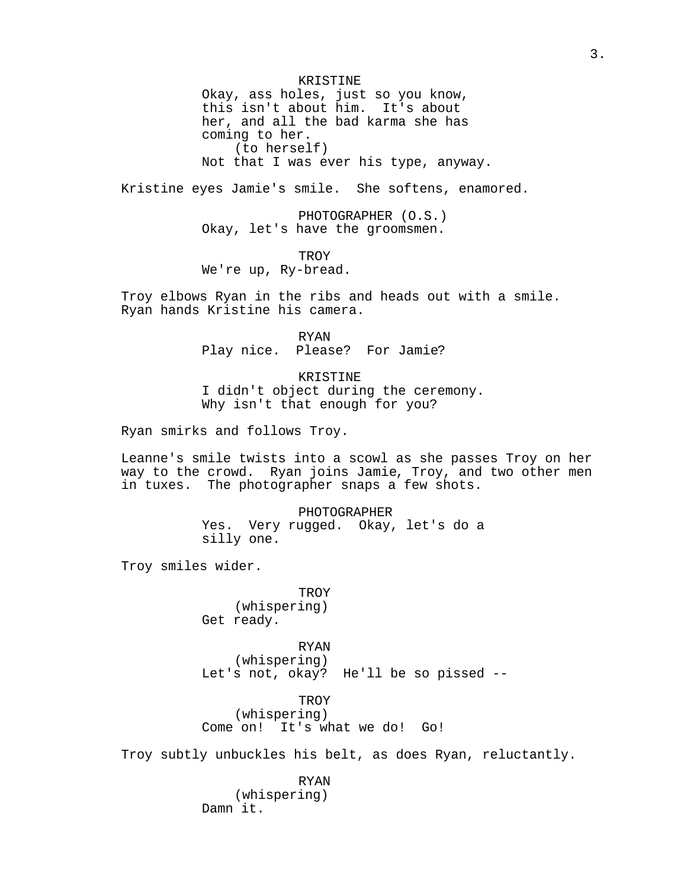KRISTINE Okay, ass holes, just so you know, this isn't about him. It's about her, and all the bad karma she has coming to her. (to herself) Not that I was ever his type, anyway.

Kristine eyes Jamie's smile. She softens, enamored.

PHOTOGRAPHER (O.S.) Okay, let's have the groomsmen.

**TROY** 

We're up, Ry-bread.

Troy elbows Ryan in the ribs and heads out with a smile. Ryan hands Kristine his camera.

> RYAN Play nice. Please? For Jamie?

KRISTINE I didn't object during the ceremony. Why isn't that enough for you?

Ryan smirks and follows Troy.

Leanne's smile twists into a scowl as she passes Troy on her way to the crowd. Ryan joins Jamie, Troy, and two other men in tuxes. The photographer snaps a few shots.

> PHOTOGRAPHER Yes. Very rugged. Okay, let's do a silly one.

Troy smiles wider.

**TROY** (whispering) Get ready.

RYAN (whispering) Let's not, okay? He'll be so pissed --

**TROY** (whispering) Come on! It's what we do! Go!

Troy subtly unbuckles his belt, as does Ryan, reluctantly.

RYAN (whispering) Damn it.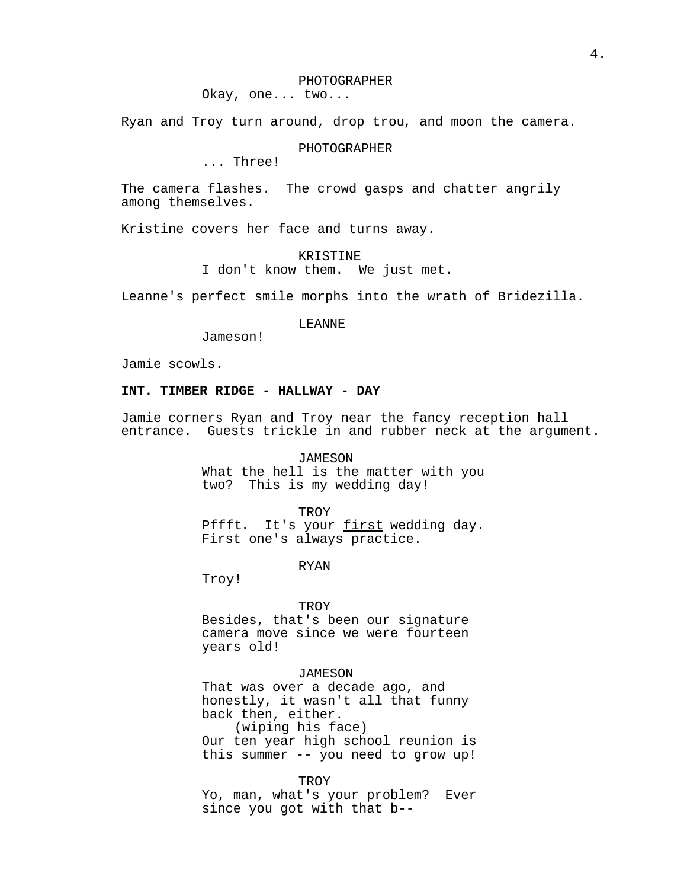Okay, one... two...

Ryan and Troy turn around, drop trou, and moon the camera.

# PHOTOGRAPHER

... Three!

The camera flashes. The crowd gasps and chatter angrily among themselves.

Kristine covers her face and turns away.

KRISTINE

I don't know them. We just met.

Leanne's perfect smile morphs into the wrath of Bridezilla.

# LEANNE

Jameson!

Jamie scowls.

# **INT. TIMBER RIDGE - HALLWAY - DAY**

Jamie corners Ryan and Troy near the fancy reception hall entrance. Guests trickle in and rubber neck at the argument.

> JAMESON What the hell is the matter with you two? This is my wedding day!

> > **TROY**

Pffft. It's your first wedding day. First one's always practice.

RYAN

Troy!

#### TROY

Besides, that's been our signature camera move since we were fourteen years old!

# JAMESON

That was over a decade ago, and honestly, it wasn't all that funny back then, either. (wiping his face)

Our ten year high school reunion is this summer -- you need to grow up!

TROY

Yo, man, what's your problem? Ever since you got with that b--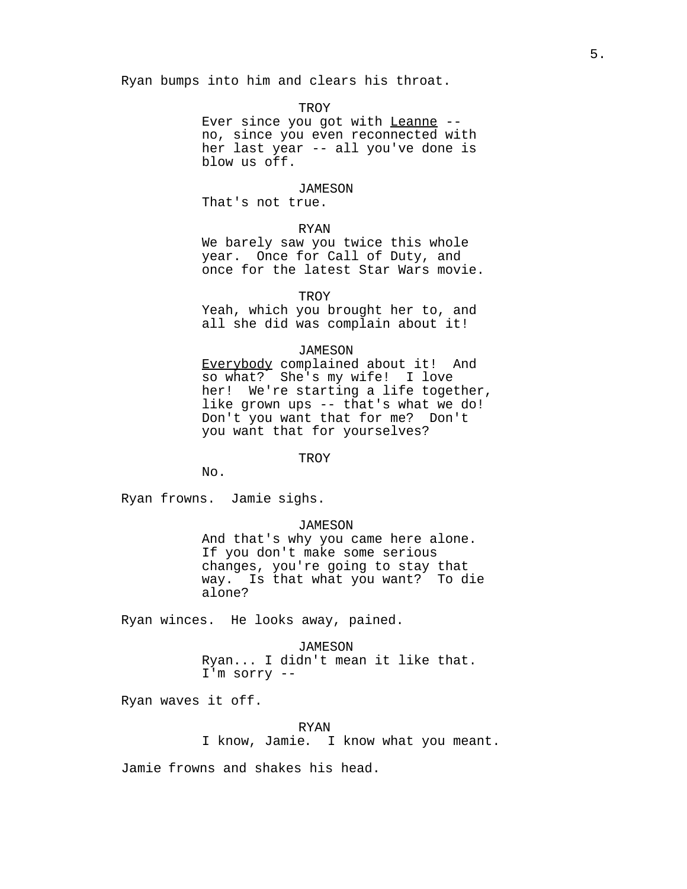Ryan bumps into him and clears his throat.

### **TROY**

Ever since you got with Leanne - no, since you even reconnected with her last year -- all you've done is blow us off.

#### JAMESON

That's not true.

# RYAN

We barely saw you twice this whole year. Once for Call of Duty, and once for the latest Star Wars movie.

**TROY** 

Yeah, which you brought her to, and all she did was complain about it!

#### JAMESON

Everybody complained about it! And so what? She's my wife! I love her! We're starting a life together, like grown ups -- that's what we do! Don't you want that for me? Don't you want that for yourselves?

#### TROY

 $N_{\Omega}$ .

Ryan frowns. Jamie sighs.

# JAMESON

And that's why you came here alone. If you don't make some serious changes, you're going to stay that way. Is that what you want? To die alone?

Ryan winces. He looks away, pained.

# JAMESON

Ryan... I didn't mean it like that. I'm sorry --

Ryan waves it off.

# RYAN

I know, Jamie. I know what you meant.

Jamie frowns and shakes his head.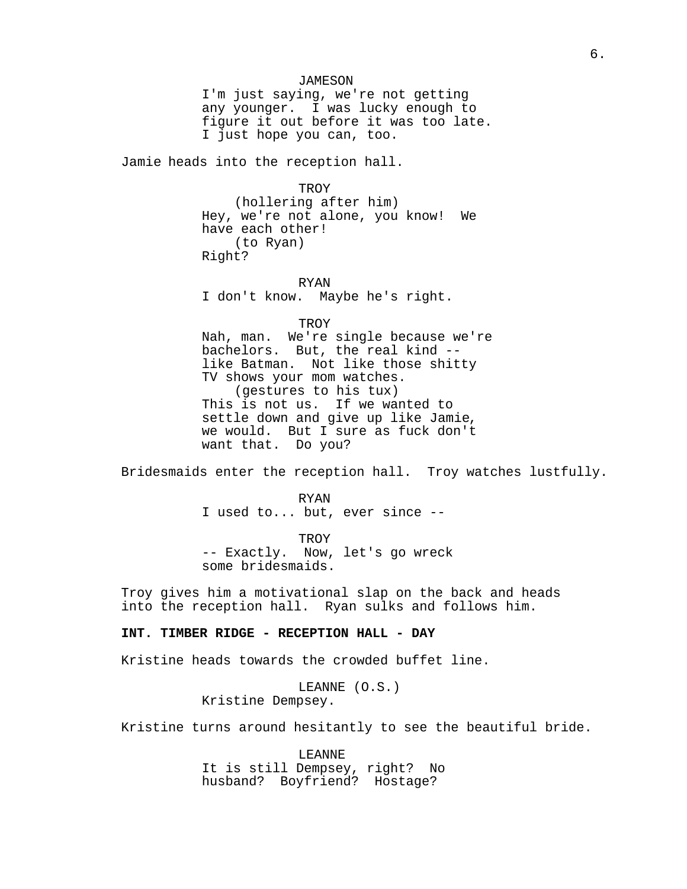# JAMESON

I'm just saying, we're not getting any younger. I was lucky enough to figure it out before it was too late. I just hope you can, too.

Jamie heads into the reception hall.

**TROY** 

(hollering after him) Hey, we're not alone, you know! We have each other! (to Ryan) Right?

RYAN I don't know. Maybe he's right.

TROY

Nah, man. We're single because we're bachelors. But, the real kind - like Batman. Not like those shitty TV shows your mom watches. (gestures to his tux) This is not us. If we wanted to settle down and give up like Jamie, we would. But I sure as fuck don't want that. Do you?

Bridesmaids enter the reception hall. Troy watches lustfully.

RYAN I used to... but, ever since --

TROY -- Exactly. Now, let's go wreck some bridesmaids.

Troy gives him a motivational slap on the back and heads into the reception hall. Ryan sulks and follows him.

# **INT. TIMBER RIDGE - RECEPTION HALL - DAY**

Kristine heads towards the crowded buffet line.

LEANNE (O.S.) Kristine Dempsey.

Kristine turns around hesitantly to see the beautiful bride.

LEANNE It is still Dempsey, right? No husband? Boyfriend? Hostage?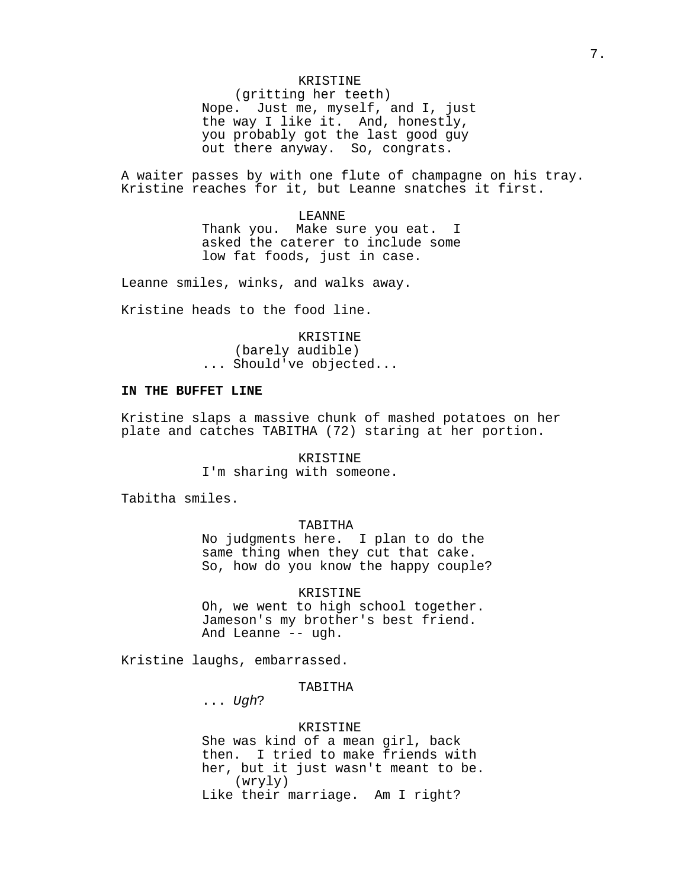# KRISTINE

(gritting her teeth) Nope. Just me, myself, and I, just the way I like it. And, honestly, you probably got the last good guy out there anyway. So, congrats.

A waiter passes by with one flute of champagne on his tray. Kristine reaches for it, but Leanne snatches it first.

### LEANNE

Thank you. Make sure you eat. I asked the caterer to include some low fat foods, just in case.

Leanne smiles, winks, and walks away.

Kristine heads to the food line.

KRISTINE (barely audible) ... Should've objected...

# **IN THE BUFFET LINE**

Kristine slaps a massive chunk of mashed potatoes on her plate and catches TABITHA (72) staring at her portion.

# KRISTINE

I'm sharing with someone.

Tabitha smiles.

# TABITHA

No judgments here. I plan to do the same thing when they cut that cake. So, how do you know the happy couple?

### KRISTINE

Oh, we went to high school together. Jameson's my brother's best friend. And Leanne -- ugh.

Kristine laughs, embarrassed.

### TABITHA

... Ugh?

# KRISTINE

She was kind of a mean girl, back then. I tried to make friends with her, but it just wasn't meant to be. (wryly) Like their marriage. Am I right?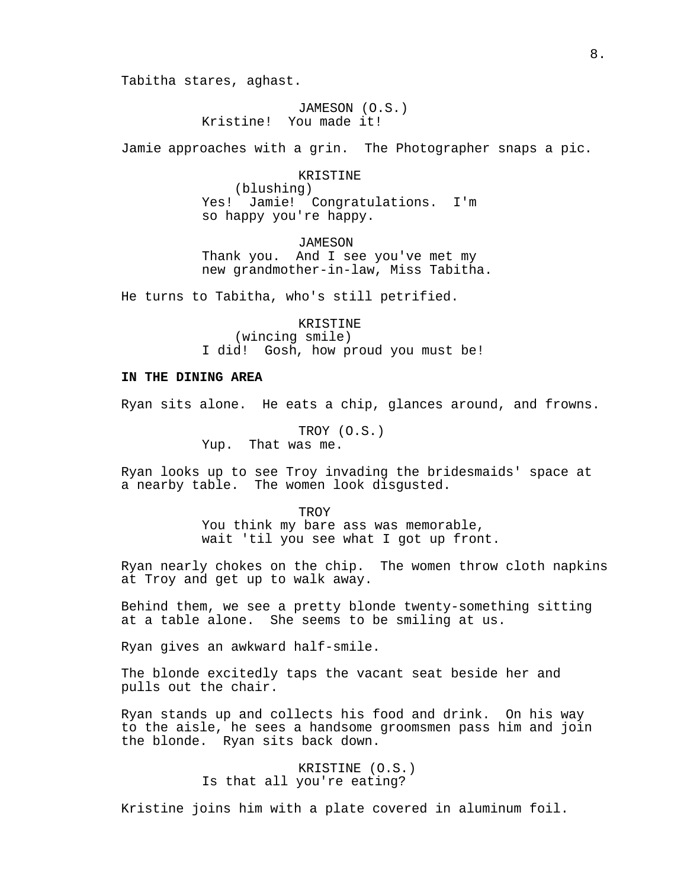Tabitha stares, aghast.

JAMESON (O.S.) Kristine! You made it!

Jamie approaches with a grin. The Photographer snaps a pic.

#### KRISTINE

(blushing) Yes! Jamie! Congratulations. I'm so happy you're happy.

JAMESON Thank you. And I see you've met my new grandmother-in-law, Miss Tabitha.

He turns to Tabitha, who's still petrified.

KRISTINE (wincing smile) I did! Gosh, how proud you must be!

# **IN THE DINING AREA**

Ryan sits alone. He eats a chip, glances around, and frowns.

TROY (O.S.) Yup. That was me.

Ryan looks up to see Troy invading the bridesmaids' space at a nearby table. The women look disgusted.

TROY

You think my bare ass was memorable, wait 'til you see what I got up front.

Ryan nearly chokes on the chip. The women throw cloth napkins at Troy and get up to walk away.

Behind them, we see a pretty blonde twenty-something sitting at a table alone. She seems to be smiling at us.

Ryan gives an awkward half-smile.

The blonde excitedly taps the vacant seat beside her and pulls out the chair.

Ryan stands up and collects his food and drink. On his way to the aisle, he sees a handsome groomsmen pass him and join the blonde. Ryan sits back down.

> KRISTINE (O.S.) Is that all you're eating?

Kristine joins him with a plate covered in aluminum foil.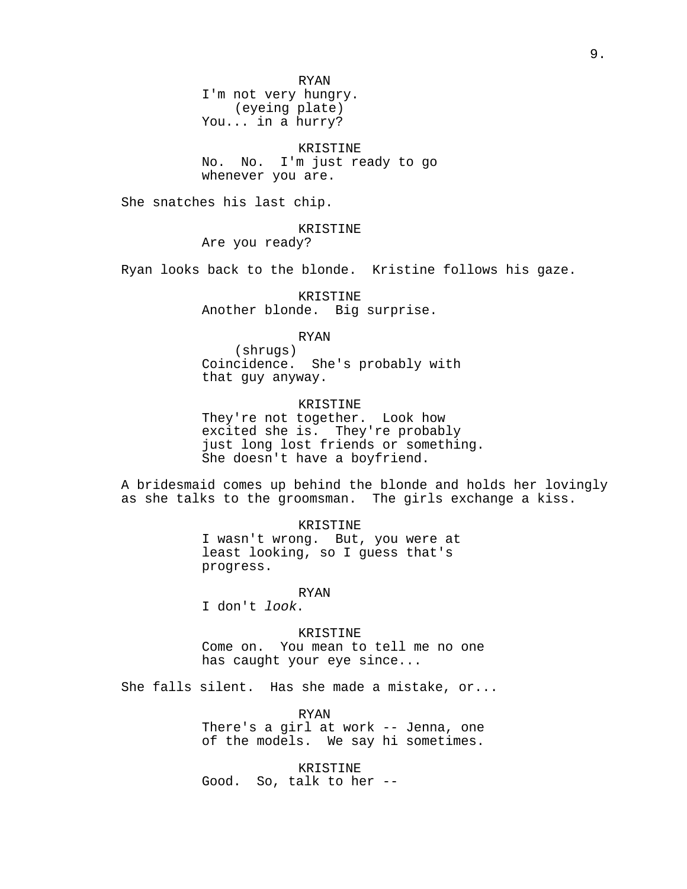RYAN I'm not very hungry. (eyeing plate) You... in a hurry?

KRISTINE No. No. I'm just ready to go whenever you are.

She snatches his last chip.

# KRISTINE

Are you ready?

Ryan looks back to the blonde. Kristine follows his gaze.

KRISTINE Another blonde. Big surprise.

# RYAN

(shrugs) Coincidence. She's probably with that guy anyway.

# KRISTINE

They're not together. Look how excited she is. They're probably just long lost friends or something. She doesn't have a boyfriend.

A bridesmaid comes up behind the blonde and holds her lovingly as she talks to the groomsman. The girls exchange a kiss.

> KRISTINE I wasn't wrong. But, you were at least looking, so I guess that's progress.

#### RYAN

I don't look.

### KRISTINE

Come on. You mean to tell me no one has caught your eye since...

She falls silent. Has she made a mistake, or...

RYAN There's a girl at work -- Jenna, one of the models. We say hi sometimes.

KRISTINE Good. So, talk to her --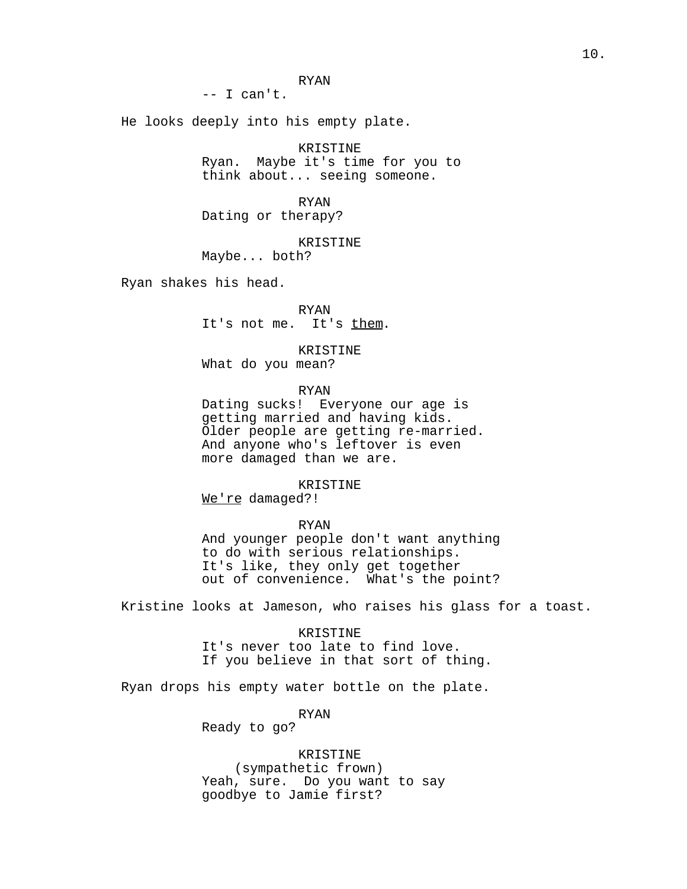RYAN

 $--$  I can't.

He looks deeply into his empty plate.

KRISTINE Ryan. Maybe it's time for you to think about... seeing someone.

RYAN Dating or therapy?

KRISTINE

Maybe... both?

Ryan shakes his head.

RYAN It's not me. It's them.

KRISTINE What do you mean?

RYAN

Dating sucks! Everyone our age is getting married and having kids. Older people are getting re-married. And anyone who's leftover is even more damaged than we are.

KRISTINE

We're damaged?!

# RYAN

And younger people don't want anything to do with serious relationships. It's like, they only get together out of convenience. What's the point?

Kristine looks at Jameson, who raises his glass for a toast.

KRISTINE

It's never too late to find love. If you believe in that sort of thing.

Ryan drops his empty water bottle on the plate.

RYAN

Ready to go?

KRISTINE

(sympathetic frown) Yeah, sure. Do you want to say goodbye to Jamie first?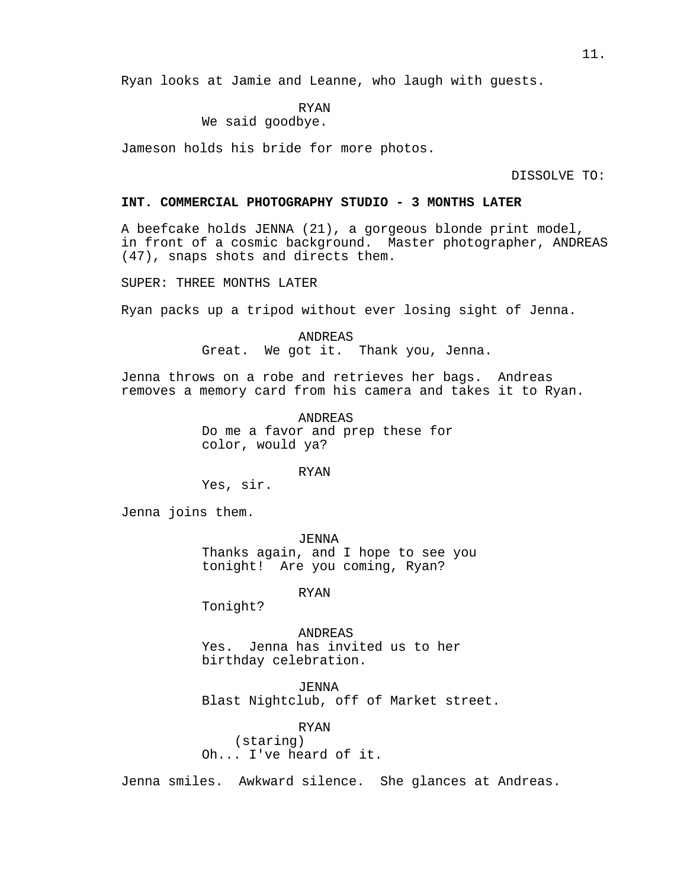Ryan looks at Jamie and Leanne, who laugh with guests.

# RYAN

# We said goodbye.

Jameson holds his bride for more photos.

DISSOLVE TO:

### **INT. COMMERCIAL PHOTOGRAPHY STUDIO - 3 MONTHS LATER**

A beefcake holds JENNA (21), a gorgeous blonde print model, in front of a cosmic background. Master photographer, ANDREAS (47), snaps shots and directs them.

SUPER: THREE MONTHS LATER

Ryan packs up a tripod without ever losing sight of Jenna.

ANDREAS Great. We got it. Thank you, Jenna.

Jenna throws on a robe and retrieves her bags. Andreas removes a memory card from his camera and takes it to Ryan.

> ANDREAS Do me a favor and prep these for color, would ya?

### RYAN

Yes, sir.

Jenna joins them.

*JENNA* Thanks again, and I hope to see you tonight! Are you coming, Ryan?

RYAN

Tonight?

ANDREAS Yes. Jenna has invited us to her birthday celebration.

JENNA Blast Nightclub, off of Market street.

RYAN (staring) Oh... I've heard of it.

Jenna smiles. Awkward silence. She glances at Andreas.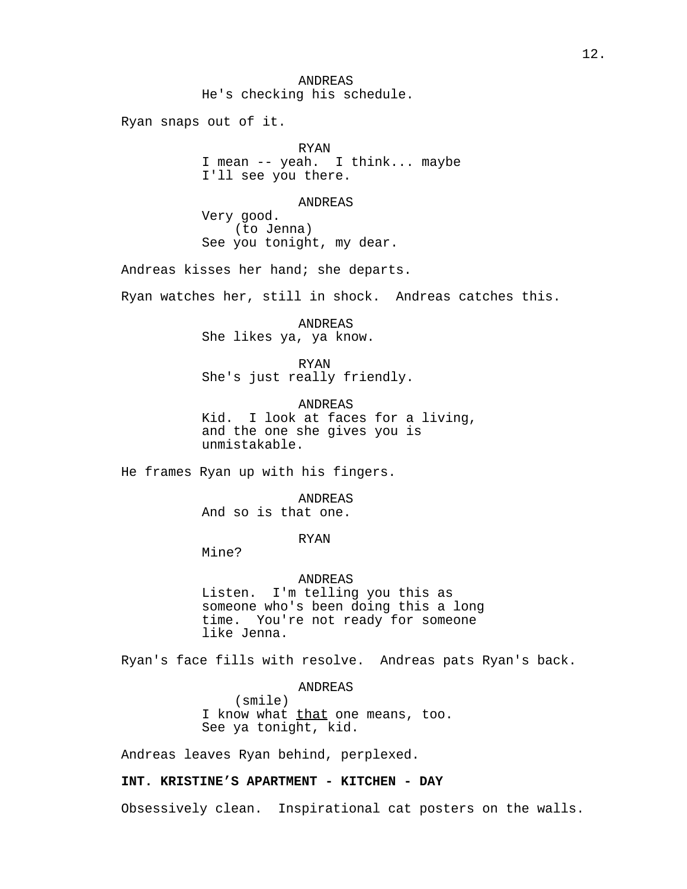ANDREAS He's checking his schedule.

Ryan snaps out of it.

RYAN I mean -- yeah. I think... maybe I'll see you there.

# ANDREAS

Very good. (to Jenna) See you tonight, my dear.

Andreas kisses her hand; she departs.

Ryan watches her, still in shock. Andreas catches this.

ANDREAS She likes ya, ya know.

RYAN She's just really friendly.

ANDREAS Kid. I look at faces for a living, and the one she gives you is unmistakable.

He frames Ryan up with his fingers.

ANDREAS And so is that one.

RYAN

Mine?

# ANDREAS

Listen. I'm telling you this as someone who's been doing this a long time. You're not ready for someone like Jenna.

Ryan's face fills with resolve. Andreas pats Ryan's back.

ANDREAS

(smile) I know what that one means, too. See ya tonight, kid.

Andreas leaves Ryan behind, perplexed.

# **INT. KRISTINE'S APARTMENT - KITCHEN - DAY**

Obsessively clean. Inspirational cat posters on the walls.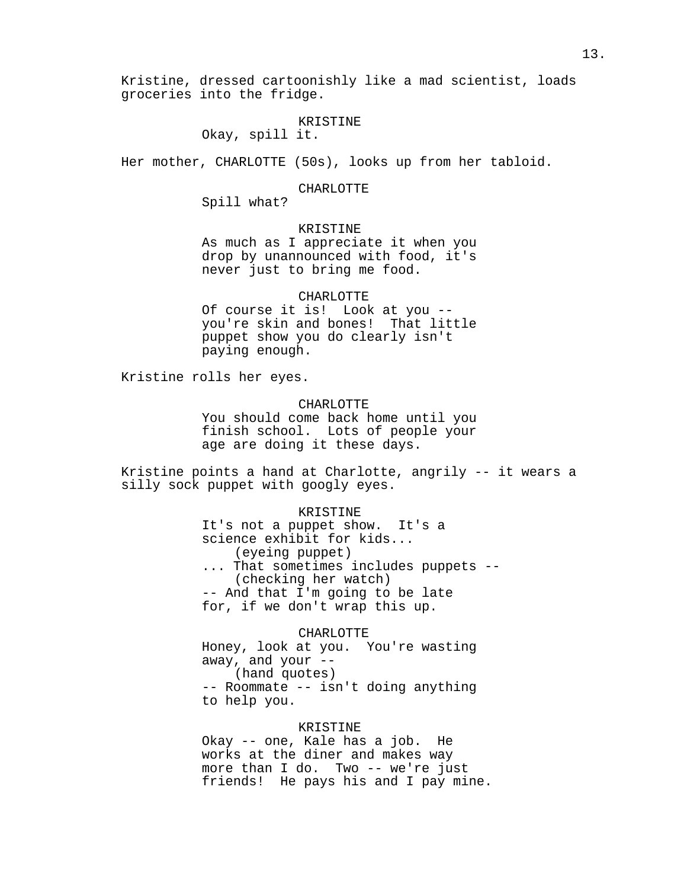Kristine, dressed cartoonishly like a mad scientist, loads groceries into the fridge.

# KRISTINE

Okay, spill it.

Her mother, CHARLOTTE (50s), looks up from her tabloid.

### CHARLOTTE

Spill what?

# KRISTINE

As much as I appreciate it when you drop by unannounced with food, it's never just to bring me food.

# CHARLOTTE

Of course it is! Look at you - you're skin and bones! That little puppet show you do clearly isn't paying enough.

Kristine rolls her eyes.

# CHARLOTTE

You should come back home until you finish school. Lots of people your age are doing it these days.

Kristine points a hand at Charlotte, angrily -- it wears a silly sock puppet with googly eyes.

#### KRISTINE

It's not a puppet show. It's a science exhibit for kids... (eyeing puppet) ... That sometimes includes puppets -- (checking her watch) -- And that I'm going to be late for, if we don't wrap this up.

#### CHARLOTTE

Honey, look at you. You're wasting away, and your  $--$ (hand quotes) -- Roommate -- isn't doing anything

to help you.

# KRISTINE

Okay -- one, Kale has a job. He works at the diner and makes way more than I do. Two -- we're just friends! He pays his and I pay mine.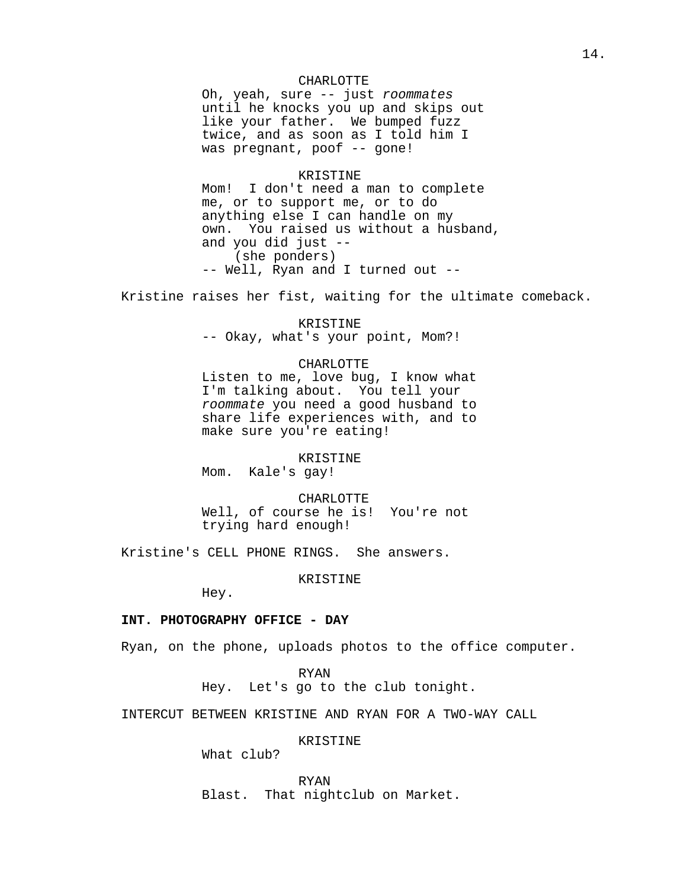# CHARLOTTE

Oh, yeah, sure -- just roommates until he knocks you up and skips out like your father. We bumped fuzz twice, and as soon as I told him I was pregnant, poof -- gone!

# KRISTINE

Mom! I don't need a man to complete me, or to support me, or to do anything else I can handle on my own. You raised us without a husband, and you did just -- (she ponders) -- Well, Ryan and I turned out --

Kristine raises her fist, waiting for the ultimate comeback.

KRISTINE -- Okay, what's your point, Mom?!

### CHARLOTTE

Listen to me, love bug, I know what I'm talking about. You tell your roommate you need a good husband to share life experiences with, and to make sure you're eating!

KRISTINE

Mom. Kale's gay!

CHARLOTTE Well, of course he is! You're not trying hard enough!

Kristine's CELL PHONE RINGS. She answers.

KRISTINE

Hey.

# **INT. PHOTOGRAPHY OFFICE - DAY**

Ryan, on the phone, uploads photos to the office computer.

RYAN

Hey. Let's go to the club tonight.

INTERCUT BETWEEN KRISTINE AND RYAN FOR A TWO-WAY CALL

# KRISTINE

What club?

RYAN Blast. That nightclub on Market.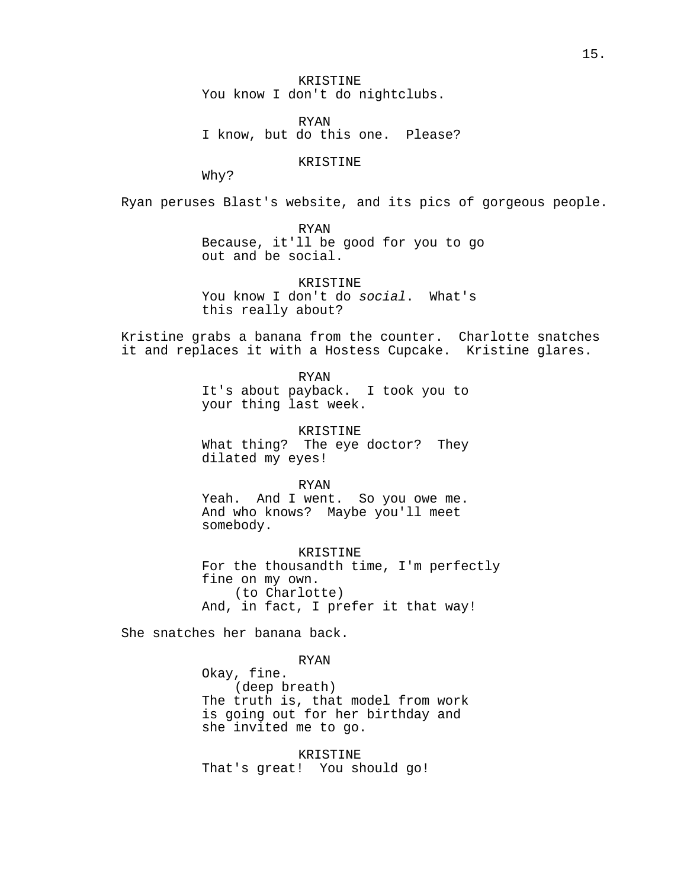KRISTINE You know I don't do nightclubs.

RYAN I know, but do this one. Please?

KRISTINE

Why?

Ryan peruses Blast's website, and its pics of gorgeous people.

RYAN Because, it'll be good for you to go out and be social.

KRISTINE You know I don't do social. What's this really about?

Kristine grabs a banana from the counter. Charlotte snatches it and replaces it with a Hostess Cupcake. Kristine glares.

> RYAN It's about payback. I took you to your thing last week.

> KRISTINE What thing? The eye doctor? They dilated my eyes!

> RYAN Yeah. And I went. So you owe me. And who knows? Maybe you'll meet somebody.

KRISTINE For the thousandth time, I'm perfectly fine on my own. (to Charlotte) And, in fact, I prefer it that way!

She snatches her banana back.

RYAN

Okay, fine. (deep breath) The truth is, that model from work is going out for her birthday and she invited me to go.

KRISTINE That's great! You should go!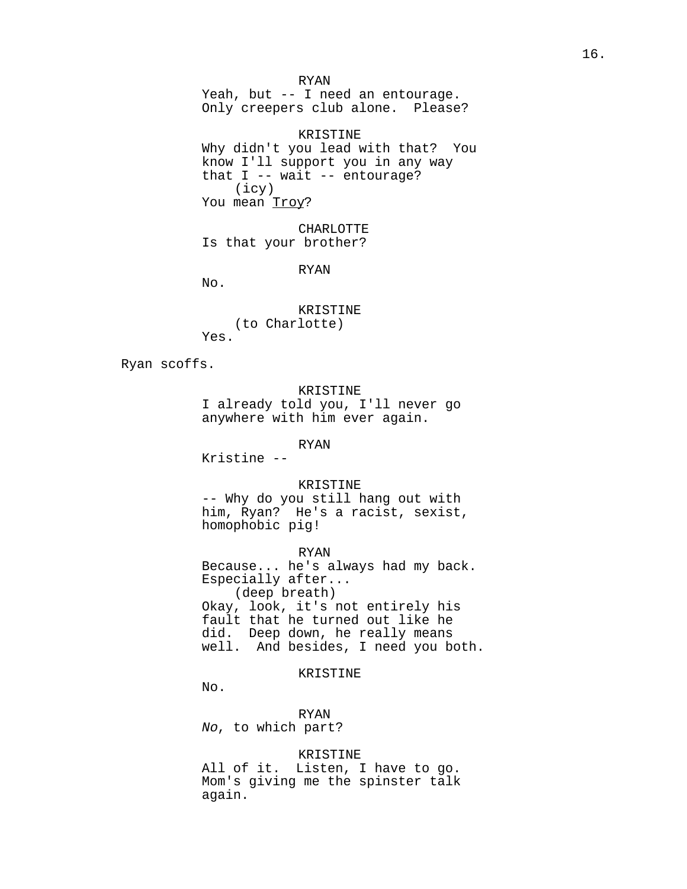RYAN Yeah, but -- I need an entourage. Only creepers club alone. Please?

KRISTINE Why didn't you lead with that? You know I'll support you in any way that  $I$  -- wait -- entourage? (icy) You mean Troy?

CHARLOTTE Is that your brother?

RYAN

No.

KRISTINE (to Charlotte) Yes.

Ryan scoffs.

KRISTINE

I already told you, I'll never go anywhere with him ever again.

RYAN

Kristine --

KRISTINE

-- Why do you still hang out with him, Ryan? He's a racist, sexist, homophobic pig!

RYAN

Because... he's always had my back. Especially after... (deep breath) Okay, look, it's not entirely his fault that he turned out like he did. Deep down, he really means well. And besides, I need you both.

KRISTINE

No.

RYAN No, to which part?

KRISTINE

All of it. Listen, I have to go. Mom's giving me the spinster talk again.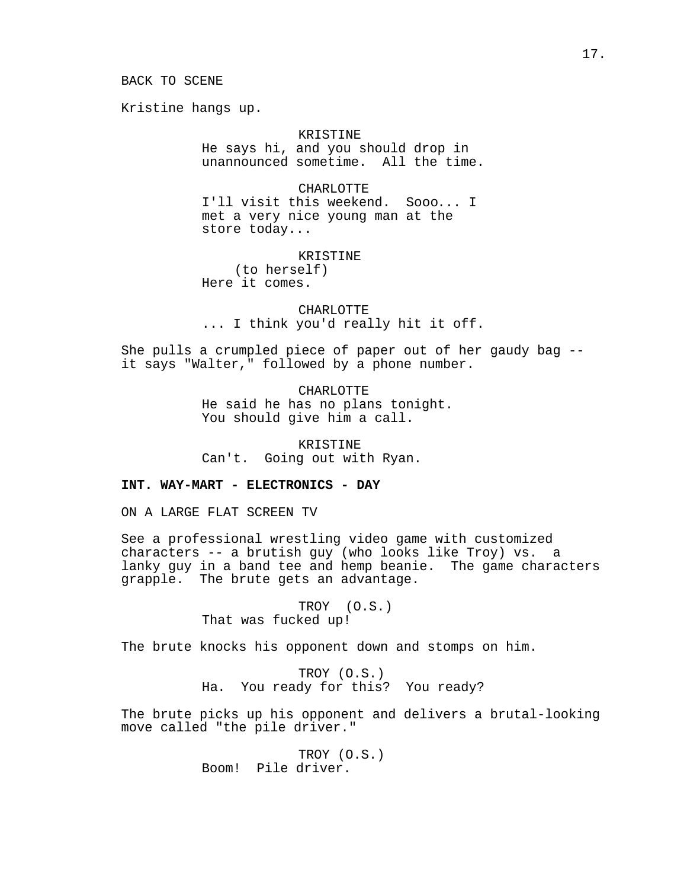### BACK TO SCENE

Kristine hangs up.

# KRISTINE

He says hi, and you should drop in unannounced sometime. All the time.

### CHARLOTTE

I'll visit this weekend. Sooo... I met a very nice young man at the store today...

### KRISTINE

(to herself) Here it comes.

CHARLOTTE ... I think you'd really hit it off.

She pulls a crumpled piece of paper out of her gaudy bag - it says "Walter," followed by a phone number.

> CHARLOTTE He said he has no plans tonight. You should give him a call.

KRISTINE Can't. Going out with Ryan.

# **INT. WAY-MART - ELECTRONICS - DAY**

ON A LARGE FLAT SCREEN TV

See a professional wrestling video game with customized characters -- a brutish guy (who looks like Troy) vs. a lanky guy in a band tee and hemp beanie. The game characters grapple. The brute gets an advantage.

> TROY (O.S.) That was fucked up!

The brute knocks his opponent down and stomps on him.

TROY (O.S.) Ha. You ready for this? You ready?

The brute picks up his opponent and delivers a brutal-looking move called "the pile driver."

> TROY (O.S.) Boom! Pile driver.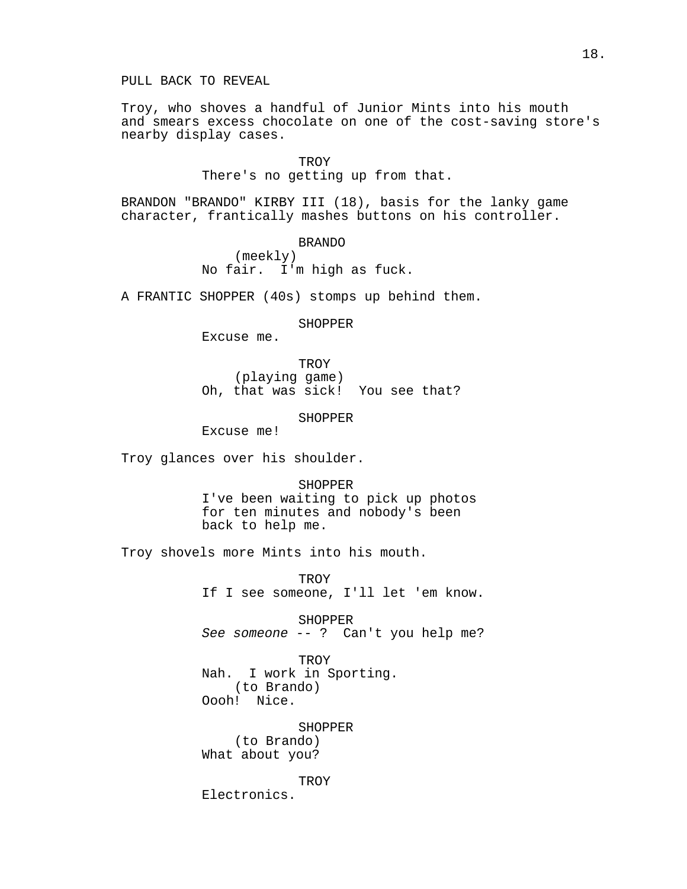PULL BACK TO REVEAL

Troy, who shoves a handful of Junior Mints into his mouth and smears excess chocolate on one of the cost-saving store's nearby display cases.

TROY

There's no getting up from that.

BRANDON "BRANDO" KIRBY III (18), basis for the lanky game character, frantically mashes buttons on his controller.

BRANDO

(meekly) No fair. I'm high as fuck.

A FRANTIC SHOPPER (40s) stomps up behind them.

**SHOPPER** 

Excuse me.

TROY (playing game) Oh, that was sick! You see that?

SHOPPER

Excuse me!

Troy glances over his shoulder.

SHOPPER I've been waiting to pick up photos for ten minutes and nobody's been back to help me.

Troy shovels more Mints into his mouth.

TROY If I see someone, I'll let 'em know.

SHOPPER See someone -- ? Can't you help me?

TROY Nah. I work in Sporting. (to Brando) Oooh! Nice.

SHOPPER (to Brando) What about you?

**TROY** 

Electronics.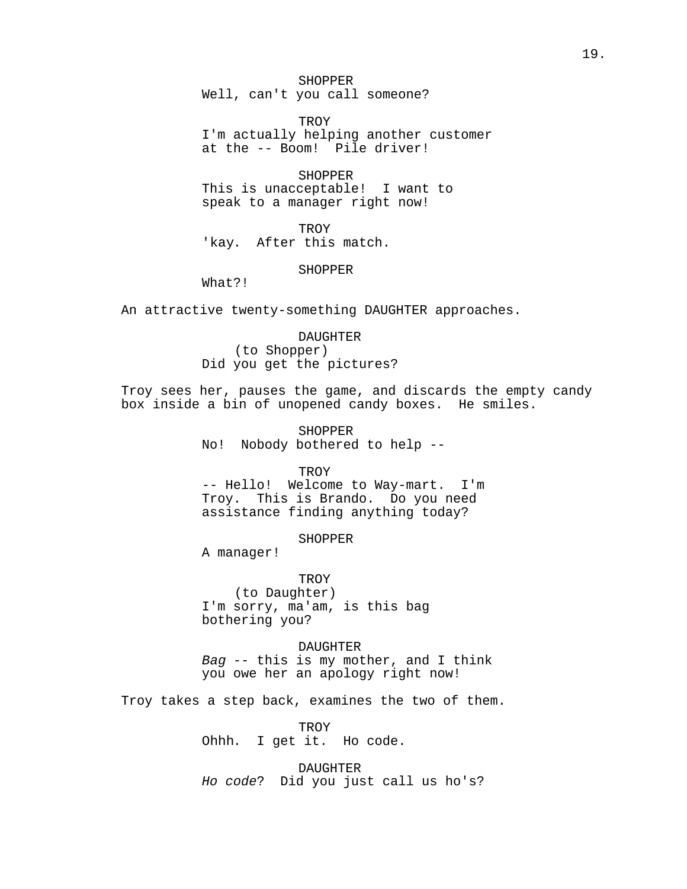SHOPPER Well, can't you call someone?

TROY I'm actually helping another customer at the -- Boom! Pile driver!

**SHOPPER** This is unacceptable! I want to speak to a manager right now!

**TROY** 'kay. After this match.

SHOPPER

What?!

An attractive twenty-something DAUGHTER approaches.

DAUGHTER (to Shopper) Did you get the pictures?

Troy sees her, pauses the game, and discards the empty candy box inside a bin of unopened candy boxes. He smiles.

> SHOPPER No! Nobody bothered to help --

> > **TROY**

-- Hello! Welcome to Way-mart. I'm Troy. This is Brando. Do you need assistance finding anything today?

SHOPPER

A manager!

TROY (to Daughter) I'm sorry, ma'am, is this bag bothering you?

DAUGHTER Bag  $-$ - this is my mother, and I think you owe her an apology right now!

Troy takes a step back, examines the two of them.

TROY Ohhh. I get it. Ho code.

DAUGHTER Ho code? Did you just call us ho's?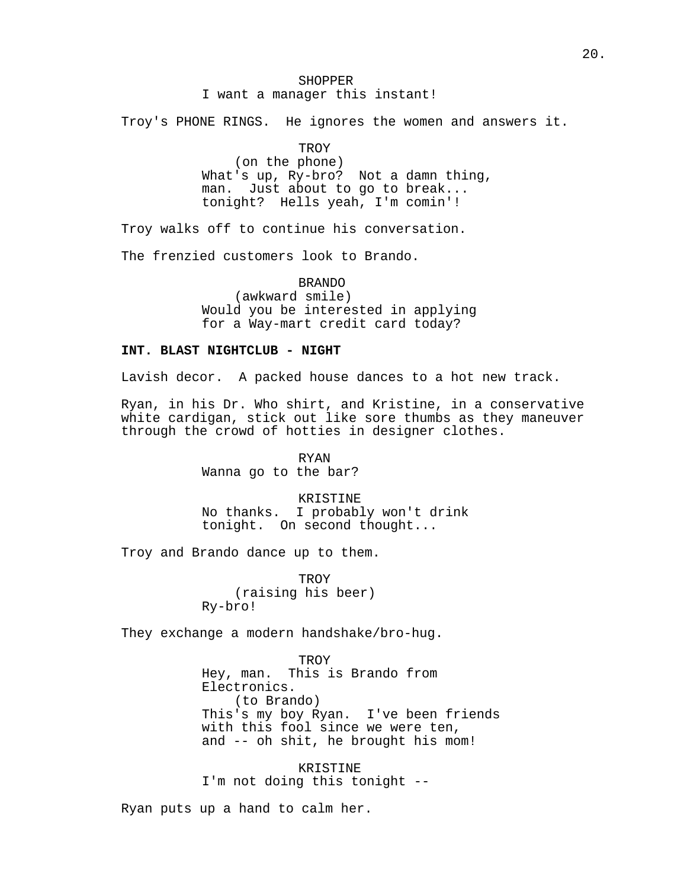# SHOPPER I want a manager this instant!

Troy's PHONE RINGS. He ignores the women and answers it.

# **TROY**

(on the phone) What's up, Ry-bro? Not a damn thing, man. Just about to go to break... tonight? Hells yeah, I'm comin'!

Troy walks off to continue his conversation.

The frenzied customers look to Brando.

BRANDO (awkward smile) Would you be interested in applying for a Way-mart credit card today?

# **INT. BLAST NIGHTCLUB - NIGHT**

Lavish decor. A packed house dances to a hot new track.

Ryan, in his Dr. Who shirt, and Kristine, in a conservative white cardigan, stick out like sore thumbs as they maneuver through the crowd of hotties in designer clothes.

> RYAN Wanna go to the bar?

KRISTINE No thanks. I probably won't drink tonight. On second thought...

Troy and Brando dance up to them.

**TROY** (raising his beer) Ry-bro!

They exchange a modern handshake/bro-hug.

TROY Hey, man. This is Brando from Electronics. (to Brando) This's my boy Ryan. I've been friends with this fool since we were ten, and -- oh shit, he brought his mom!

KRISTINE I'm not doing this tonight --

Ryan puts up a hand to calm her.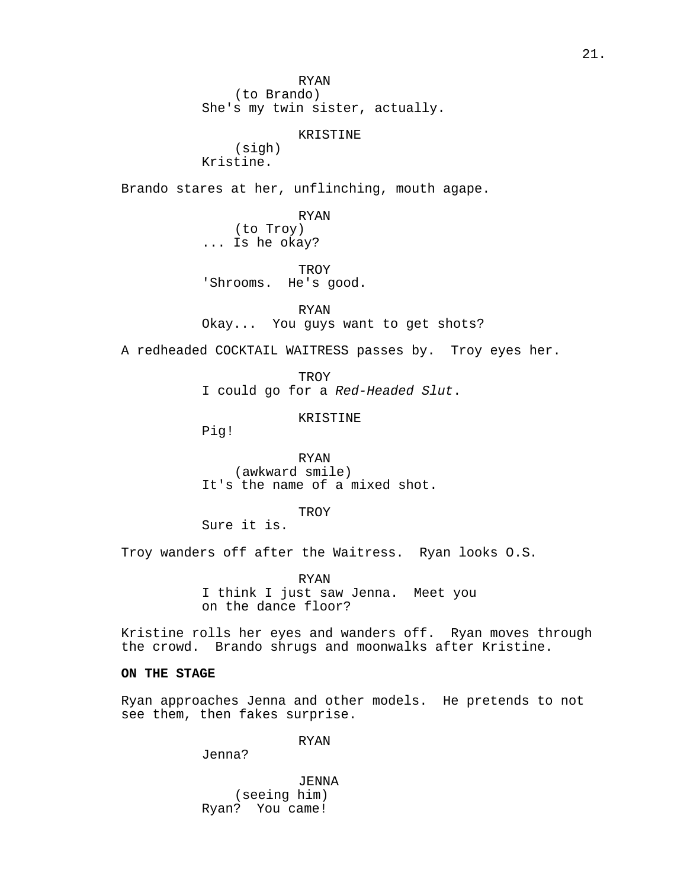RYAN (to Brando) She's my twin sister, actually.

KRISTINE

(sigh) Kristine.

Brando stares at her, unflinching, mouth agape.

RYAN (to Troy) ... Is he okay?

TROY 'Shrooms. He's good.

RYAN Okay... You guys want to get shots?

A redheaded COCKTAIL WAITRESS passes by. Troy eyes her.

TROY I could go for a Red-Headed Slut.

KRISTINE

Pig!

RYAN (awkward smile) It's the name of a mixed shot.

**TROY** 

Sure it is.

Troy wanders off after the Waitress. Ryan looks O.S.

RYAN I think I just saw Jenna. Meet you on the dance floor?

Kristine rolls her eyes and wanders off. Ryan moves through the crowd. Brando shrugs and moonwalks after Kristine.

# **ON THE STAGE**

Ryan approaches Jenna and other models. He pretends to not see them, then fakes surprise.

RYAN

Jenna?

JENNA (seeing him) Ryan? You came!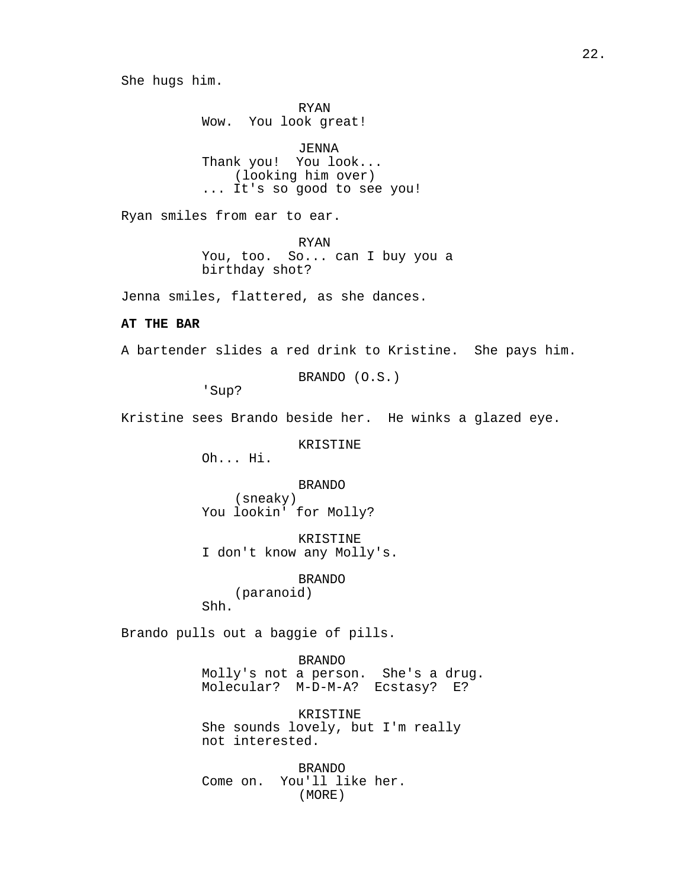She hugs him.

RYAN Wow. You look great!

JENNA Thank you! You look... (looking him over) ... It's so good to see you!

Ryan smiles from ear to ear.

RYAN You, too. So... can I buy you a birthday shot?

Jenna smiles, flattered, as she dances.

# **AT THE BAR**

A bartender slides a red drink to Kristine. She pays him.

BRANDO (O.S.)

'Sup?

Kristine sees Brando beside her. He winks a glazed eye.

KRISTINE

Oh... Hi.

BRANDO (sneaky) You lookin' for Molly?

KRISTINE I don't know any Molly's.

BRANDO

(paranoid)

Shh.

Brando pulls out a baggie of pills.

BRANDO

Molly's not a person. She's a drug. Molecular? M-D-M-A? Ecstasy? E?

KRISTINE She sounds lovely, but I'm really not interested.

BRANDO Come on. You'll like her. (MORE)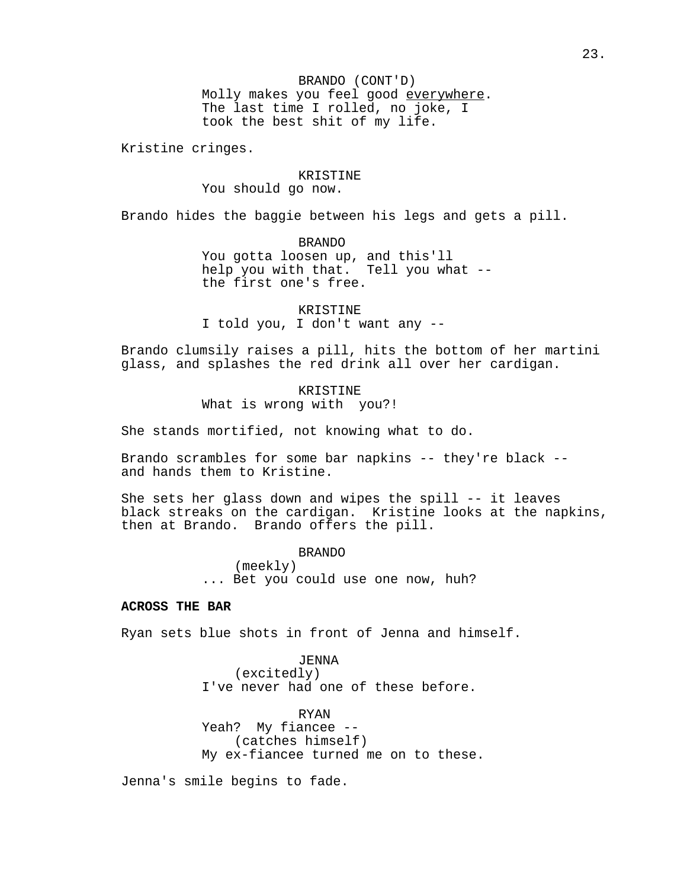BRANDO (CONT'D) Molly makes you feel good everywhere. The last time I rolled, no joke, I took the best shit of my life.

Kristine cringes.

#### KRISTINE

You should go now.

Brando hides the baggie between his legs and gets a pill.

BRANDO

You gotta loosen up, and this'll help you with that. Tell you what - the first one's free.

KRISTINE I told you, I don't want any --

Brando clumsily raises a pill, hits the bottom of her martini glass, and splashes the red drink all over her cardigan.

> KRISTINE What is wrong with you?!

She stands mortified, not knowing what to do.

Brando scrambles for some bar napkins -- they're black - and hands them to Kristine.

She sets her glass down and wipes the spill -- it leaves black streaks on the cardigan. Kristine looks at the napkins, then at Brando. Brando offers the pill.

> BRANDO (meekly) ... Bet you could use one now, huh?

# **ACROSS THE BAR**

Ryan sets blue shots in front of Jenna and himself.

JENNA (excitedly) I've never had one of these before.

RYAN Yeah? My fiancee -- (catches himself) My ex-fiancee turned me on to these.

Jenna's smile begins to fade.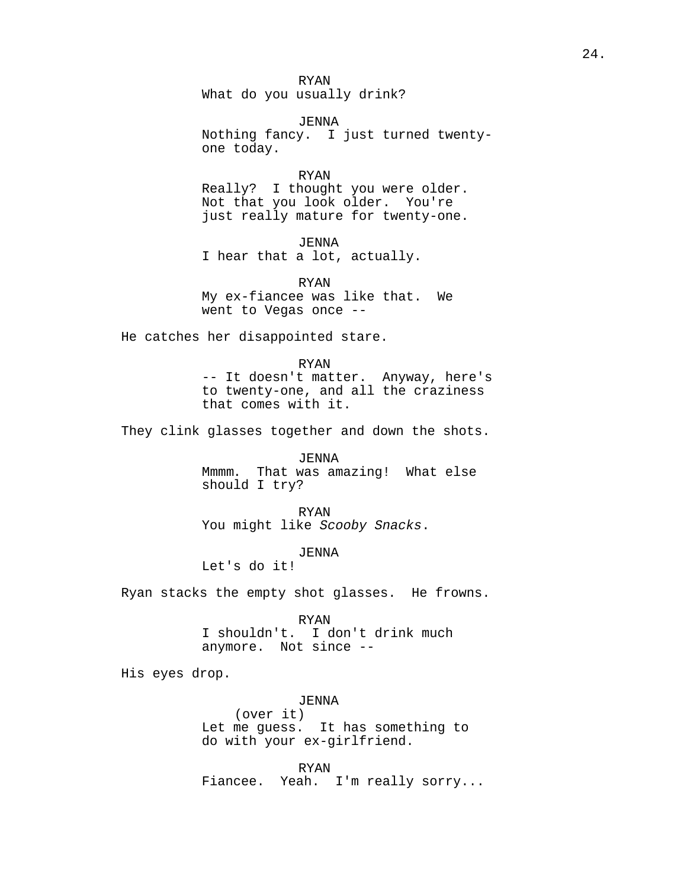RYAN What do you usually drink?

JENNA Nothing fancy. I just turned twentyone today.

RYAN Really? I thought you were older. Not that you look older. You're just really mature for twenty-one.

*JENNA* I hear that a lot, actually.

RYAN My ex-fiancee was like that. We went to Vegas once --

He catches her disappointed stare.

RYAN

-- It doesn't matter. Anyway, here's to twenty-one, and all the craziness that comes with it.

They clink glasses together and down the shots.

JENNA Mmmm. That was amazing! What else should I try?

RYAN You might like Scooby Snacks.

JENNA

Let's do it!

Ryan stacks the empty shot glasses. He frowns.

RYAN I shouldn't. I don't drink much anymore. Not since --

His eyes drop.

*JENNA* (over it) Let me guess. It has something to do with your ex-girlfriend.

RYAN Fiancee. Yeah. I'm really sorry...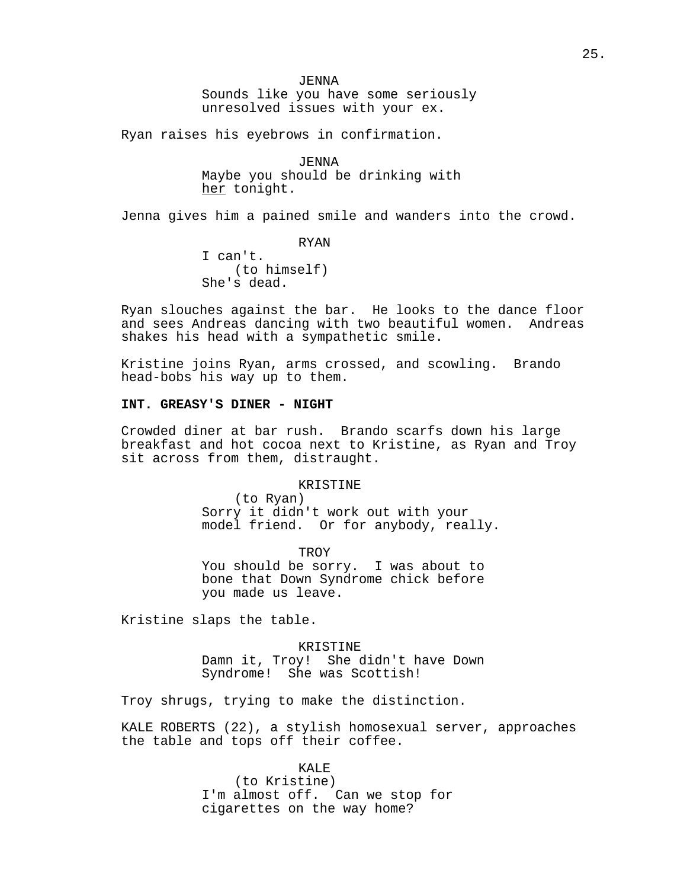*JENNA* Sounds like you have some seriously unresolved issues with your ex.

Ryan raises his eyebrows in confirmation.

JENNA Maybe you should be drinking with her tonight.

Jenna gives him a pained smile and wanders into the crowd.

RYAN I can't. (to himself) She's dead.

Ryan slouches against the bar. He looks to the dance floor and sees Andreas dancing with two beautiful women. Andreas shakes his head with a sympathetic smile.

Kristine joins Ryan, arms crossed, and scowling. Brando head-bobs his way up to them.

# **INT. GREASY'S DINER - NIGHT**

Crowded diner at bar rush. Brando scarfs down his large breakfast and hot cocoa next to Kristine, as Ryan and Troy sit across from them, distraught.

# KRISTINE

(to Ryan) Sorry it didn't work out with your model friend. Or for anybody, really.

**TROY** You should be sorry. I was about to bone that Down Syndrome chick before you made us leave.

Kristine slaps the table.

KRISTINE Damn it, Troy! She didn't have Down Syndrome! She was Scottish!

Troy shrugs, trying to make the distinction.

KALE ROBERTS (22), a stylish homosexual server, approaches the table and tops off their coffee.

# KALE.

(to Kristine) I'm almost off. Can we stop for cigarettes on the way home?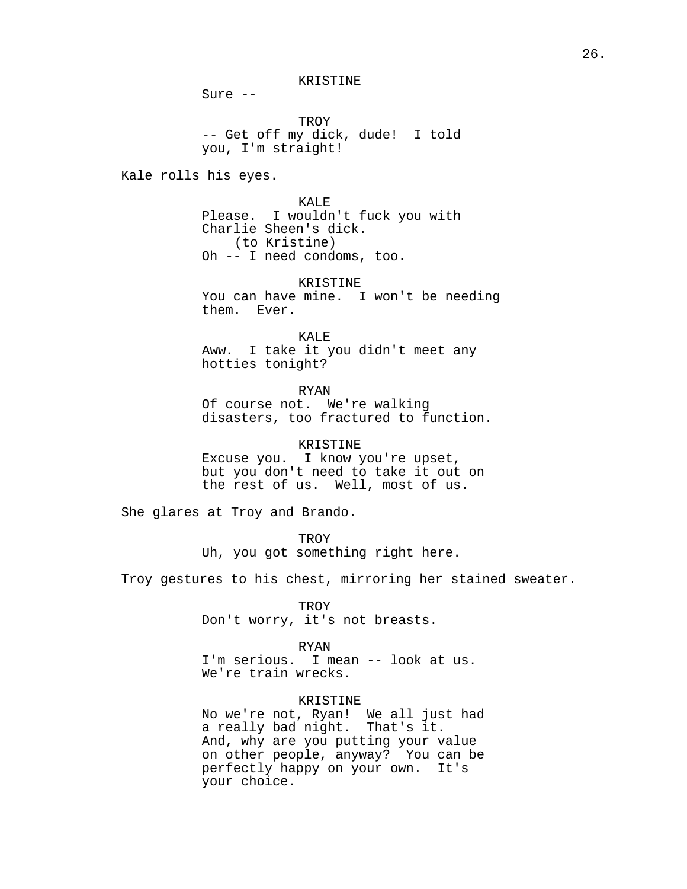KRISTINE

Sure --

TROY -- Get off my dick, dude! I told you, I'm straight!

Kale rolls his eyes.

KALE Please. I wouldn't fuck you with Charlie Sheen's dick. (to Kristine) Oh -- I need condoms, too.

KRISTINE You can have mine. I won't be needing them. Ever.

KALE Aww. I take it you didn't meet any hotties tonight?

RYAN

Of course not. We're walking disasters, too fractured to function.

KRISTINE

Excuse you. I know you're upset, but you don't need to take it out on the rest of us. Well, most of us.

She glares at Troy and Brando.

**TROY** Uh, you got something right here.

Troy gestures to his chest, mirroring her stained sweater.

TROY

Don't worry, it's not breasts.

RYAN

I'm serious. I mean -- look at us. We're train wrecks.

# KRISTINE

No we're not, Ryan! We all just had a really bad night. That's it. And, why are you putting your value on other people, anyway? You can be perfectly happy on your own. It's your choice.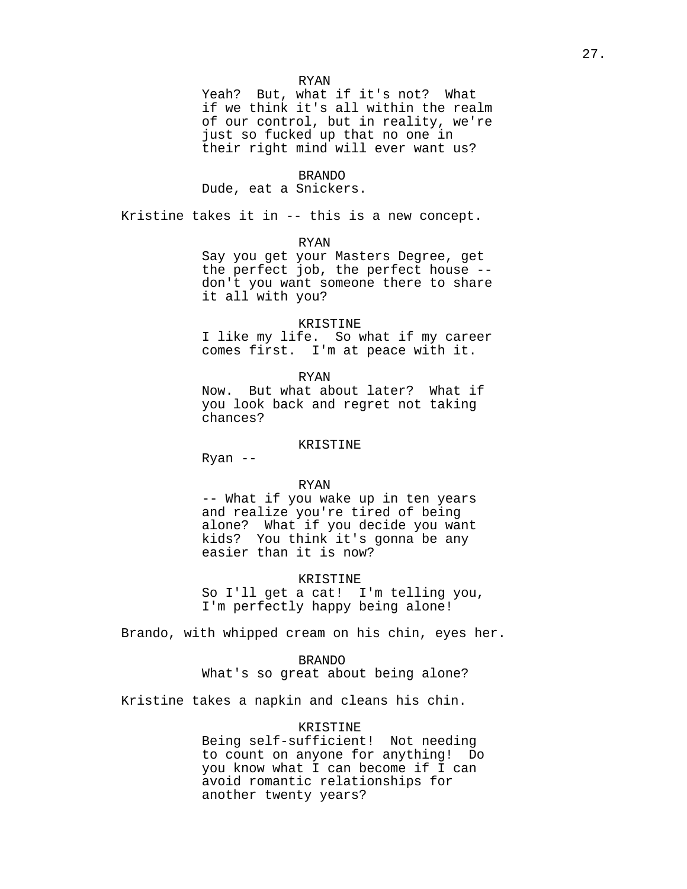Yeah? But, what if it's not? What if we think it's all within the realm of our control, but in reality, we're just so fucked up that no one in their right mind will ever want us?

# BRANDO

### Dude, eat a Snickers.

Kristine takes it in -- this is a new concept.

#### RYAN

Say you get your Masters Degree, get the perfect job, the perfect house - don't you want someone there to share it all with you?

#### KRISTINE

I like my life. So what if my career comes first. I'm at peace with it.

RYAN Now. But what about later? What if you look back and regret not taking chances?

# KRISTINE

Ryan --

#### RYAN

-- What if you wake up in ten years and realize you're tired of being alone? What if you decide you want kids? You think it's gonna be any easier than it is now?

### KRISTINE

So I'll get a cat! I'm telling you, I'm perfectly happy being alone!

Brando, with whipped cream on his chin, eyes her.

### BRANDO

What's so great about being alone?

Kristine takes a napkin and cleans his chin.

# KRISTINE

Being self-sufficient! Not needing to count on anyone for anything! Do you know what I can become if I can avoid romantic relationships for another twenty years?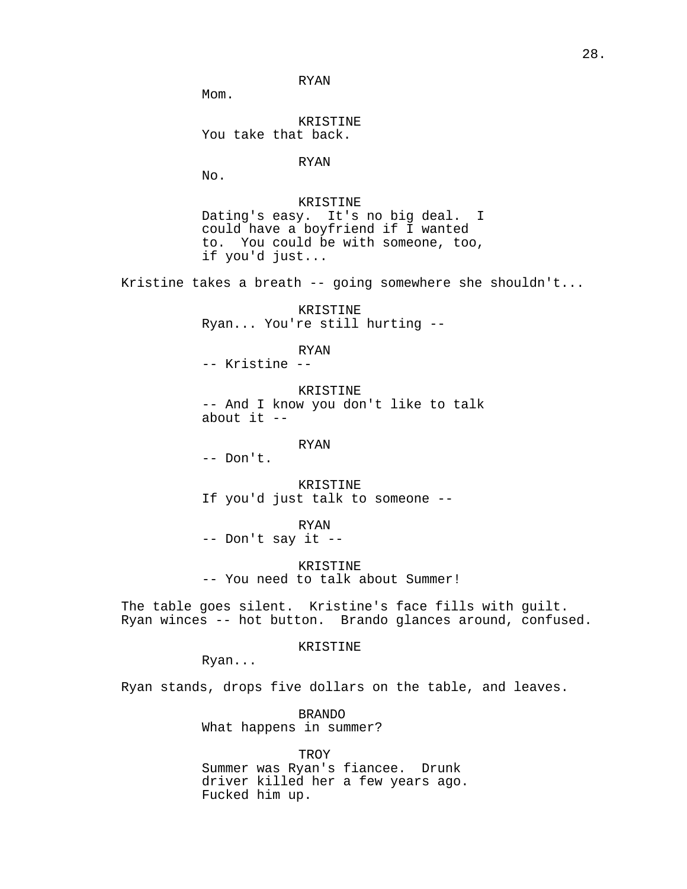RYAN

Mom.

KRISTINE You take that back.

RYAN

 $N<sub>0</sub>$ .

KRISTINE Dating's easy. It's no big deal. I could have a boyfriend if I wanted to. You could be with someone, too, if you'd just...

Kristine takes a breath -- going somewhere she shouldn't...

KRISTINE Ryan... You're still hurting --

RYAN

-- Kristine --

KRISTINE -- And I know you don't like to talk about it  $-$ 

RYAN

-- Don't.

KRISTINE If you'd just talk to someone --

RYAN

-- Don't say it --

KRISTINE -- You need to talk about Summer!

The table goes silent. Kristine's face fills with guilt. Ryan winces -- hot button. Brando glances around, confused.

KRISTINE

Ryan...

Ryan stands, drops five dollars on the table, and leaves.

BRANDO What happens in summer?

TROY Summer was Ryan's fiancee. Drunk driver killed her a few years ago. Fucked him up.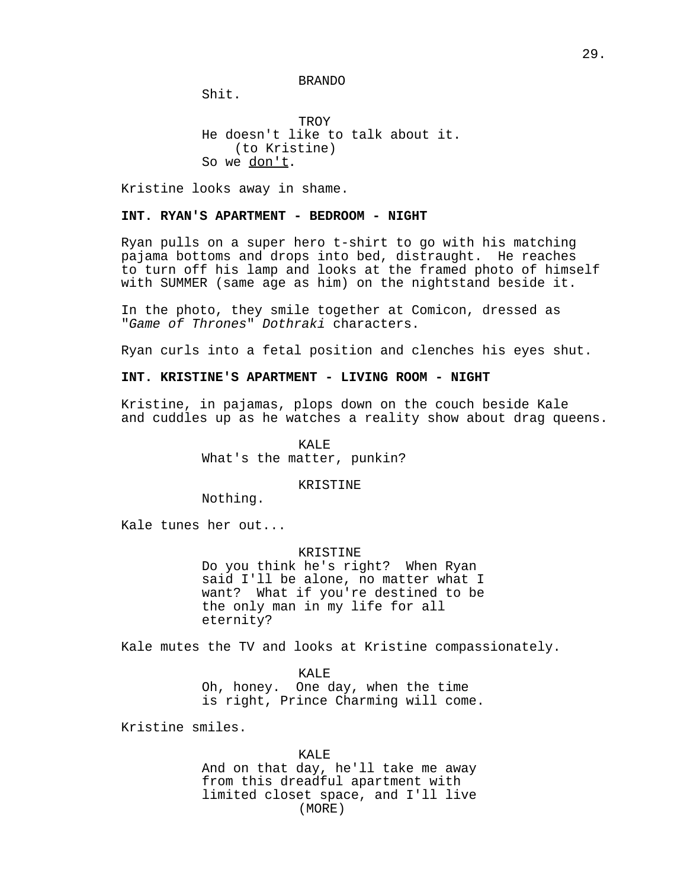BRANDO

Shit.

TROY He doesn't like to talk about it. (to Kristine) So we don't.

Kristine looks away in shame.

# **INT. RYAN'S APARTMENT - BEDROOM - NIGHT**

Ryan pulls on a super hero t-shirt to go with his matching pajama bottoms and drops into bed, distraught. He reaches to turn off his lamp and looks at the framed photo of himself with SUMMER (same age as him) on the nightstand beside it.

In the photo, they smile together at Comicon, dressed as "Game of Thrones" Dothraki characters.

Ryan curls into a fetal position and clenches his eyes shut.

# **INT. KRISTINE'S APARTMENT - LIVING ROOM - NIGHT**

Kristine, in pajamas, plops down on the couch beside Kale and cuddles up as he watches a reality show about drag queens.

> KALE What's the matter, punkin?

#### KRISTINE

Nothing.

Kale tunes her out...

#### KRISTINE

Do you think he's right? When Ryan said I'll be alone, no matter what I want? What if you're destined to be the only man in my life for all eternity?

Kale mutes the TV and looks at Kristine compassionately.

KALE Oh, honey. One day, when the time is right, Prince Charming will come.

Kristine smiles.

KALE And on that day, he'll take me away from this dreadful apartment with limited closet space, and I'll live (MORE)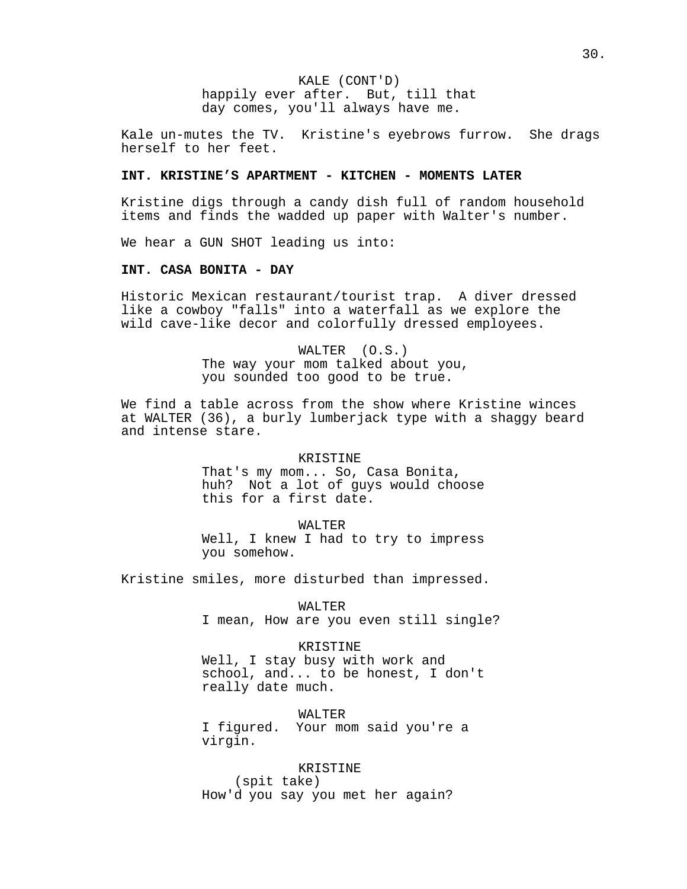KALE (CONT'D) happily ever after. But, till that day comes, you'll always have me.

Kale un-mutes the TV. Kristine's eyebrows furrow. She drags herself to her feet.

# **INT. KRISTINE'S APARTMENT - KITCHEN - MOMENTS LATER**

Kristine digs through a candy dish full of random household items and finds the wadded up paper with Walter's number.

We hear a GUN SHOT leading us into:

### **INT. CASA BONITA - DAY**

Historic Mexican restaurant/tourist trap. A diver dressed like a cowboy "falls" into a waterfall as we explore the wild cave-like decor and colorfully dressed employees.

> WALTER (O.S.) The way your mom talked about you, you sounded too good to be true.

We find a table across from the show where Kristine winces at WALTER (36), a burly lumberjack type with a shaggy beard and intense stare.

> KRISTINE That's my mom... So, Casa Bonita, huh? Not a lot of guys would choose this for a first date.

> WALTER Well, I knew I had to try to impress you somehow.

Kristine smiles, more disturbed than impressed.

WALTER I mean, How are you even still single?

KRISTINE

Well, I stay busy with work and school, and... to be honest, I don't really date much.

WALTER I figured. Your mom said you're a virgin.

KRISTINE (spit take) How'd you say you met her again?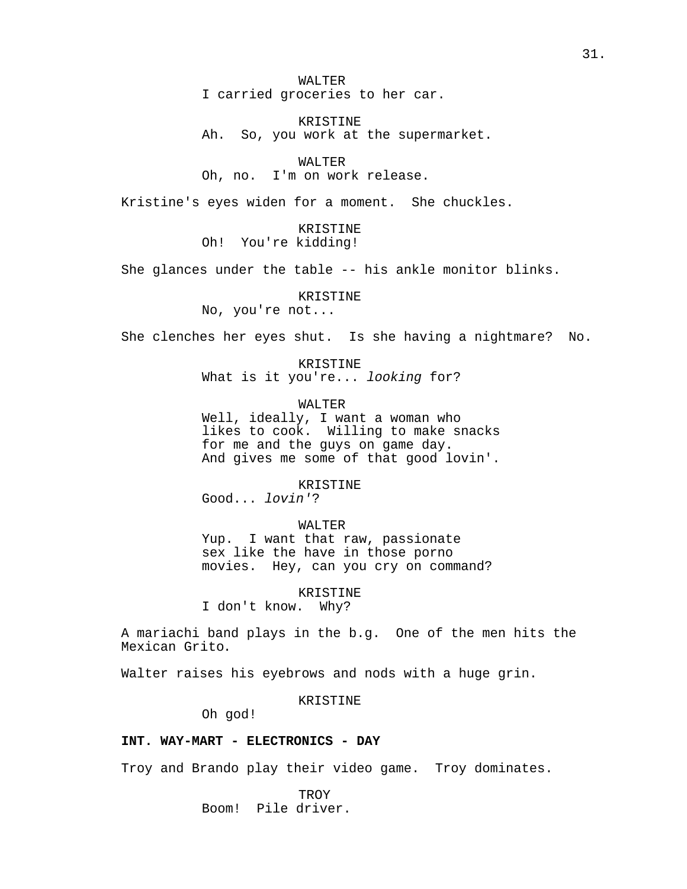WALTER I carried groceries to her car.

KRISTINE Ah. So, you work at the supermarket.

WALTER Oh, no. I'm on work release.

Kristine's eyes widen for a moment. She chuckles.

KRISTINE Oh! You're kidding!

She glances under the table -- his ankle monitor blinks.

KRISTINE

No, you're not...

She clenches her eyes shut. Is she having a nightmare? No.

KRISTINE What is it you're... looking for?

WALTER

Well, ideally, I want a woman who likes to cook. Willing to make snacks for me and the guys on game day. And gives me some of that good lovin'.

KRISTINE Good... lovin'?

WALTER Yup. I want that raw, passionate sex like the have in those porno movies. Hey, can you cry on command?

KRISTINE I don't know. Why?

A mariachi band plays in the b.g. One of the men hits the Mexican Grito.

Walter raises his eyebrows and nods with a huge grin.

KRISTINE

Oh god!

# **INT. WAY-MART - ELECTRONICS - DAY**

Troy and Brando play their video game. Troy dominates.

**TROY** Boom! Pile driver.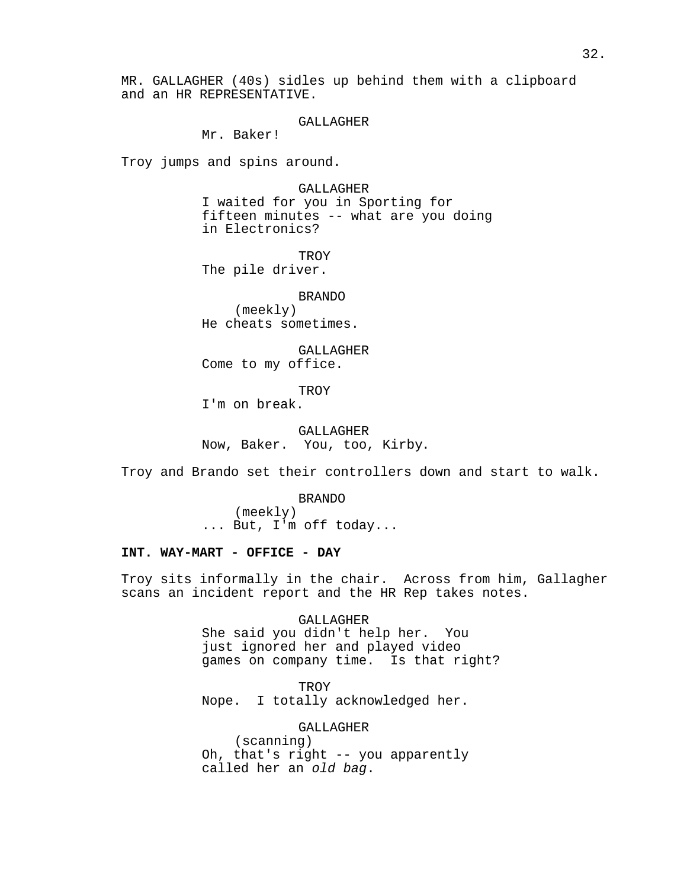MR. GALLAGHER (40s) sidles up behind them with a clipboard and an HR REPRESENTATIVE.

#### GALLAGHER

Mr. Baker!

Troy jumps and spins around.

GALLAGHER I waited for you in Sporting for fifteen minutes -- what are you doing in Electronics?

**TROY** The pile driver.

BRANDO (meekly) He cheats sometimes.

GALLAGHER Come to my office.

TROY

I'm on break.

GALLAGHER Now, Baker. You, too, Kirby.

Troy and Brando set their controllers down and start to walk.

BRANDO (meekly) ... But, I'm off today...

# **INT. WAY-MART - OFFICE - DAY**

Troy sits informally in the chair. Across from him, Gallagher scans an incident report and the HR Rep takes notes.

> GALLAGHER She said you didn't help her. You just ignored her and played video games on company time. Is that right?

TROY Nope. I totally acknowledged her.

GALLAGHER (scanning) Oh, that's right -- you apparently called her an old bag.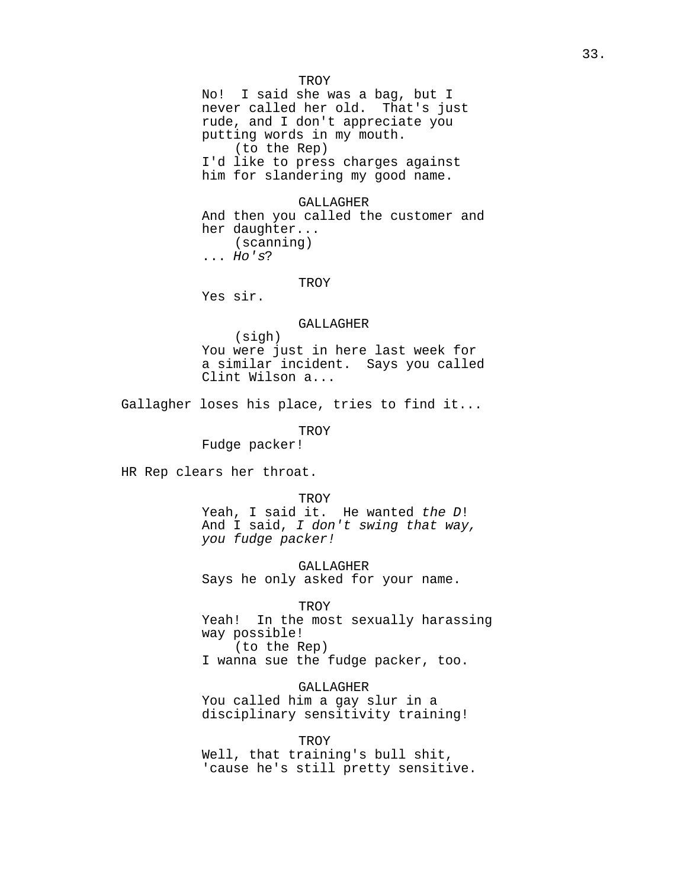TROY No! I said she was a bag, but I never called her old. That's just rude, and I don't appreciate you putting words in my mouth. (to the Rep) I'd like to press charges against him for slandering my good name.

GALLAGHER

And then you called the customer and her daughter... (scanning) ... Ho's?

TROY

Yes sir.

## GALLAGHER

(sigh) You were just in here last week for a similar incident. Says you called Clint Wilson a...

Gallagher loses his place, tries to find it...

TROY

Fudge packer!

HR Rep clears her throat.

TROY

Yeah, I said it. He wanted the D! And I said, I don't swing that way, you fudge packer!

GALLAGHER Says he only asked for your name.

TROY

Yeah! In the most sexually harassing way possible! (to the Rep)

I wanna sue the fudge packer, too.

GALLAGHER

You called him a gay slur in a disciplinary sensitivity training!

**TROY** 

Well, that training's bull shit, 'cause he's still pretty sensitive.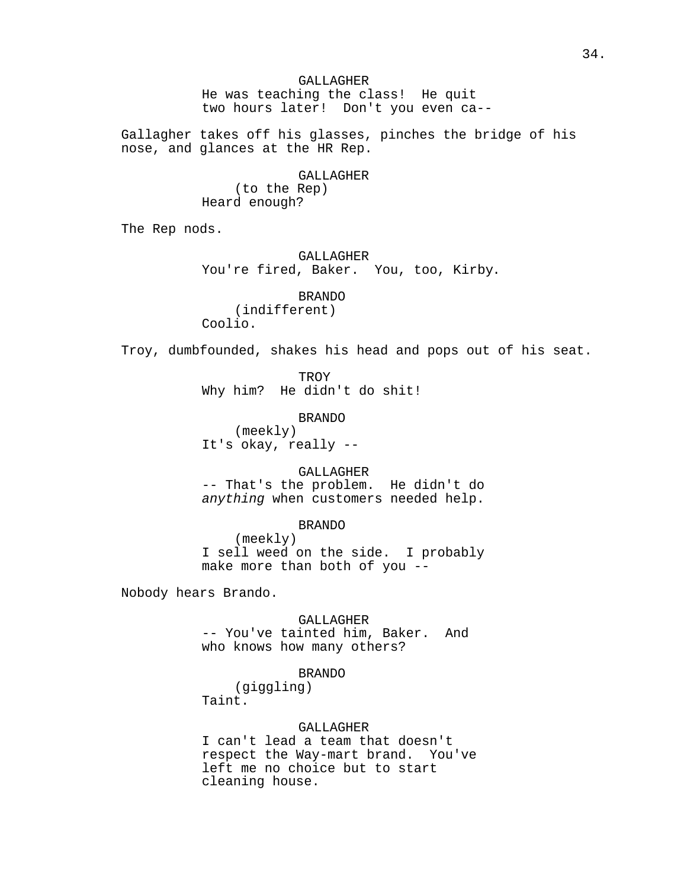GALLAGHER He was teaching the class! He quit two hours later! Don't you even ca--

Gallagher takes off his glasses, pinches the bridge of his nose, and glances at the HR Rep.

GALLAGHER

(to the Rep) Heard enough?

The Rep nods.

GALLAGHER

You're fired, Baker. You, too, Kirby.

BRANDO (indifferent) Coolio.

Troy, dumbfounded, shakes his head and pops out of his seat.

TROY Why him? He didn't do shit!

BRANDO (meekly) It's okay, really --

GALLAGHER -- That's the problem. He didn't do anything when customers needed help.

BRANDO (meekly) I sell weed on the side. I probably make more than both of you --

Nobody hears Brando.

GALLAGHER -- You've tainted him, Baker. And who knows how many others?

BRANDO

(giggling) Taint.

# GALLAGHER

I can't lead a team that doesn't respect the Way-mart brand. You've left me no choice but to start cleaning house.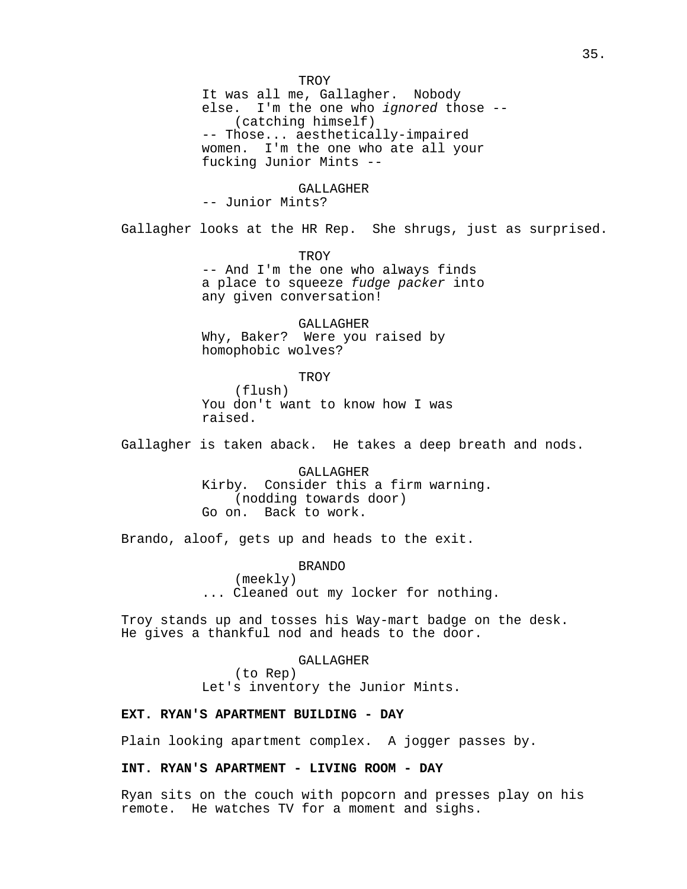It was all me, Gallagher. Nobody else. I'm the one who ignored those -- (catching himself) -- Those... aesthetically-impaired women. I'm the one who ate all your fucking Junior Mints --

#### GALLAGHER

-- Junior Mints?

Gallagher looks at the HR Rep. She shrugs, just as surprised.

TROY

-- And I'm the one who always finds a place to squeeze fudge packer into any given conversation!

GALLAGHER Why, Baker? Were you raised by homophobic wolves?

> TROY (flush)

You don't want to know how I was raised.

Gallagher is taken aback. He takes a deep breath and nods.

GALLAGHER Kirby. Consider this a firm warning. (nodding towards door) Go on. Back to work.

Brando, aloof, gets up and heads to the exit.

BRANDO (meekly) ... Cleaned out my locker for nothing.

Troy stands up and tosses his Way-mart badge on the desk. He gives a thankful nod and heads to the door.

#### GALLAGHER

(to Rep) Let's inventory the Junior Mints.

# **EXT. RYAN'S APARTMENT BUILDING - DAY**

Plain looking apartment complex. A jogger passes by.

# **INT. RYAN'S APARTMENT - LIVING ROOM - DAY**

Ryan sits on the couch with popcorn and presses play on his remote. He watches TV for a moment and sighs.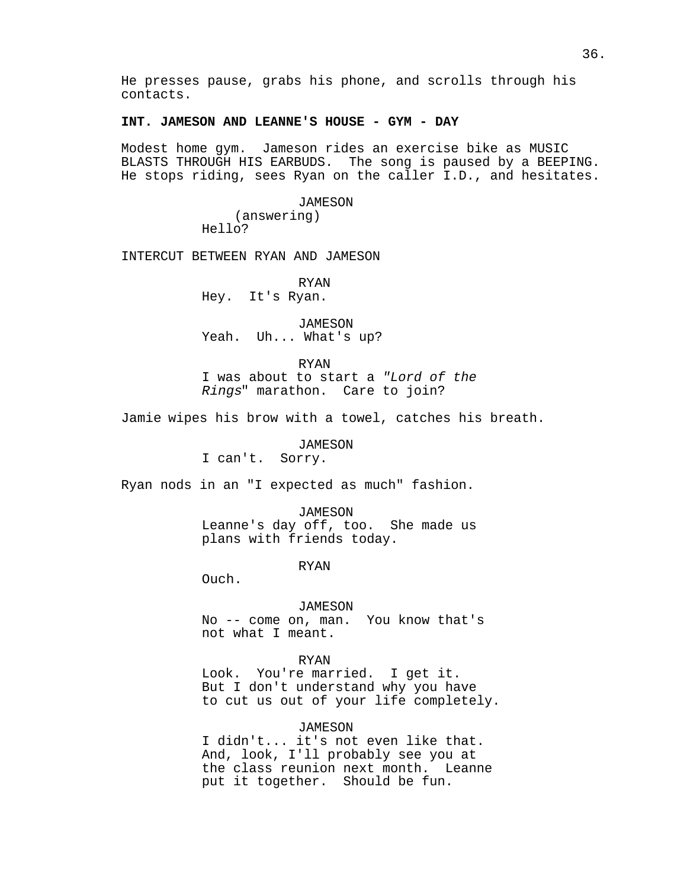He presses pause, grabs his phone, and scrolls through his contacts.

## **INT. JAMESON AND LEANNE'S HOUSE - GYM - DAY**

Modest home gym. Jameson rides an exercise bike as MUSIC BLASTS THROUGH HIS EARBUDS. The song is paused by a BEEPING. He stops riding, sees Ryan on the caller I.D., and hesitates.

> *JAMESON* (answering) Hello?

INTERCUT BETWEEN RYAN AND JAMESON

RYAN Hey. It's Ryan.

*JAMESON* Yeah. Uh... What's up?

RYAN

I was about to start a "Lord of the Rings" marathon. Care to join?

Jamie wipes his brow with a towel, catches his breath.

#### JAMESON

I can't. Sorry.

Ryan nods in an "I expected as much" fashion.

### JAMESON

Leanne's day off, too. She made us plans with friends today.

RYAN

Ouch.

#### JAMESON

No -- come on, man. You know that's not what I meant.

#### RYAN

Look. You're married. I get it. But I don't understand why you have to cut us out of your life completely.

## *JAMESON*

I didn't... it's not even like that. And, look, I'll probably see you at the class reunion next month. Leanne put it together. Should be fun.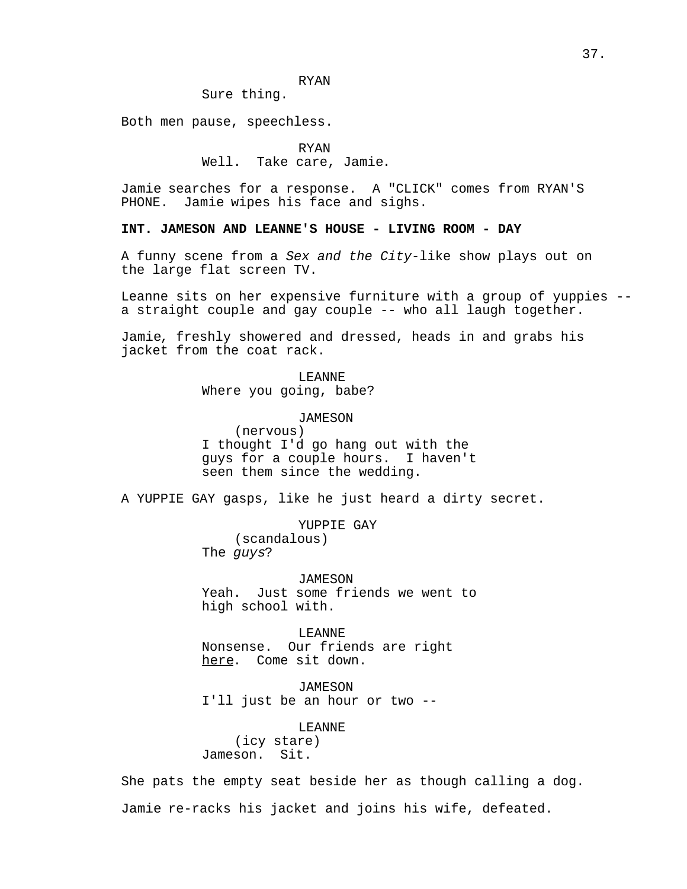## RYAN

Sure thing.

Both men pause, speechless.

RYAN

Well. Take care, Jamie.

Jamie searches for a response. A "CLICK" comes from RYAN'S Jamie wipes his face and sighs.

**INT. JAMESON AND LEANNE'S HOUSE - LIVING ROOM - DAY**

A funny scene from a Sex and the City-like show plays out on the large flat screen TV.

Leanne sits on her expensive furniture with a group of yuppies - a straight couple and gay couple -- who all laugh together.

Jamie, freshly showered and dressed, heads in and grabs his jacket from the coat rack.

> LEANNE Where you going, babe?

> > JAMESON

(nervous) I thought I'd go hang out with the guys for a couple hours. I haven't seen them since the wedding.

A YUPPIE GAY gasps, like he just heard a dirty secret.

YUPPIE GAY (scandalous) The guys?

*JAMESON* Yeah. Just some friends we went to high school with.

LEANNE Nonsense. Our friends are right here. Come sit down.

JAMESON I'll just be an hour or two --

LEANNE (icy stare) Jameson. Sit.

She pats the empty seat beside her as though calling a dog. Jamie re-racks his jacket and joins his wife, defeated.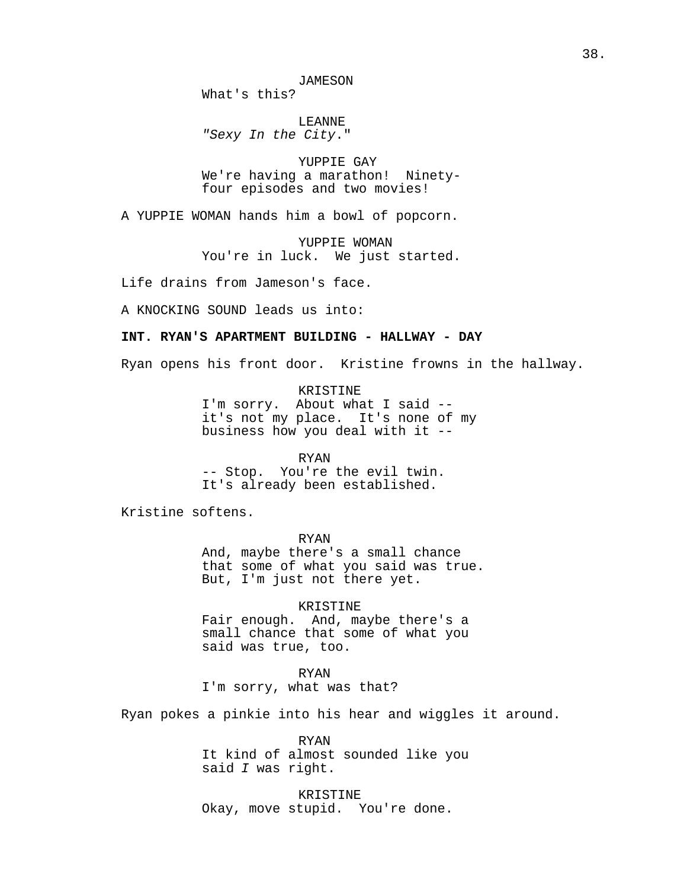What's this?

LEANNE "Sexy In the City."

YUPPIE GAY We're having a marathon! Ninetyfour episodes and two movies!

A YUPPIE WOMAN hands him a bowl of popcorn.

YUPPIE WOMAN You're in luck. We just started.

Life drains from Jameson's face.

A KNOCKING SOUND leads us into:

## **INT. RYAN'S APARTMENT BUILDING - HALLWAY - DAY**

Ryan opens his front door. Kristine frowns in the hallway.

KRISTINE I'm sorry. About what I said - it's not my place. It's none of my business how you deal with it --

RYAN

-- Stop. You're the evil twin. It's already been established.

Kristine softens.

RYAN And, maybe there's a small chance that some of what you said was true. But, I'm just not there yet.

KRISTINE Fair enough. And, maybe there's a small chance that some of what you said was true, too.

RYAN I'm sorry, what was that?

Ryan pokes a pinkie into his hear and wiggles it around.

RYAN It kind of almost sounded like you said I was right.

KRISTINE Okay, move stupid. You're done.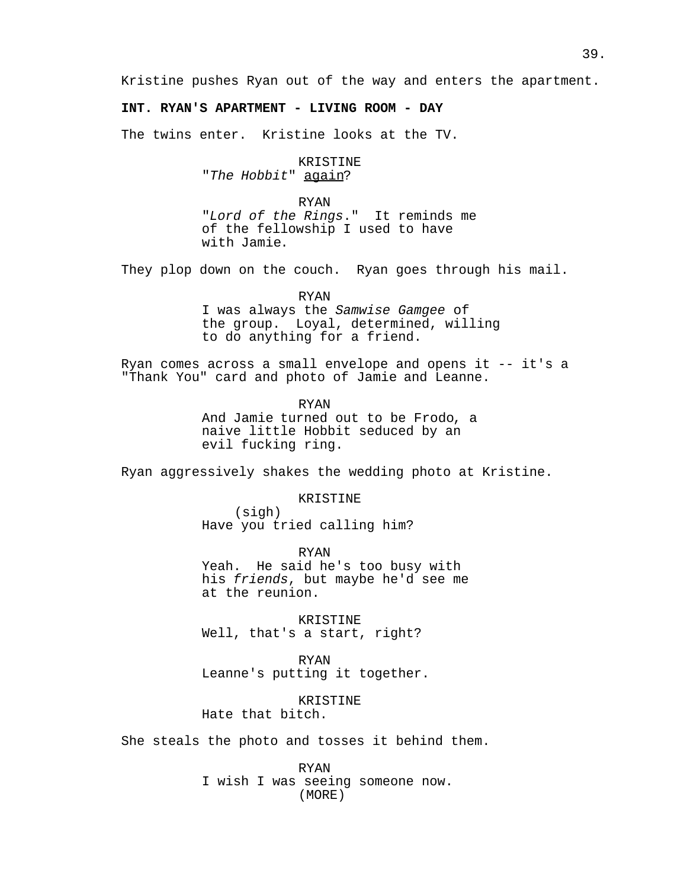Kristine pushes Ryan out of the way and enters the apartment.

# **INT. RYAN'S APARTMENT - LIVING ROOM - DAY**

The twins enter. Kristine looks at the TV.

KRISTINE "The Hobbit" again?

RYAN

"Lord of the Rings." It reminds me of the fellowship I used to have with Jamie.

They plop down on the couch. Ryan goes through his mail.

RYAN

I was always the Samwise Gamgee of the group. Loyal, determined, willing to do anything for a friend.

Ryan comes across a small envelope and opens it -- it's a "Thank You" card and photo of Jamie and Leanne.

RYAN

And Jamie turned out to be Frodo, a naive little Hobbit seduced by an evil fucking ring.

Ryan aggressively shakes the wedding photo at Kristine.

KRISTINE

(sigh) Have you tried calling him?

RYAN Yeah. He said he's too busy with his friends, but maybe he'd see me at the reunion.

KRISTINE Well, that's a start, right?

RYAN Leanne's putting it together.

KRISTINE Hate that bitch.

She steals the photo and tosses it behind them.

RYAN I wish I was seeing someone now. (MORE)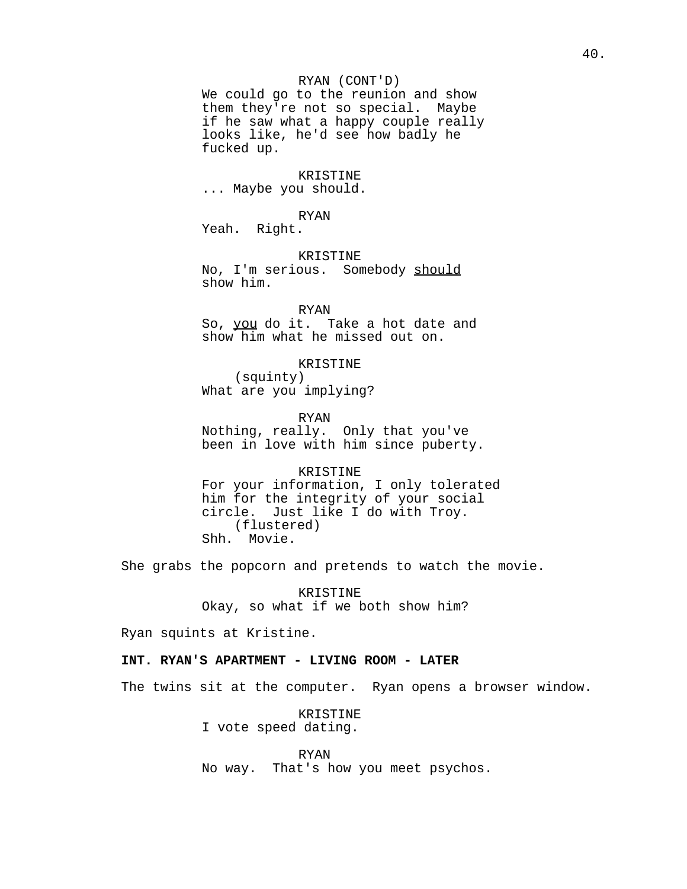## RYAN (CONT'D)

We could go to the reunion and show them they're not so special. Maybe if he saw what a happy couple really looks like, he'd see how badly he fucked up.

### KRISTINE

... Maybe you should.

#### RYAN

Yeah. Right.

#### KRISTINE

No, I'm serious. Somebody should show him.

#### RYAN

So, you do it. Take a hot date and show him what he missed out on.

## KRISTINE

(squinty) What are you implying?

### RYAN

Nothing, really. Only that you've been in love with him since puberty.

#### KRISTINE

For your information, I only tolerated him for the integrity of your social circle. Just like I do with Troy. (flustered) Shh. Movie.

She grabs the popcorn and pretends to watch the movie.

KRISTINE Okay, so what if we both show him?

Ryan squints at Kristine.

## **INT. RYAN'S APARTMENT - LIVING ROOM - LATER**

The twins sit at the computer. Ryan opens a browser window.

KRISTINE I vote speed dating.

RYAN No way. That's how you meet psychos.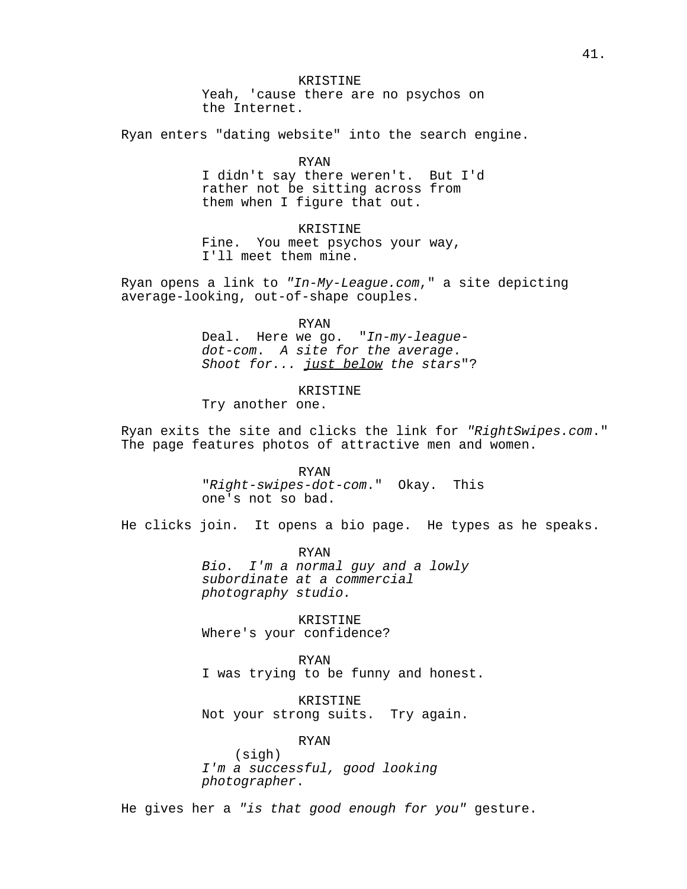KRISTINE Yeah, 'cause there are no psychos on the Internet.

Ryan enters "dating website" into the search engine.

RYAN

I didn't say there weren't. But I'd rather not be sitting across from them when I figure that out.

KRISTINE Fine. You meet psychos your way, I'll meet them mine.

Ryan opens a link to "In-My-League.com," a site depicting average-looking, out-of-shape couples.

RYAN

Deal. Here we go. "In-my-leaguedot-com. A site for the average. Shoot for... just below the stars"?

KRISTINE

Try another one.

Ryan exits the site and clicks the link for "RightSwipes.com." The page features photos of attractive men and women.

> RYAN "Right-swipes-dot-com." Okay. This one's not so bad.

He clicks join. It opens a bio page. He types as he speaks.

RYAN Bio. I'm a normal guy and a lowly subordinate at a commercial photography studio.

KRISTINE Where's your confidence?

RYAN

I was trying to be funny and honest.

KRISTINE Not your strong suits. Try again.

RYAN

(sigh) I'm a successful, good looking photographer.

He gives her a "is that good enough for you" gesture.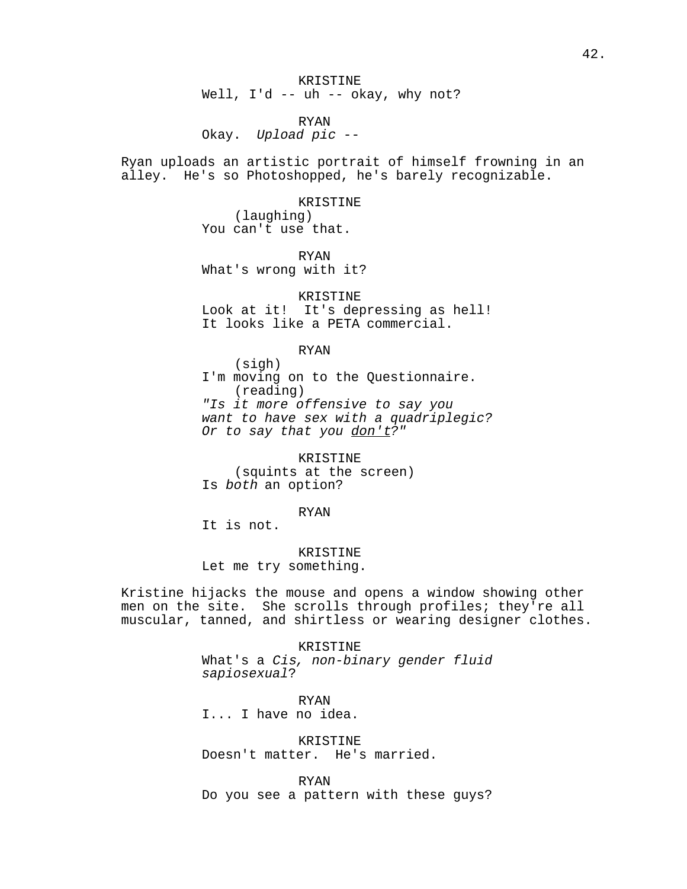KRISTINE Well, I'd -- uh -- okay, why not?

RYAN Okay. Upload pic --

Ryan uploads an artistic portrait of himself frowning in an alley. He's so Photoshopped, he's barely recognizable.

> KRISTINE (laughing) You can't use that.

RYAN What's wrong with it?

KRISTINE Look at it! It's depressing as hell! It looks like a PETA commercial.

RYAN

(sigh) I'm moving on to the Questionnaire. (reading) "Is it more offensive to say you want to have sex with a quadriplegic? Or to say that you don't?"

KRISTINE (squints at the screen) Is both an option?

RYAN

It is not.

KRISTINE

Let me try something.

Kristine hijacks the mouse and opens a window showing other men on the site. She scrolls through profiles; they're all muscular, tanned, and shirtless or wearing designer clothes.

> KRISTINE What's a Cis, non-binary gender fluid sapiosexual?

RYAN I... I have no idea.

KRISTINE Doesn't matter. He's married.

RYAN Do you see a pattern with these guys?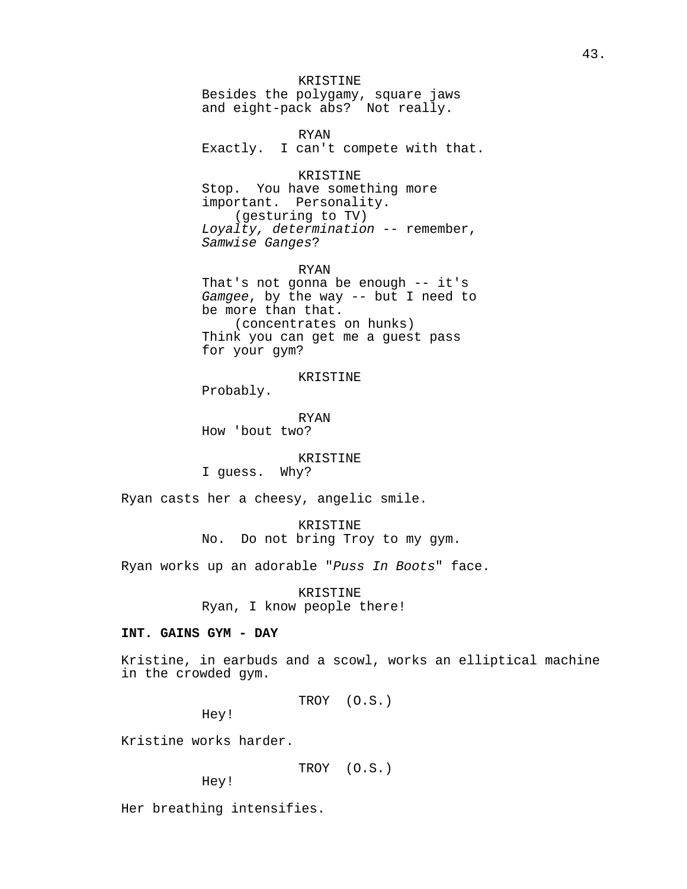## KRISTINE

Besides the polygamy, square jaws and eight-pack abs? Not really.

RYAN Exactly. I can't compete with that.

KRISTINE Stop. You have something more important. Personality. (gesturing to TV) Loyalty, determination -- remember, Samwise Ganges?

RYAN

That's not gonna be enough -- it's Gamgee, by the way -- but I need to be more than that. (concentrates on hunks) Think you can get me a guest pass for your gym?

KRISTINE

Probably.

RYAN How 'bout two?

#### KRISTINE

I guess. Why?

Ryan casts her a cheesy, angelic smile.

KRISTINE No. Do not bring Troy to my gym.

Ryan works up an adorable "Puss In Boots" face.

KRISTINE Ryan, I know people there!

## **INT. GAINS GYM - DAY**

Kristine, in earbuds and a scowl, works an elliptical machine in the crowded gym.

TROY (O.S.)

Hey!

Kristine works harder.

TROY (O.S.)

Hey!

Her breathing intensifies.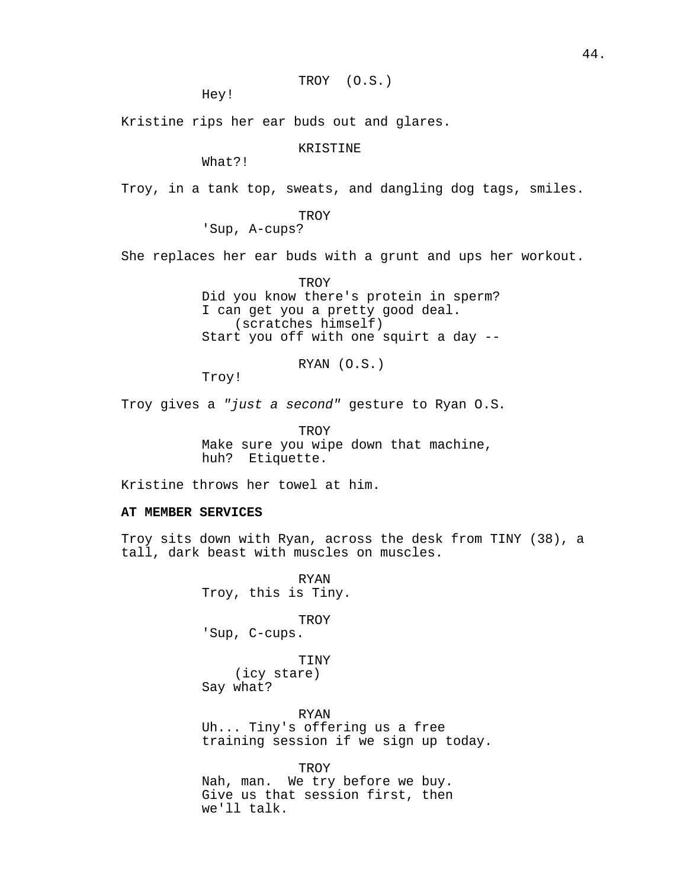TROY (O.S.)

Hey!

Kristine rips her ear buds out and glares.

KRISTINE

What?!

Troy, in a tank top, sweats, and dangling dog tags, smiles.

TROY

'Sup, A-cups?

She replaces her ear buds with a grunt and ups her workout.

TROY Did you know there's protein in sperm? I can get you a pretty good deal. (scratches himself) Start you off with one squirt a day --

RYAN (O.S.)

Troy!

Troy gives a "just a second" gesture to Ryan O.S.

**TROY** Make sure you wipe down that machine, huh? Etiquette.

Kristine throws her towel at him.

## **AT MEMBER SERVICES**

Troy sits down with Ryan, across the desk from TINY (38), a tall, dark beast with muscles on muscles.

> RYAN Troy, this is Tiny.

> > **TROY**

'Sup, C-cups.

TINY

(icy stare) Say what?

RYAN Uh... Tiny's offering us a free training session if we sign up today.

TROY Nah, man. We try before we buy. Give us that session first, then we'll talk.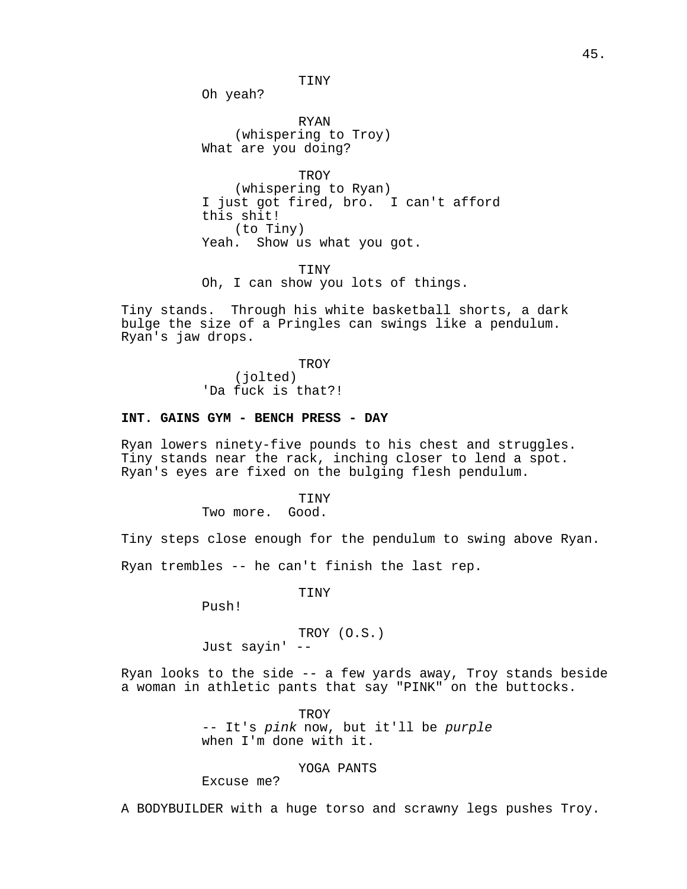TINY

Oh yeah?

RYAN (whispering to Troy) What are you doing?

**TROY** (whispering to Ryan) I just got fired, bro. I can't afford this shit! (to Tiny) Yeah. Show us what you got.

TINY Oh, I can show you lots of things.

Tiny stands. Through his white basketball shorts, a dark bulge the size of a Pringles can swings like a pendulum. Ryan's jaw drops.

> **TROY** (jolted) 'Da fuck is that?!

### **INT. GAINS GYM - BENCH PRESS - DAY**

Ryan lowers ninety-five pounds to his chest and struggles. Tiny stands near the rack, inching closer to lend a spot. Ryan's eyes are fixed on the bulging flesh pendulum.

> **TINY** Two more. Good.

Tiny steps close enough for the pendulum to swing above Ryan.

Ryan trembles -- he can't finish the last rep.

TINY

Push!

TROY (O.S.) Just sayin' --

Ryan looks to the side -- a few yards away, Troy stands beside a woman in athletic pants that say "PINK" on the buttocks.

> TROY -- It's pink now, but it'll be purple when I'm done with it.

## YOGA PANTS

Excuse me?

A BODYBUILDER with a huge torso and scrawny legs pushes Troy.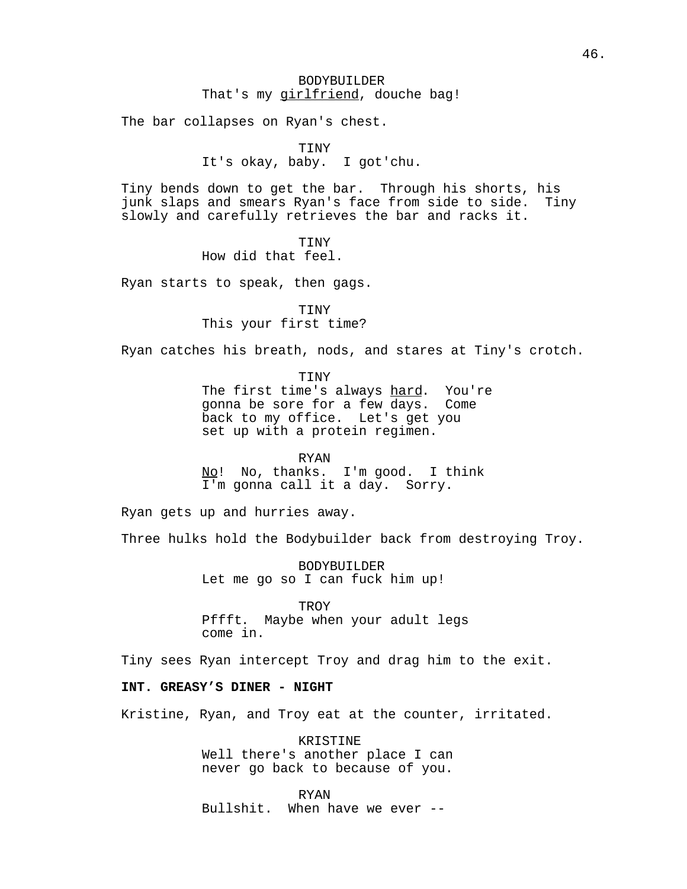## BODYBUILDER That's my girlfriend, douche bag!

The bar collapses on Ryan's chest.

TINY

It's okay, baby. I got'chu.

Tiny bends down to get the bar. Through his shorts, his junk slaps and smears Ryan's face from side to side. Tiny slowly and carefully retrieves the bar and racks it.

> TINY How did that feel.

Ryan starts to speak, then gags.

TINY This your first time?

Ryan catches his breath, nods, and stares at Tiny's crotch.

TINY The first time's always hard. You're gonna be sore for a few days. Come back to my office. Let's get you set up with a protein regimen.

RYAN No! No, thanks. I'm good. I think I'm gonna call it a day. Sorry.

Ryan gets up and hurries away.

Three hulks hold the Bodybuilder back from destroying Troy.

BODYBUILDER Let me go so I can fuck him up!

TROY Pffft. Maybe when your adult legs come in.

Tiny sees Ryan intercept Troy and drag him to the exit.

## **INT. GREASY'S DINER - NIGHT**

Kristine, Ryan, and Troy eat at the counter, irritated.

KRISTINE Well there's another place I can never go back to because of you.

RYAN Bullshit. When have we ever --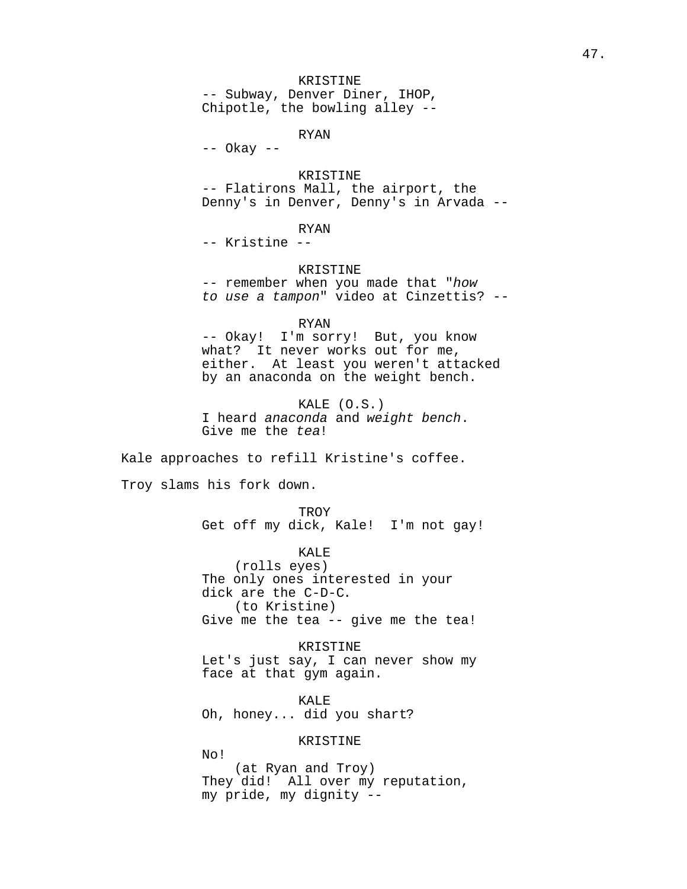## KRISTINE

-- Subway, Denver Diner, IHOP, Chipotle, the bowling alley --

RYAN

-- Okay --

## KRISTINE

-- Flatirons Mall, the airport, the Denny's in Denver, Denny's in Arvada --

# RYAN

-- Kristine --

#### KRISTINE

-- remember when you made that "how to use a tampon" video at Cinzettis? --

#### RYAN

-- Okay! I'm sorry! But, you know what? It never works out for me, either. At least you weren't attacked by an anaconda on the weight bench.

KALE (O.S.) I heard anaconda and weight bench. Give me the tea!

Kale approaches to refill Kristine's coffee.

Troy slams his fork down.

**TROY** Get off my dick, Kale! I'm not gay!

KALE (rolls eyes) The only ones interested in your dick are the C-D-C. (to Kristine) Give me the tea -- give me the tea!

KRISTINE Let's just say, I can never show my face at that gym again.

KALE Oh, honey... did you shart?

### KRISTINE

No!

(at Ryan and Troy) They did! All over my reputation, my pride, my dignity --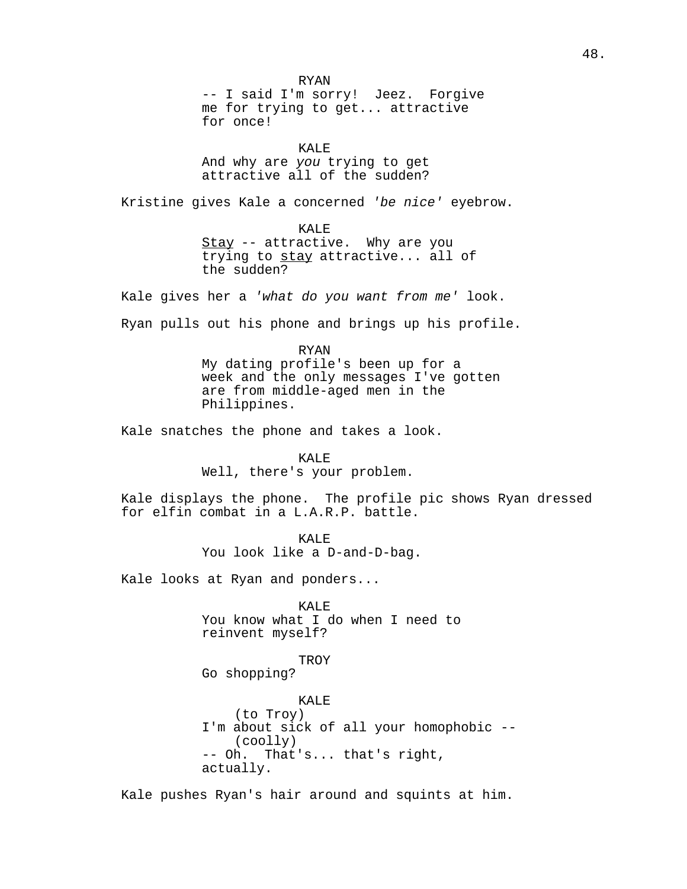RYAN -- I said I'm sorry! Jeez. Forgive me for trying to get... attractive for once! KALE And why are you trying to get attractive all of the sudden? Kristine gives Kale a concerned 'be nice' eyebrow. KALE Stay -- attractive. Why are you trying to stay attractive... all of the sudden? Kale gives her a 'what do you want from me' look. Ryan pulls out his phone and brings up his profile. RYAN My dating profile's been up for a week and the only messages I've gotten are from middle-aged men in the Philippines. Kale snatches the phone and takes a look. KALE Well, there's your problem. Kale displays the phone. The profile pic shows Ryan dressed for elfin combat in a L.A.R.P. battle. KALE You look like a D-and-D-bag. Kale looks at Ryan and ponders... KALE You know what I do when I need to reinvent myself? TROY Go shopping? KALE (to Troy) I'm about sick of all your homophobic -- (coolly) -- Oh. That's... that's right, actually.

Kale pushes Ryan's hair around and squints at him.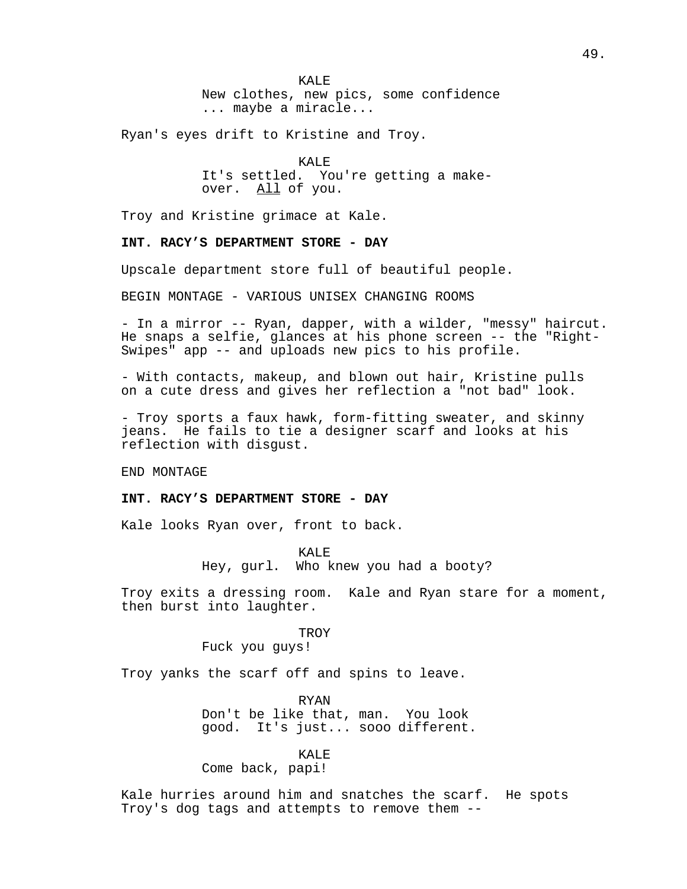KALE<sup>R</sup> New clothes, new pics, some confidence ... maybe a miracle...

Ryan's eyes drift to Kristine and Troy.

KALE It's settled. You're getting a makeover. All of you.

Troy and Kristine grimace at Kale.

### **INT. RACY'S DEPARTMENT STORE - DAY**

Upscale department store full of beautiful people.

BEGIN MONTAGE - VARIOUS UNISEX CHANGING ROOMS

- In a mirror -- Ryan, dapper, with a wilder, "messy" haircut. He snaps a selfie, glances at his phone screen -- the "Right-Swipes" app -- and uploads new pics to his profile.

- With contacts, makeup, and blown out hair, Kristine pulls on a cute dress and gives her reflection a "not bad" look.

- Troy sports a faux hawk, form-fitting sweater, and skinny jeans. He fails to tie a designer scarf and looks at his reflection with disgust.

END MONTAGE

#### **INT. RACY'S DEPARTMENT STORE - DAY**

Kale looks Ryan over, front to back.

KALE<sup>T</sup>

Hey, gurl. Who knew you had a booty?

Troy exits a dressing room. Kale and Ryan stare for a moment, then burst into laughter.

TROY

Fuck you guys!

Troy yanks the scarf off and spins to leave.

RYAN Don't be like that, man. You look good. It's just... sooo different.

#### KALE

Come back, papi!

Kale hurries around him and snatches the scarf. He spots Troy's dog tags and attempts to remove them --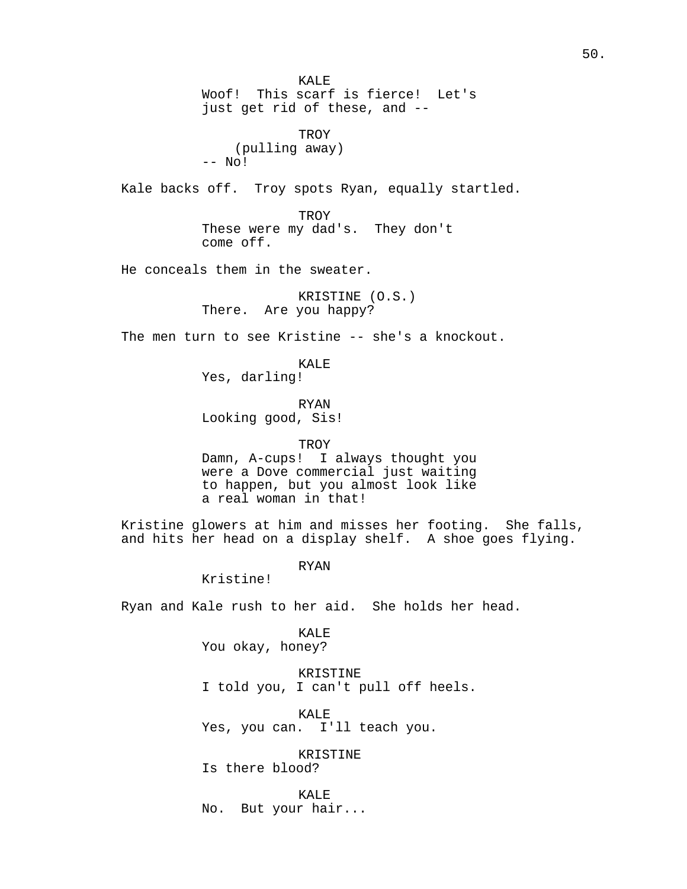KALE Woof! This scarf is fierce! Let's just get rid of these, and -- TROY (pulling away) -- No! Kale backs off. Troy spots Ryan, equally startled. **TROY** These were my dad's. They don't come off. He conceals them in the sweater. KRISTINE (O.S.) There. Are you happy? The men turn to see Kristine -- she's a knockout. KALE Yes, darling! RYAN Looking good, Sis! TROY Damn, A-cups! I always thought you were a Dove commercial just waiting to happen, but you almost look like a real woman in that! Kristine glowers at him and misses her footing. She falls, and hits her head on a display shelf. A shoe goes flying. RYAN Kristine! Ryan and Kale rush to her aid. She holds her head. KALE You okay, honey? KRISTINE I told you, I can't pull off heels. KALE Yes, you can. I'll teach you. KRISTINE Is there blood?

KALE No. But your hair...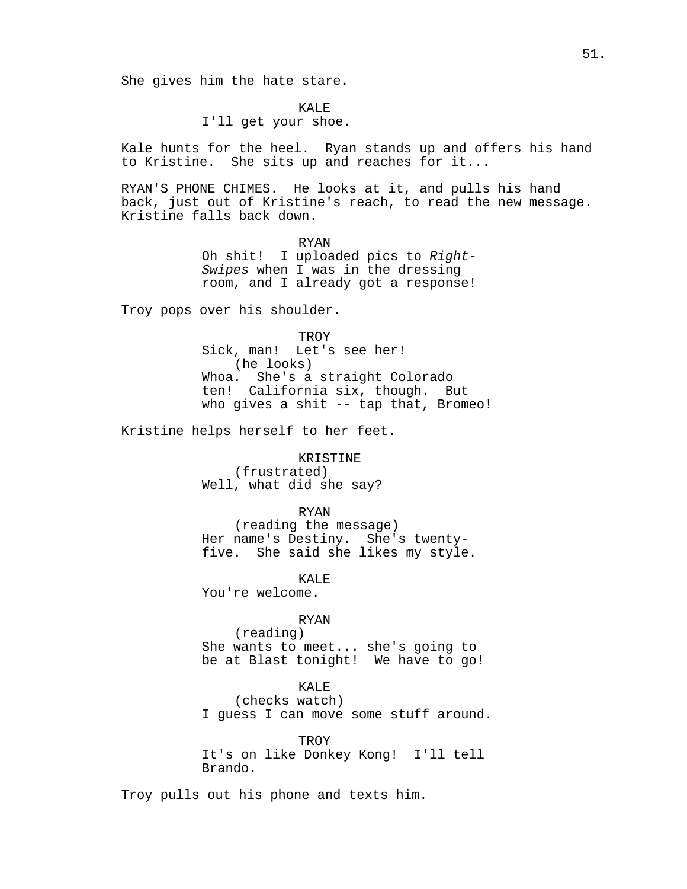She gives him the hate stare.

KALE<sup>R</sup>

I'll get your shoe.

Kale hunts for the heel. Ryan stands up and offers his hand to Kristine. She sits up and reaches for it...

RYAN'S PHONE CHIMES. He looks at it, and pulls his hand back, just out of Kristine's reach, to read the new message. Kristine falls back down.

> RYAN Oh shit! I uploaded pics to Right-Swipes when I was in the dressing room, and I already got a response!

Troy pops over his shoulder.

**TROY** Sick, man! Let's see her! (he looks) Whoa. She's a straight Colorado ten! California six, though. But who gives a shit -- tap that, Bromeo!

Kristine helps herself to her feet.

KRISTINE (frustrated) Well, what did she say?

### RYAN

(reading the message) Her name's Destiny. She's twentyfive. She said she likes my style.

You're welcome.

#### RYAN

KALE

(reading) She wants to meet... she's going to be at Blast tonight! We have to go!

### KALE

(checks watch) I guess I can move some stuff around.

## **TROY**

It's on like Donkey Kong! I'll tell Brando.

Troy pulls out his phone and texts him.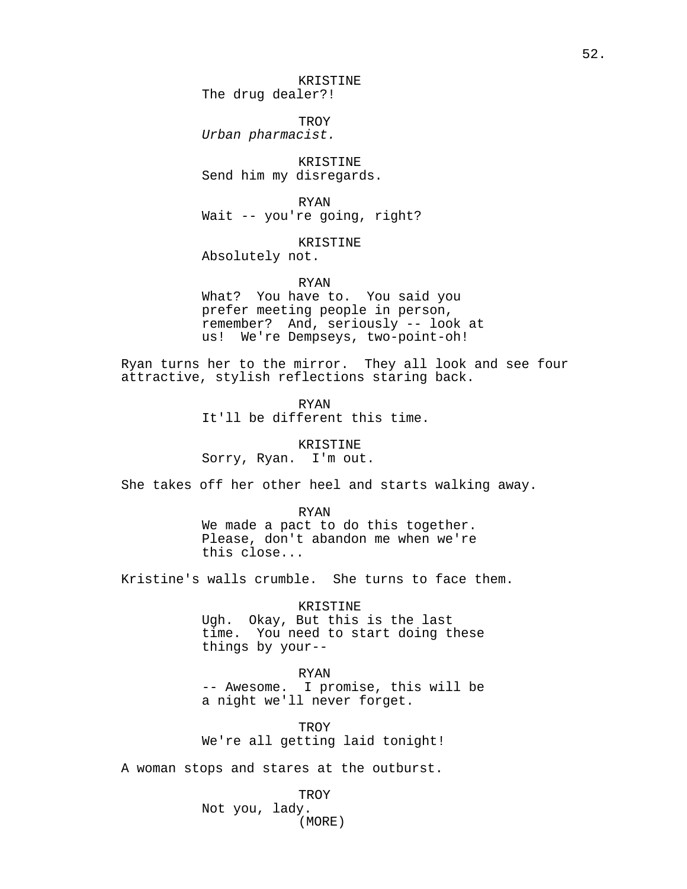KRISTINE The drug dealer?!

TROY Urban pharmacist.

KRISTINE Send him my disregards.

RYAN Wait -- you're going, right?

KRISTINE

Absolutely not.

RYAN

What? You have to. You said you prefer meeting people in person, remember? And, seriously -- look at us! We're Dempseys, two-point-oh!

Ryan turns her to the mirror. They all look and see four attractive, stylish reflections staring back.

> RYAN It'll be different this time.

KRISTINE Sorry, Ryan. I'm out.

She takes off her other heel and starts walking away.

#### RYAN

We made a pact to do this together. Please, don't abandon me when we're this close...

Kristine's walls crumble. She turns to face them.

KRISTINE Ugh. Okay, But this is the last time. You need to start doing these things by your--

RYAN

-- Awesome. I promise, this will be a night we'll never forget.

**TROY** We're all getting laid tonight!

A woman stops and stares at the outburst.

**TROY** Not you, lady. (MORE)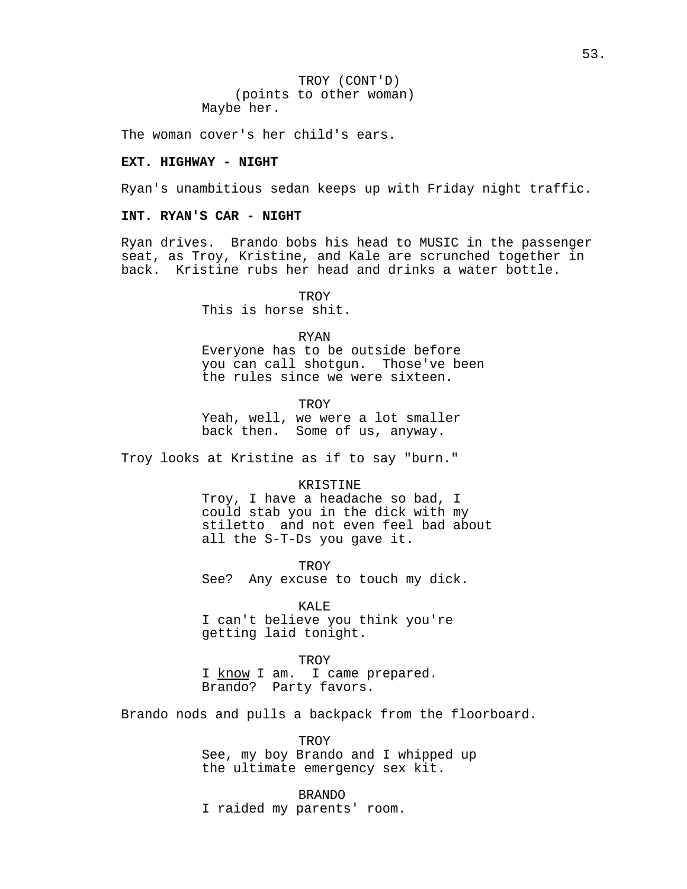TROY (CONT'D) (points to other woman) Maybe her.

The woman cover's her child's ears.

#### **EXT. HIGHWAY - NIGHT**

Ryan's unambitious sedan keeps up with Friday night traffic.

### **INT. RYAN'S CAR - NIGHT**

Ryan drives. Brando bobs his head to MUSIC in the passenger seat, as Troy, Kristine, and Kale are scrunched together in back. Kristine rubs her head and drinks a water bottle.

**TROY** 

This is horse shit.

#### RYAN

Everyone has to be outside before you can call shotgun. Those've been the rules since we were sixteen.

**TROY** 

Yeah, well, we were a lot smaller back then. Some of us, anyway.

Troy looks at Kristine as if to say "burn."

### KRISTINE

Troy, I have a headache so bad, I could stab you in the dick with my stiletto and not even feel bad about all the S-T-Ds you gave it.

TROY

See? Any excuse to touch my dick.

KALE

I can't believe you think you're getting laid tonight.

### TROY

I know I am. I came prepared. Brando? Party favors.

Brando nods and pulls a backpack from the floorboard.

**TROY** See, my boy Brando and I whipped up the ultimate emergency sex kit.

BRANDO I raided my parents' room.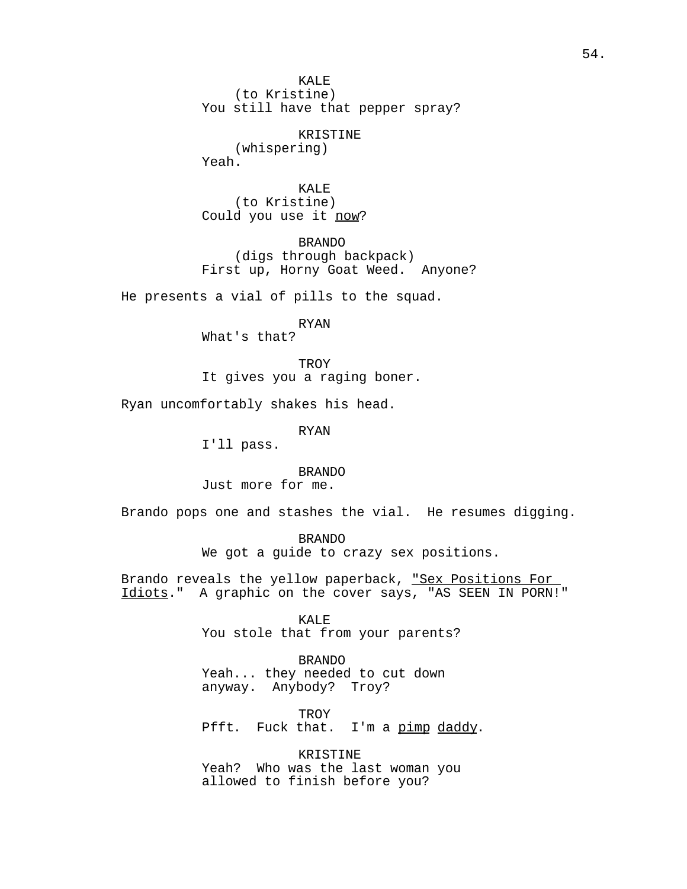KALE<sup>T</sup> (to Kristine) You still have that pepper spray?

KRISTINE

(whispering) Yeah.

KALE (to Kristine) Could you use it now?

BRANDO (digs through backpack) First up, Horny Goat Weed. Anyone?

He presents a vial of pills to the squad.

RYAN

What's that?

**TROY** It gives you a raging boner.

Ryan uncomfortably shakes his head.

RYAN

I'll pass.

BRANDO

Just more for me.

Brando pops one and stashes the vial. He resumes digging.

BRANDO We got a guide to crazy sex positions.

Brando reveals the yellow paperback, "Sex Positions For Idiots." A graphic on the cover says, "AS SEEN IN PORN!"

> KALE<sup>R</sup> You stole that from your parents?

BRANDO Yeah... they needed to cut down anyway. Anybody? Troy?

TROY Pfft. Fuck that. I'm a pimp daddy.

KRISTINE Yeah? Who was the last woman you allowed to finish before you?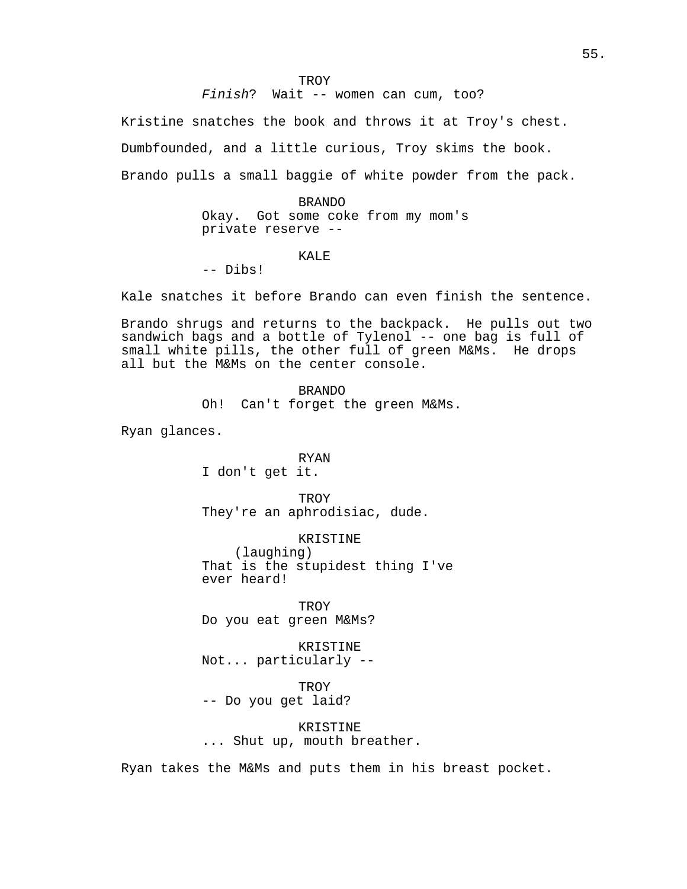TROY

Finish? Wait -- women can cum, too?

Kristine snatches the book and throws it at Troy's chest. Dumbfounded, and a little curious, Troy skims the book. Brando pulls a small baggie of white powder from the pack.

> BRANDO Okay. Got some coke from my mom's private reserve --

#### KALE

-- Dibs!

Kale snatches it before Brando can even finish the sentence.

Brando shrugs and returns to the backpack. He pulls out two sandwich bags and a bottle of Tylenol -- one bag is full of small white pills, the other full of green M&Ms. He drops all but the M&Ms on the center console.

> BRANDO Oh! Can't forget the green M&Ms.

Ryan glances.

RYAN I don't get it.

**TROY** They're an aphrodisiac, dude.

KRISTINE

(laughing) That is the stupidest thing I've ever heard!

TROY Do you eat green M&Ms?

KRISTINE Not... particularly --

**TROY** -- Do you get laid?

KRISTINE ... Shut up, mouth breather.

Ryan takes the M&Ms and puts them in his breast pocket.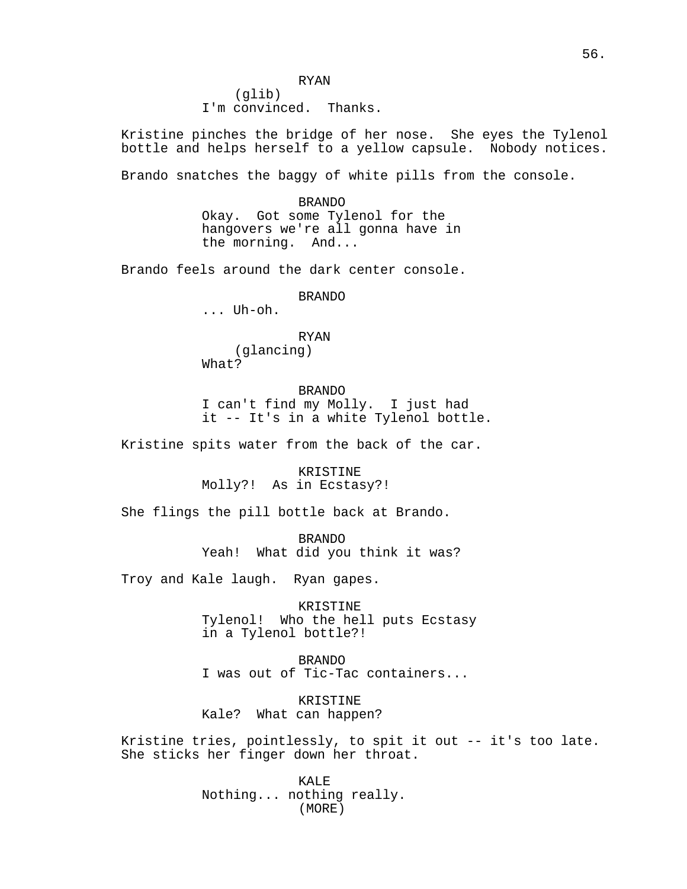RYAN (glib) I'm convinced. Thanks.

Kristine pinches the bridge of her nose. She eyes the Tylenol bottle and helps herself to a yellow capsule. Nobody notices.

Brando snatches the baggy of white pills from the console.

BRANDO Okay. Got some Tylenol for the hangovers we're all gonna have in the morning. And...

Brando feels around the dark center console.

BRANDO

... Uh-oh.

## RYAN (glancing) What?

BRANDO I can't find my Molly. I just had it -- It's in a white Tylenol bottle.

Kristine spits water from the back of the car.

KRISTINE Molly?! As in Ecstasy?!

She flings the pill bottle back at Brando.

BRANDO Yeah! What did you think it was?

Troy and Kale laugh. Ryan gapes.

KRISTINE Tylenol! Who the hell puts Ecstasy in a Tylenol bottle?!

BRANDO I was out of Tic-Tac containers...

KRISTINE Kale? What can happen?

Kristine tries, pointlessly, to spit it out -- it's too late. She sticks her finger down her throat.

> KALE Nothing... nothing really. (MORE)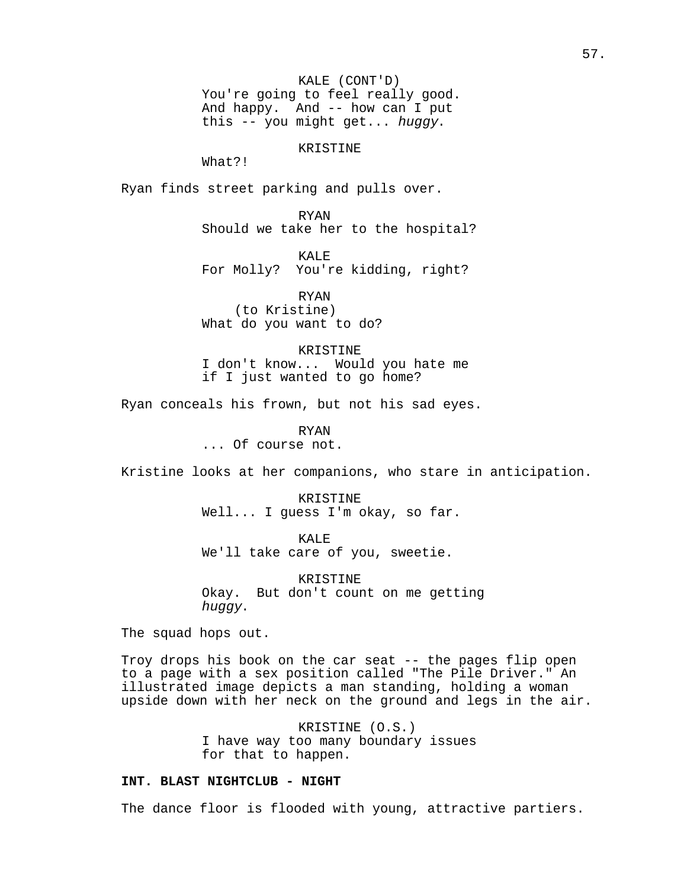KALE (CONT'D) You're going to feel really good. And happy. And -- how can I put this -- you might get... huggy.

## KRISTINE

What?!

Ryan finds street parking and pulls over.

RYAN

Should we take her to the hospital?

KALE

For Molly? You're kidding, right?

RYAN (to Kristine) What do you want to do?

KRISTINE

I don't know... Would you hate me if I just wanted to go home?

Ryan conceals his frown, but not his sad eyes.

RYAN

... Of course not.

Kristine looks at her companions, who stare in anticipation.

KRISTINE Well... I guess I'm okay, so far.

KALE We'll take care of you, sweetie.

KRISTINE Okay. But don't count on me getting huggy.

The squad hops out.

Troy drops his book on the car seat -- the pages flip open to a page with a sex position called "The Pile Driver." An illustrated image depicts a man standing, holding a woman upside down with her neck on the ground and legs in the air.

> KRISTINE (O.S.) I have way too many boundary issues for that to happen.

## **INT. BLAST NIGHTCLUB - NIGHT**

The dance floor is flooded with young, attractive partiers.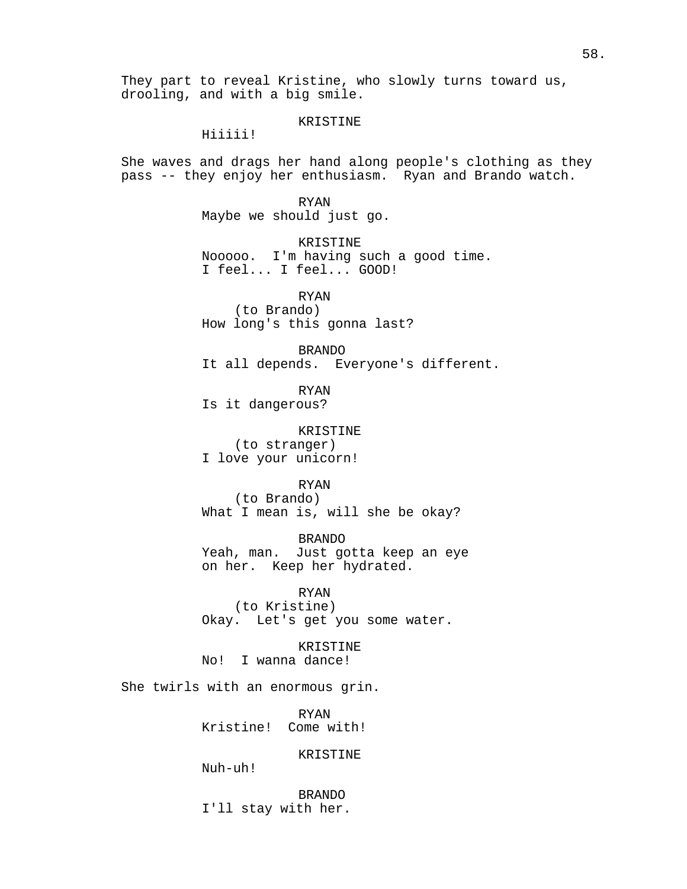They part to reveal Kristine, who slowly turns toward us, drooling, and with a big smile.

#### KRISTINE

Hiiiii!

She waves and drags her hand along people's clothing as they pass -- they enjoy her enthusiasm. Ryan and Brando watch.

> RYAN Maybe we should just go.

KRISTINE Nooooo. I'm having such a good time. I feel... I feel... GOOD!

RYAN (to Brando) How long's this gonna last?

BRANDO It all depends. Everyone's different.

RYAN Is it dangerous?

KRISTINE (to stranger) I love your unicorn!

RYAN

(to Brando) What I mean is, will she be okay?

BRANDO Yeah, man. Just gotta keep an eye on her. Keep her hydrated.

RYAN (to Kristine) Okay. Let's get you some water.

KRISTINE No! I wanna dance!

She twirls with an enormous grin.

RYAN Kristine! Come with!

KRISTINE

Nuh-uh!

BRANDO I'll stay with her.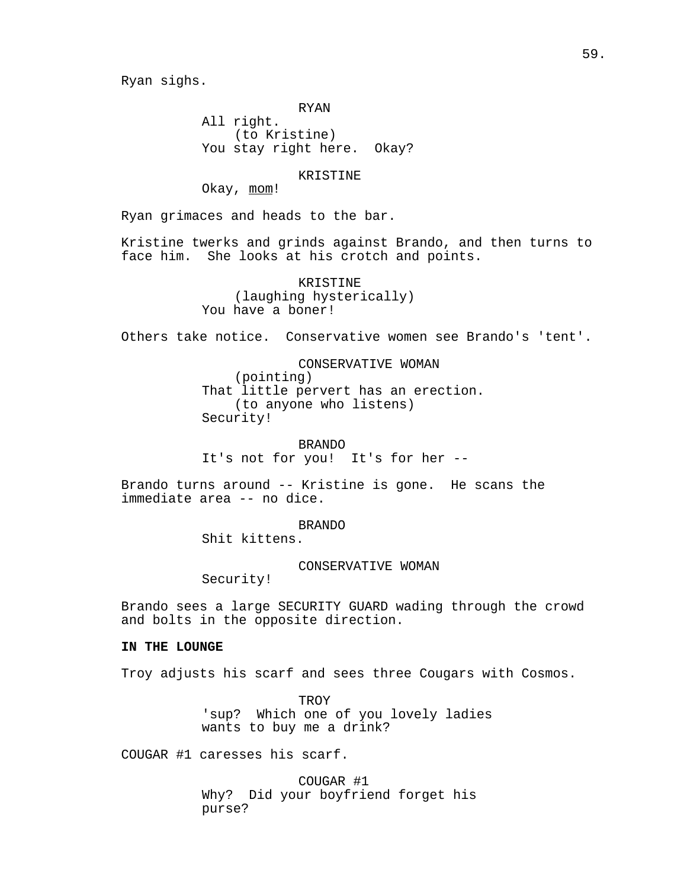Ryan sighs.

RYAN

All right. (to Kristine) You stay right here. Okay?

KRISTINE

Okay, mom!

Ryan grimaces and heads to the bar.

Kristine twerks and grinds against Brando, and then turns to face him. She looks at his crotch and points.

> KRISTINE (laughing hysterically) You have a boner!

Others take notice. Conservative women see Brando's 'tent'.

CONSERVATIVE WOMAN (pointing)

That little pervert has an erection. (to anyone who listens) Security!

BRANDO It's not for you! It's for her --

Brando turns around -- Kristine is gone. He scans the immediate area -- no dice.

BRANDO

Shit kittens.

CONSERVATIVE WOMAN

Security!

Brando sees a large SECURITY GUARD wading through the crowd and bolts in the opposite direction.

## **IN THE LOUNGE**

Troy adjusts his scarf and sees three Cougars with Cosmos.

TROY 'sup? Which one of you lovely ladies wants to buy me a drink?

COUGAR #1 caresses his scarf.

COUGAR #1 Why? Did your boyfriend forget his purse?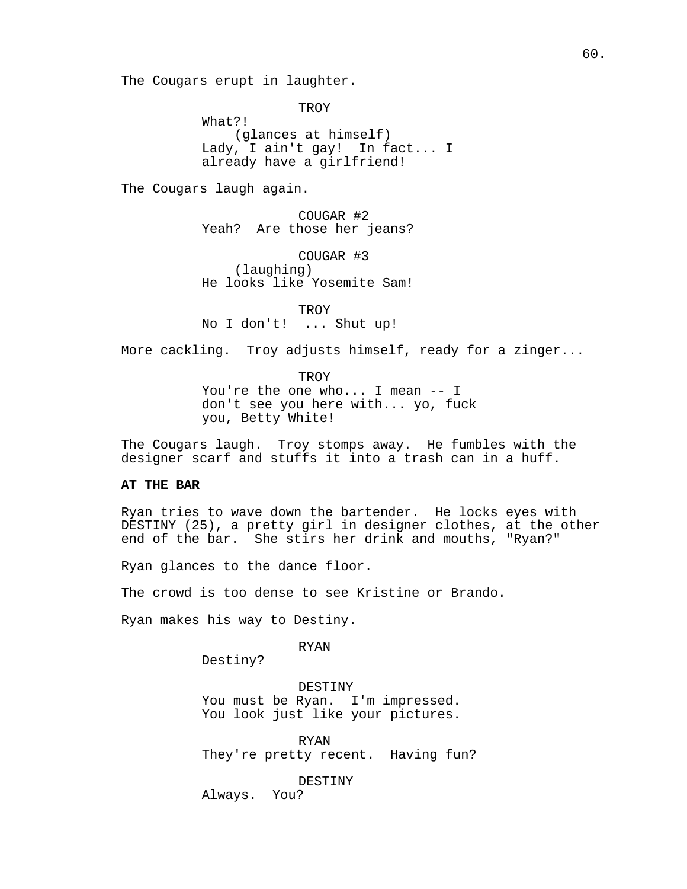The Cougars erupt in laughter.

**TROY** 

What?! (glances at himself) Lady, I ain't gay! In fact... I already have a girlfriend!

The Cougars laugh again.

COUGAR #2 Yeah? Are those her jeans?

COUGAR #3 (laughing) He looks like Yosemite Sam!

TROY No I don't! ... Shut up!

More cackling. Troy adjusts himself, ready for a zinger...

**TROY** You're the one who... I mean -- I don't see you here with... yo, fuck you, Betty White!

The Cougars laugh. Troy stomps away. He fumbles with the designer scarf and stuffs it into a trash can in a huff.

## **AT THE BAR**

Ryan tries to wave down the bartender. He locks eyes with DESTINY (25), a pretty girl in designer clothes, at the other end of the bar. She stirs her drink and mouths, "Ryan?"

Ryan glances to the dance floor.

The crowd is too dense to see Kristine or Brando.

Ryan makes his way to Destiny.

RYAN

Destiny?

DESTINY You must be Ryan. I'm impressed. You look just like your pictures.

RYAN They're pretty recent. Having fun?

DESTINY

Always. You?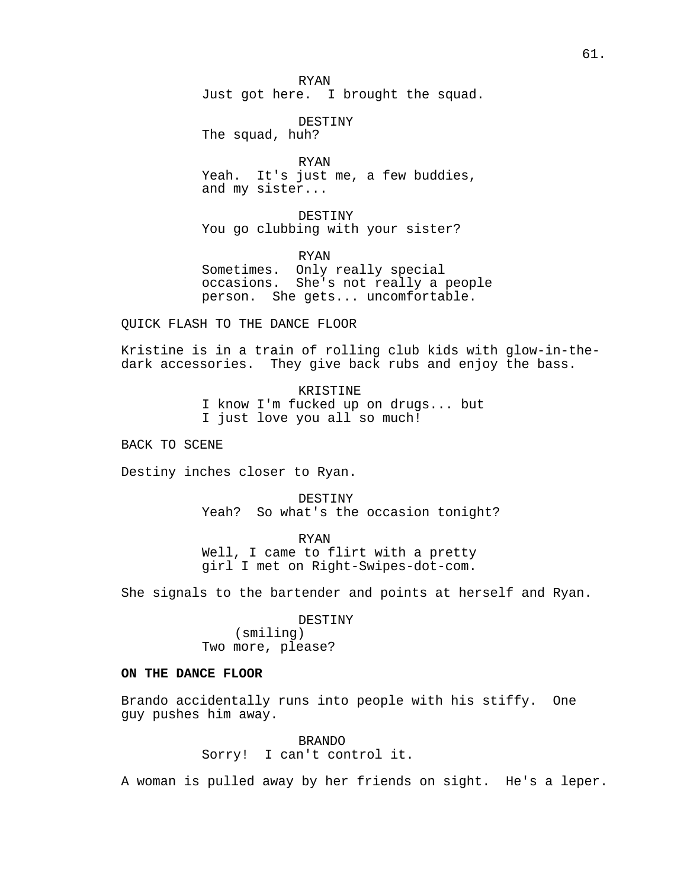RYAN Just got here. I brought the squad.

DESTINY

The squad, huh?

RYAN Yeah. It's just me, a few buddies, and my sister...

DESTINY You go clubbing with your sister?

RYAN

Sometimes. Only really special occasions. She's not really a people person. She gets... uncomfortable.

QUICK FLASH TO THE DANCE FLOOR

Kristine is in a train of rolling club kids with glow-in-thedark accessories. They give back rubs and enjoy the bass.

> KRISTINE I know I'm fucked up on drugs... but I just love you all so much!

BACK TO SCENE

Destiny inches closer to Ryan.

DESTINY Yeah? So what's the occasion tonight?

RYAN Well, I came to flirt with a pretty girl I met on Right-Swipes-dot-com.

She signals to the bartender and points at herself and Ryan.

DESTINY (smiling) Two more, please?

## **ON THE DANCE FLOOR**

Brando accidentally runs into people with his stiffy. One guy pushes him away.

> BRANDO Sorry! I can't control it.

A woman is pulled away by her friends on sight. He's a leper.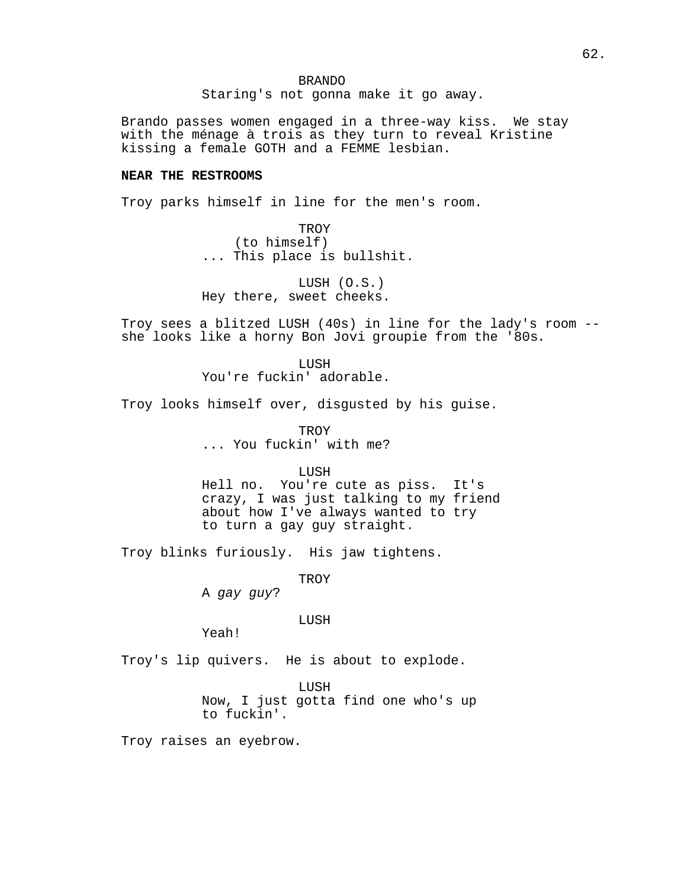Staring's not gonna make it go away.

Brando passes women engaged in a three-way kiss. We stay with the ménage à trois as they turn to reveal Kristine kissing a female GOTH and a FEMME lesbian.

## **NEAR THE RESTROOMS**

Troy parks himself in line for the men's room.

**TROY** (to himself) ... This place is bullshit.

LUSH (O.S.) Hey there, sweet cheeks.

Troy sees a blitzed LUSH (40s) in line for the lady's room - she looks like a horny Bon Jovi groupie from the '80s.

> LUSH You're fuckin' adorable.

Troy looks himself over, disgusted by his guise.

**TROY** ... You fuckin' with me?

#### **LUSH**

Hell no. You're cute as piss. It's crazy, I was just talking to my friend about how I've always wanted to try to turn a gay guy straight.

Troy blinks furiously. His jaw tightens.

TROY

A gay guy?

#### **LUSH**

Yeah!

Troy's lip quivers. He is about to explode.

LUSH

Now, I just gotta find one who's up to fuckin'.

Troy raises an eyebrow.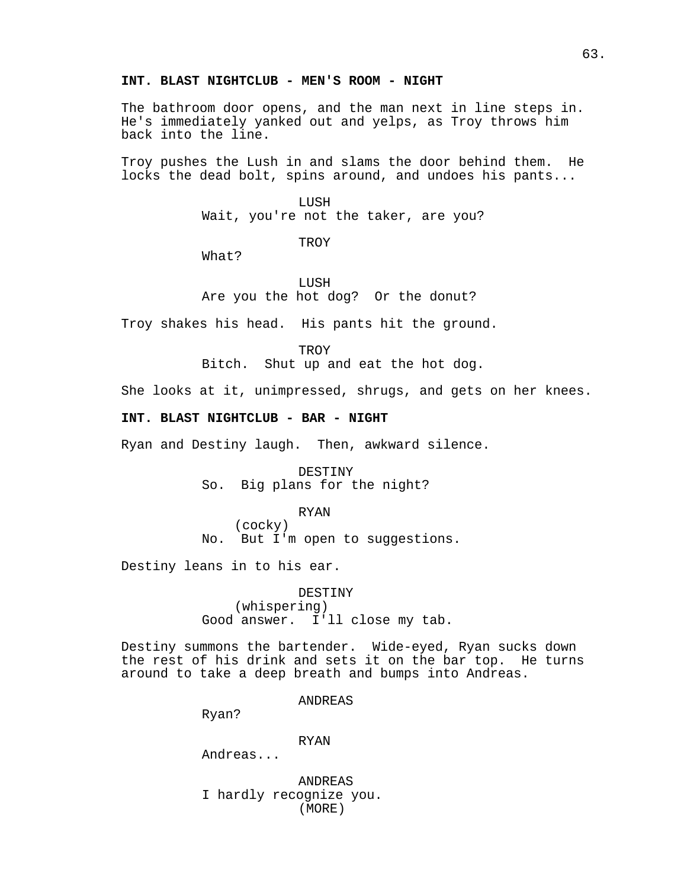## **INT. BLAST NIGHTCLUB - MEN'S ROOM - NIGHT**

The bathroom door opens, and the man next in line steps in. He's immediately yanked out and yelps, as Troy throws him back into the line.

Troy pushes the Lush in and slams the door behind them. He locks the dead bolt, spins around, and undoes his pants...

> LUSH Wait, you're not the taker, are you?

> > **TROY**

What?

LUSH Are you the hot dog? Or the donut?

Troy shakes his head. His pants hit the ground.

**TROY** 

Bitch. Shut up and eat the hot dog.

She looks at it, unimpressed, shrugs, and gets on her knees.

### **INT. BLAST NIGHTCLUB - BAR - NIGHT**

Ryan and Destiny laugh. Then, awkward silence.

DESTINY So. Big plans for the night?

#### RYAN

(cocky) No. But I'm open to suggestions.

Destiny leans in to his ear.

DESTINY (whispering) Good answer. I'll close my tab.

Destiny summons the bartender. Wide-eyed, Ryan sucks down the rest of his drink and sets it on the bar top. He turns around to take a deep breath and bumps into Andreas.

## ANDREAS

Ryan?

RYAN

Andreas...

ANDREAS I hardly recognize you. (MORE)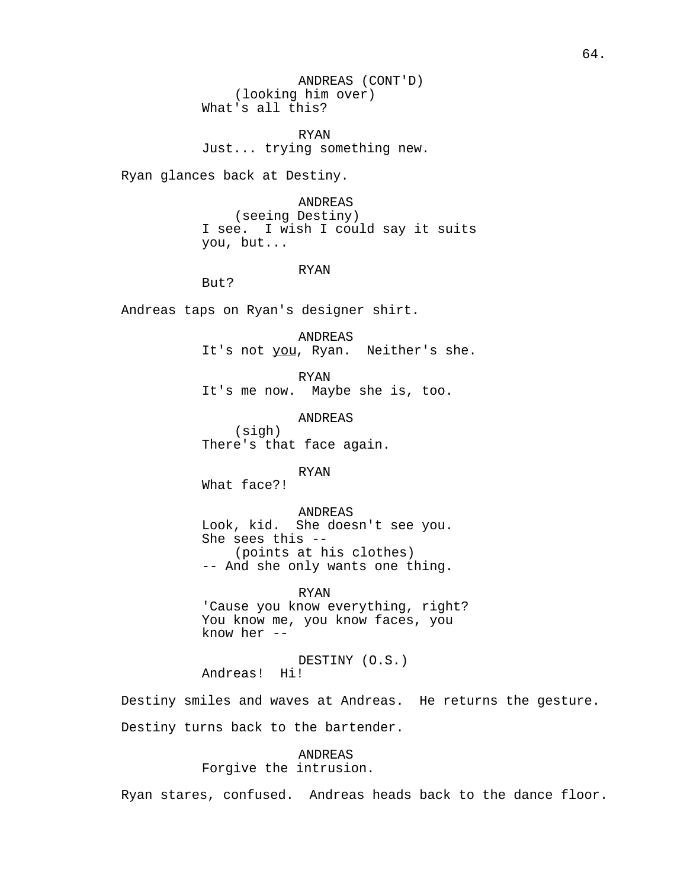ANDREAS (CONT'D) (looking him over) What's all this?

RYAN Just... trying something new.

Ryan glances back at Destiny.

ANDREAS (seeing Destiny) I see. I wish I could say it suits you, but...

#### RYAN

But?

Andreas taps on Ryan's designer shirt.

ANDREAS It's not you, Ryan. Neither's she.

RYAN It's me now. Maybe she is, too.

ANDREAS (sigh) There's that face again.

RYAN

What face?!

ANDREAS

Look, kid. She doesn't see you. She sees this -- (points at his clothes) -- And she only wants one thing.

## RYAN

'Cause you know everything, right? You know me, you know faces, you know her --

DESTINY (O.S.) Andreas! Hi!

Destiny smiles and waves at Andreas. He returns the gesture. Destiny turns back to the bartender.

> ANDREAS Forgive the intrusion.

Ryan stares, confused. Andreas heads back to the dance floor.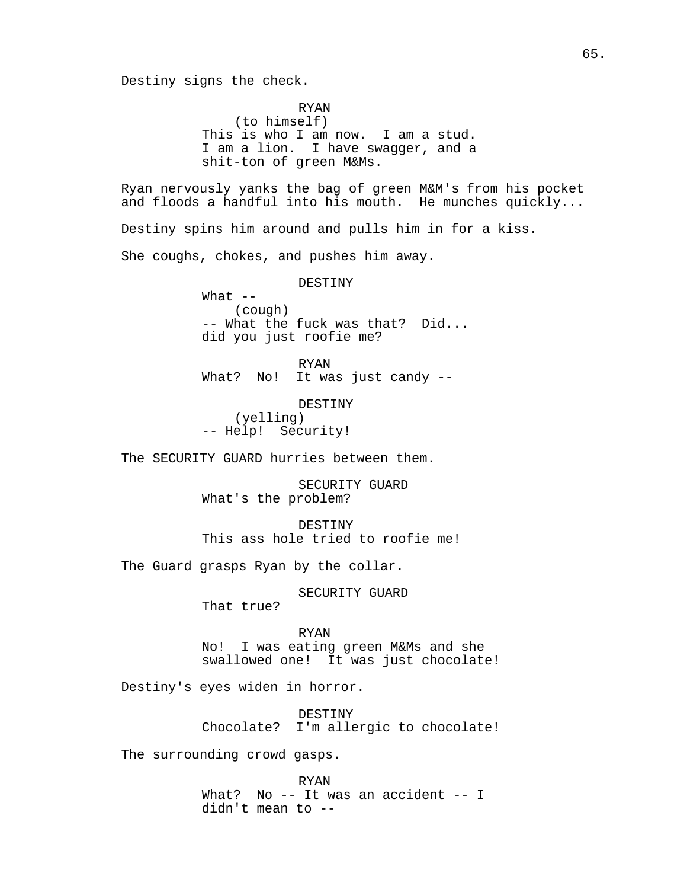Destiny signs the check.

RYAN (to himself) This is who I am now. I am a stud. I am a lion. I have swagger, and a shit-ton of green M&Ms.

Ryan nervously yanks the bag of green M&M's from his pocket and floods a handful into his mouth. He munches quickly...

Destiny spins him around and pulls him in for a kiss.

She coughs, chokes, and pushes him away.

DESTINY

What  $--$ (cough) -- What the fuck was that? Did... did you just roofie me?

RYAN

What? No! It was just candy --

DESTINY (yelling) -- Help! Security!

The SECURITY GUARD hurries between them.

SECURITY GUARD What's the problem?

DESTINY This ass hole tried to roofie me!

The Guard grasps Ryan by the collar.

SECURITY GUARD

That true?

RYAN

No! I was eating green M&Ms and she swallowed one! It was just chocolate!

Destiny's eyes widen in horror.

DESTINY Chocolate? I'm allergic to chocolate!

The surrounding crowd gasps.

RYAN What? No -- It was an accident -- I didn't mean to --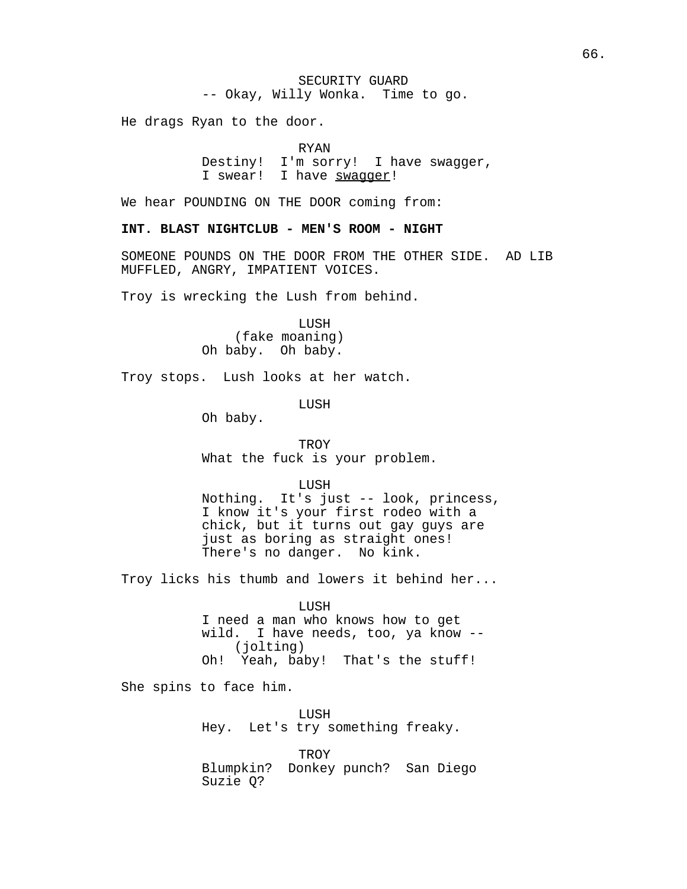He drags Ryan to the door.

### RYAN

Destiny! I'm sorry! I have swagger, I swear! I have swaqqer!

We hear POUNDING ON THE DOOR coming from:

## **INT. BLAST NIGHTCLUB - MEN'S ROOM - NIGHT**

SOMEONE POUNDS ON THE DOOR FROM THE OTHER SIDE. AD LIB MUFFLED, ANGRY, IMPATIENT VOICES.

Troy is wrecking the Lush from behind.

LUSH (fake moaning) Oh baby. Oh baby.

Troy stops. Lush looks at her watch.

LUSH

Oh baby.

**TROY** 

What the fuck is your problem.

LUSH

Nothing. It's just -- look, princess, I know it's your first rodeo with a chick, but it turns out gay guys are just as boring as straight ones! There's no danger. No kink.

Troy licks his thumb and lowers it behind her...

# LUSH I need a man who knows how to get wild. I have needs, too, ya know -- (jolting)

Oh! Yeah, baby! That's the stuff!

She spins to face him.

LUSH Hey. Let's try something freaky.

TROY Blumpkin? Donkey punch? San Diego Suzie Q?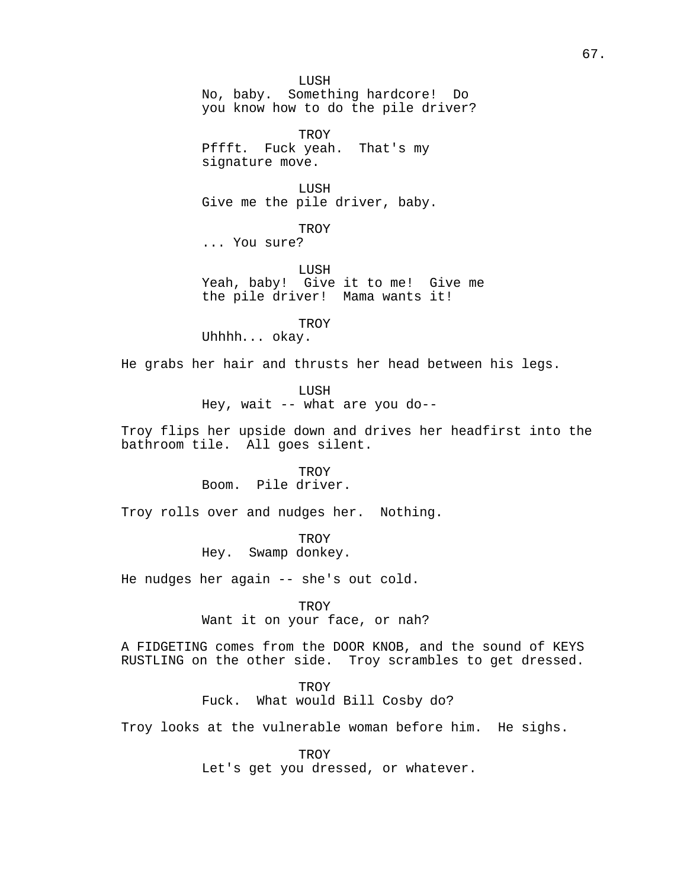LUSH No, baby. Something hardcore! Do you know how to do the pile driver? TROY Pffft. Fuck yeah. That's my signature move. LUSH Give me the pile driver, baby. **TROY** ... You sure? LUSH Yeah, baby! Give it to me! Give me the pile driver! Mama wants it! **TROY** Uhhhh... okay. He grabs her hair and thrusts her head between his legs. LUSH Hey, wait -- what are you do-- Troy flips her upside down and drives her headfirst into the bathroom tile. All goes silent. **TROY** Boom. Pile driver. Troy rolls over and nudges her. Nothing. **TROY** Hey. Swamp donkey. He nudges her again -- she's out cold. TROY Want it on your face, or nah? A FIDGETING comes from the DOOR KNOB, and the sound of KEYS RUSTLING on the other side. Troy scrambles to get dressed. **TROY** Fuck. What would Bill Cosby do? Troy looks at the vulnerable woman before him. He sighs.

> TROY Let's get you dressed, or whatever.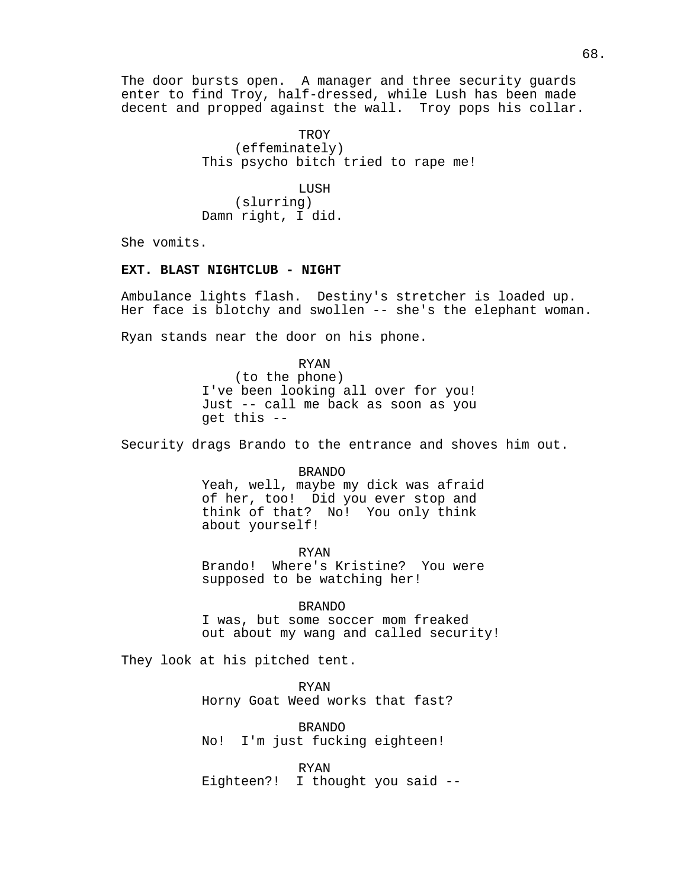The door bursts open. A manager and three security guards enter to find Troy, half-dressed, while Lush has been made decent and propped against the wall. Troy pops his collar.

> **TROY** (effeminately) This psycho bitch tried to rape me!

LUSH (slurring) Damn right, I did.

She vomits.

#### **EXT. BLAST NIGHTCLUB - NIGHT**

Ambulance lights flash. Destiny's stretcher is loaded up. Her face is blotchy and swollen -- she's the elephant woman.

Ryan stands near the door on his phone.

RYAN (to the phone) I've been looking all over for you! Just -- call me back as soon as you get this --

Security drags Brando to the entrance and shoves him out.

BRANDO Yeah, well, maybe my dick was afraid of her, too! Did you ever stop and think of that? No! You only think about yourself!

RYAN

Brando! Where's Kristine? You were supposed to be watching her!

BRANDO I was, but some soccer mom freaked out about my wang and called security!

They look at his pitched tent.

RYAN Horny Goat Weed works that fast?

BRANDO No! I'm just fucking eighteen!

RYAN Eighteen?! I thought you said --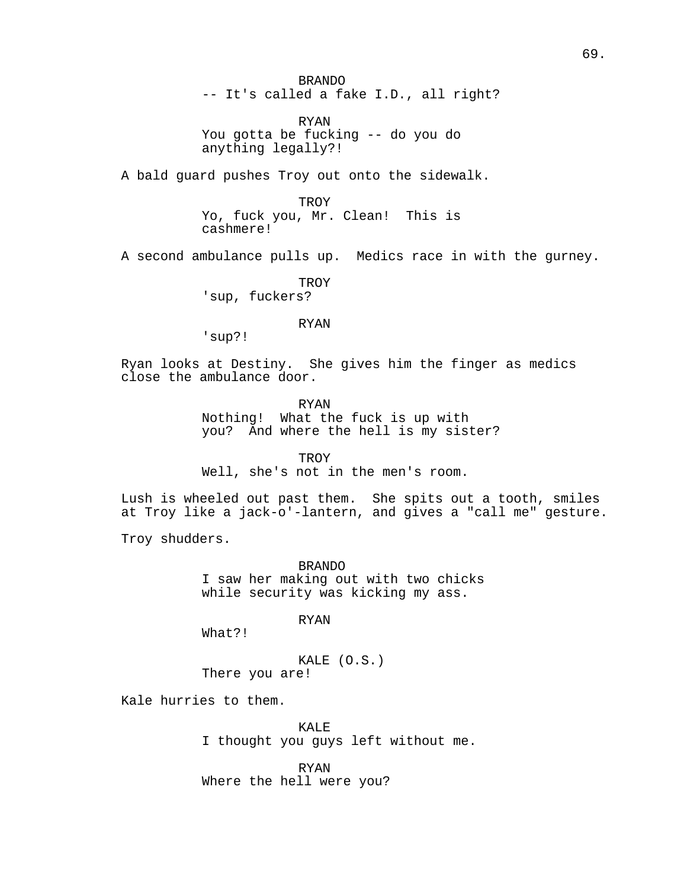BRANDO -- It's called a fake I.D., all right?

RYAN You gotta be fucking -- do you do anything legally?!

A bald guard pushes Troy out onto the sidewalk.

TROY Yo, fuck you, Mr. Clean! This is cashmere!

A second ambulance pulls up. Medics race in with the gurney.

TROY 'sup, fuckers?

#### RYAN

'sup?!

Ryan looks at Destiny. She gives him the finger as medics close the ambulance door.

RYAN

Nothing! What the fuck is up with you? And where the hell is my sister?

**TROY** 

Well, she's not in the men's room.

Lush is wheeled out past them. She spits out a tooth, smiles at Troy like a jack-o'-lantern, and gives a "call me" gesture.

Troy shudders.

BRANDO I saw her making out with two chicks while security was kicking my ass.

RYAN

What?!

KALE (O.S.) There you are!

Kale hurries to them.

KALE I thought you guys left without me.

RYAN Where the hell were you?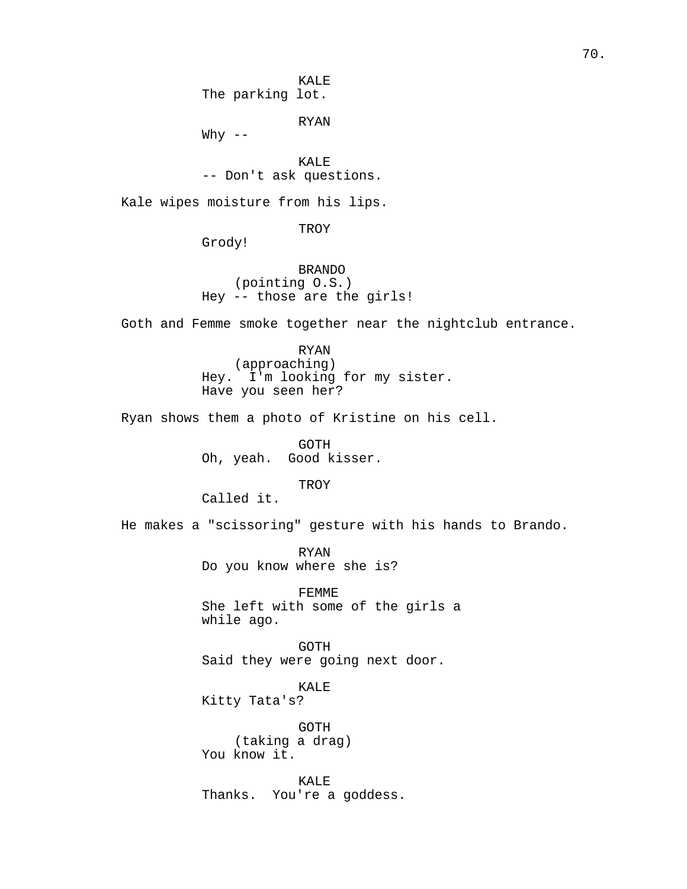KALE The parking lot.

RYAN

Why  $--$ 

KALE -- Don't ask questions.

Kale wipes moisture from his lips.

TROY

Grody!

BRANDO (pointing O.S.) Hey -- those are the girls!

Goth and Femme smoke together near the nightclub entrance.

RYAN (approaching) Hey. I'm looking for my sister. Have you seen her?

Ryan shows them a photo of Kristine on his cell.

GOTH Oh, yeah. Good kisser.

**TROY** 

Called it.

He makes a "scissoring" gesture with his hands to Brando.

RYAN Do you know where she is?

FEMME She left with some of the girls a while ago.

GOTH Said they were going next door.

KALE

Kitty Tata's?

GOTH (taking a drag) You know it.

KALE Thanks. You're a goddess.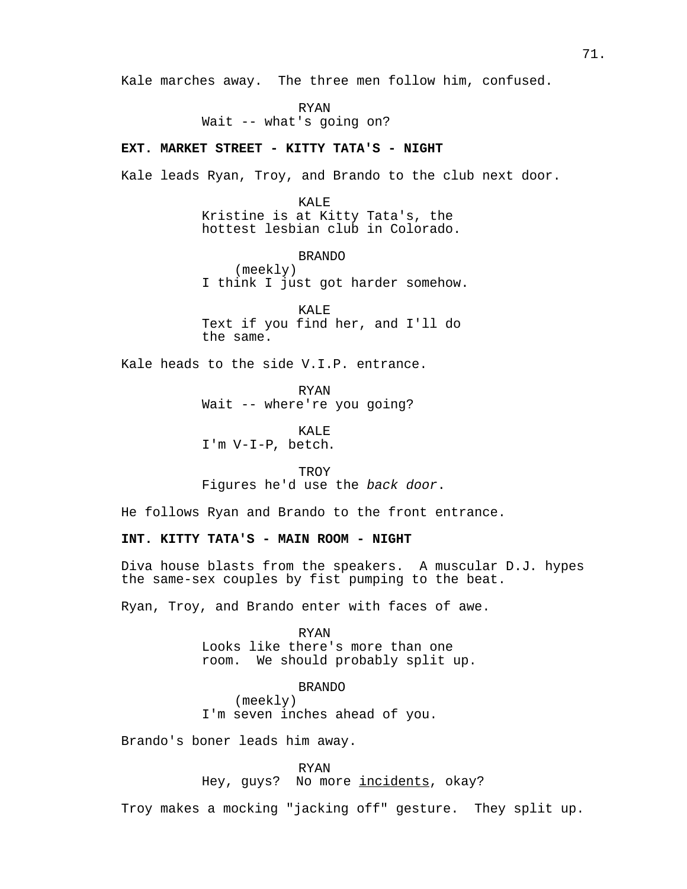Kale marches away. The three men follow him, confused.

RYAN Wait -- what's going on?

## **EXT. MARKET STREET - KITTY TATA'S - NIGHT**

Kale leads Ryan, Troy, and Brando to the club next door.

KALE Kristine is at Kitty Tata's, the hottest lesbian club in Colorado.

BRANDO (meekly) I think I just got harder somehow.

KALE Text if you find her, and I'll do the same.

Kale heads to the side V.I.P. entrance.

RYAN Wait -- where're you going?

KALE<sup>T</sup> I'm V-I-P, betch.

**TROY** Figures he'd use the back door.

He follows Ryan and Brando to the front entrance.

### **INT. KITTY TATA'S - MAIN ROOM - NIGHT**

Diva house blasts from the speakers. A muscular D.J. hypes the same-sex couples by fist pumping to the beat.

Ryan, Troy, and Brando enter with faces of awe.

RYAN Looks like there's more than one room. We should probably split up.

BRANDO (meekly) I'm seven inches ahead of you.

Brando's boner leads him away.

RYAN

Hey, guys? No more incidents, okay?

Troy makes a mocking "jacking off" gesture. They split up.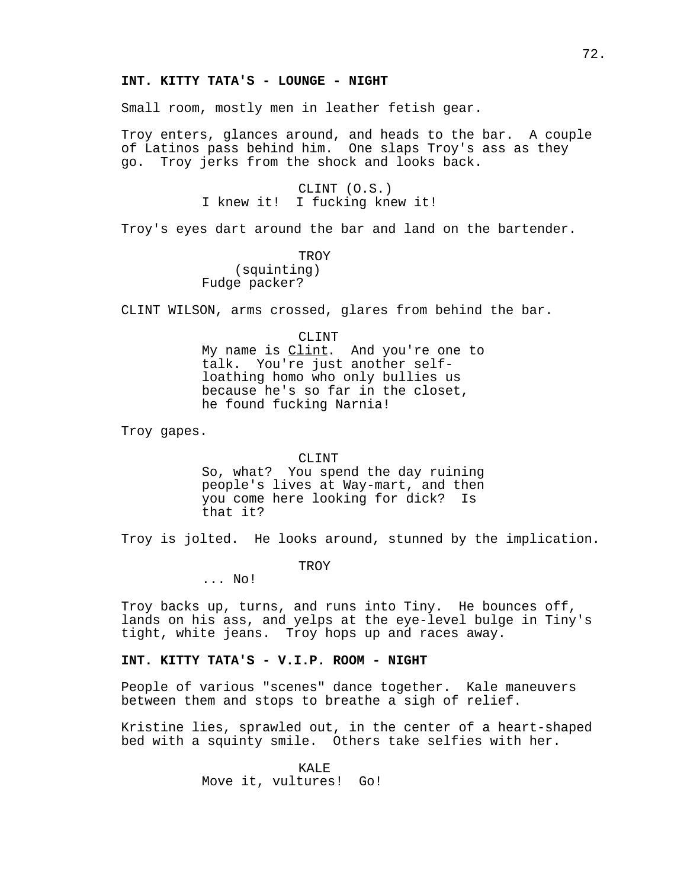#### **INT. KITTY TATA'S - LOUNGE - NIGHT**

Small room, mostly men in leather fetish gear.

Troy enters, glances around, and heads to the bar. A couple of Latinos pass behind him. One slaps Troy's ass as they go. Troy jerks from the shock and looks back.

> CLINT (O.S.) I knew it! I fucking knew it!

Troy's eyes dart around the bar and land on the bartender.

**TROY** (squinting) Fudge packer?

CLINT WILSON, arms crossed, glares from behind the bar.

CLINT

My name is *Clint*. And you're one to talk. You're just another selfloathing homo who only bullies us because he's so far in the closet, he found fucking Narnia!

Troy gapes.

#### CLINT

So, what? You spend the day ruining people's lives at Way-mart, and then you come here looking for dick? Is that it?

Troy is jolted. He looks around, stunned by the implication.

TROY

... No!

Troy backs up, turns, and runs into Tiny. He bounces off, lands on his ass, and yelps at the eye-level bulge in Tiny's tight, white jeans. Troy hops up and races away.

## **INT. KITTY TATA'S - V.I.P. ROOM - NIGHT**

People of various "scenes" dance together. Kale maneuvers between them and stops to breathe a sigh of relief.

Kristine lies, sprawled out, in the center of a heart-shaped bed with a squinty smile. Others take selfies with her.

> KALE. Move it, vultures! Go!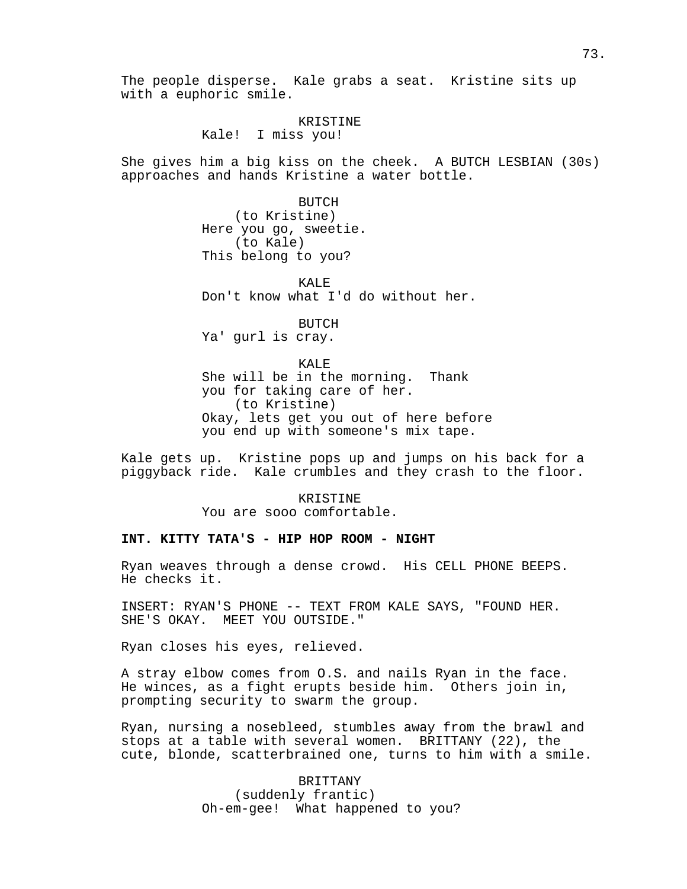The people disperse. Kale grabs a seat. Kristine sits up with a euphoric smile.

#### KRISTINE

Kale! I miss you!

She gives him a big kiss on the cheek. A BUTCH LESBIAN (30s) approaches and hands Kristine a water bottle.

> **BUTCH** (to Kristine) Here you go, sweetie. (to Kale) This belong to you?

KALE Don't know what I'd do without her.

**BUTCH** Ya' gurl is cray.

#### KALE

She will be in the morning. Thank you for taking care of her. (to Kristine) Okay, lets get you out of here before you end up with someone's mix tape.

Kale gets up. Kristine pops up and jumps on his back for a piggyback ride. Kale crumbles and they crash to the floor.

> KRISTINE You are sooo comfortable.

#### **INT. KITTY TATA'S - HIP HOP ROOM - NIGHT**

Ryan weaves through a dense crowd. His CELL PHONE BEEPS. He checks it.

INSERT: RYAN'S PHONE -- TEXT FROM KALE SAYS, "FOUND HER. SHE'S OKAY. MEET YOU OUTSIDE."

Ryan closes his eyes, relieved.

A stray elbow comes from O.S. and nails Ryan in the face. He winces, as a fight erupts beside him. Others join in, prompting security to swarm the group.

Ryan, nursing a nosebleed, stumbles away from the brawl and stops at a table with several women. BRITTANY (22), the cute, blonde, scatterbrained one, turns to him with a smile.

> BRITTANY (suddenly frantic) Oh-em-gee! What happened to you?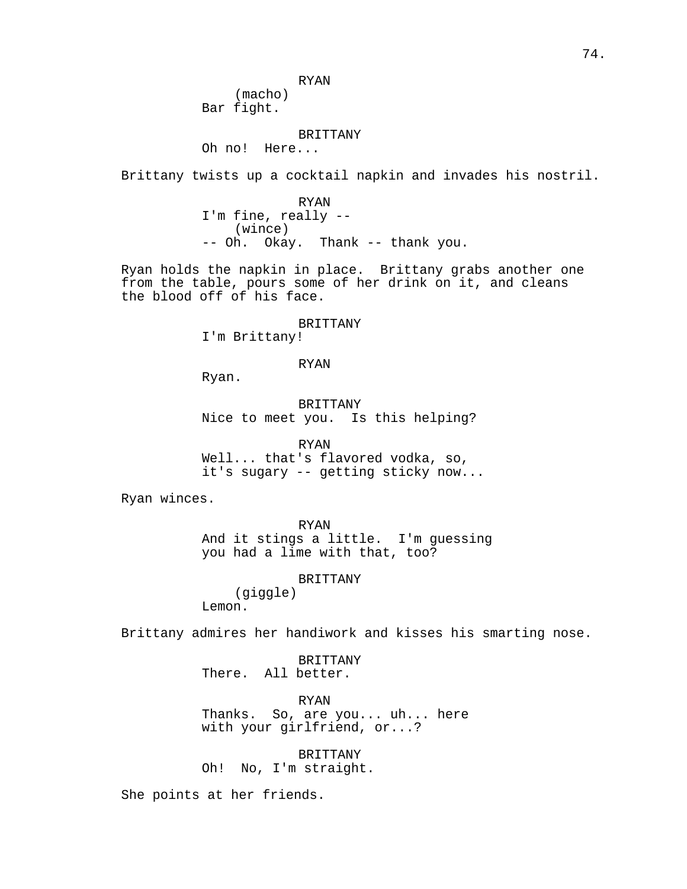RYAN

Bar fight.

#### BRITTANY

Oh no! Here...

(macho)

Brittany twists up a cocktail napkin and invades his nostril.

RYAN I'm fine, really -- (wince) -- Oh. Okay. Thank -- thank you.

Ryan holds the napkin in place. Brittany grabs another one from the table, pours some of her drink on it, and cleans the blood off of his face.

#### BRITTANY

I'm Brittany!

## RYAN

Ryan.

BRITTANY Nice to meet you. Is this helping?

RYAN

Well... that's flavored vodka, so, it's sugary -- getting sticky now...

Ryan winces.

RYAN And it stings a little. I'm guessing you had a lime with that, too?

BRITTANY

(giggle) Lemon.

Brittany admires her handiwork and kisses his smarting nose.

BRITTANY There. All better.

RYAN Thanks. So, are you... uh... here with your girlfriend, or...?

BRITTANY Oh! No, I'm straight.

She points at her friends.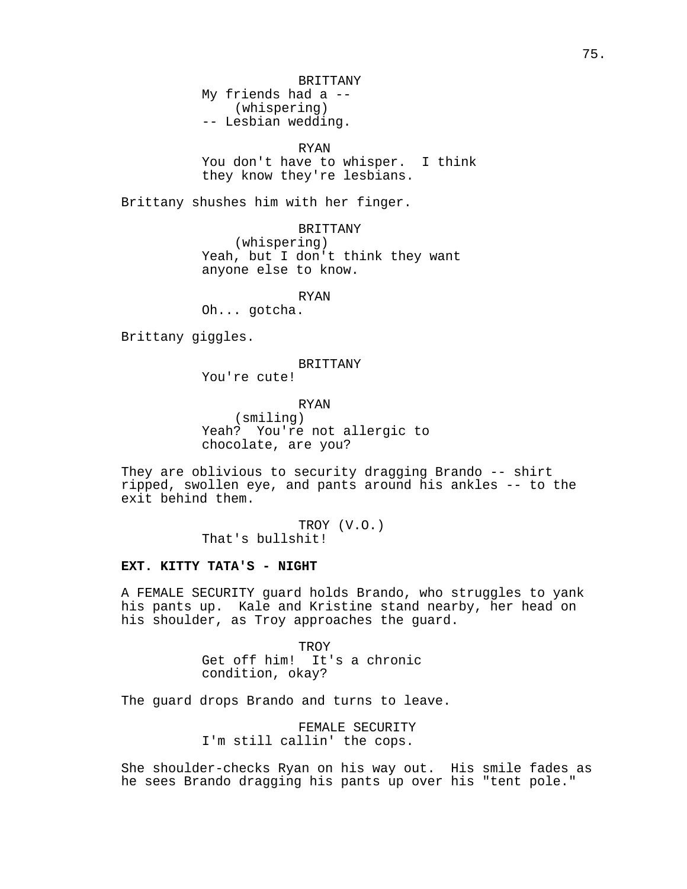RYAN

You don't have to whisper. I think they know they're lesbians.

Brittany shushes him with her finger.

BRITTANY (whispering) Yeah, but I don't think they want anyone else to know.

RYAN

Oh... gotcha.

Brittany giggles.

#### BRITTANY

You're cute!

RYAN (smiling) Yeah? You're not allergic to chocolate, are you?

They are oblivious to security dragging Brando -- shirt ripped, swollen eye, and pants around his ankles -- to the exit behind them.

> TROY (V.O.) That's bullshit!

#### **EXT. KITTY TATA'S - NIGHT**

A FEMALE SECURITY guard holds Brando, who struggles to yank his pants up. Kale and Kristine stand nearby, her head on his shoulder, as Troy approaches the guard.

> **TROY** Get off him! It's a chronic condition, okay?

The guard drops Brando and turns to leave.

FEMALE SECURITY I'm still callin' the cops.

She shoulder-checks Ryan on his way out. His smile fades as he sees Brando dragging his pants up over his "tent pole."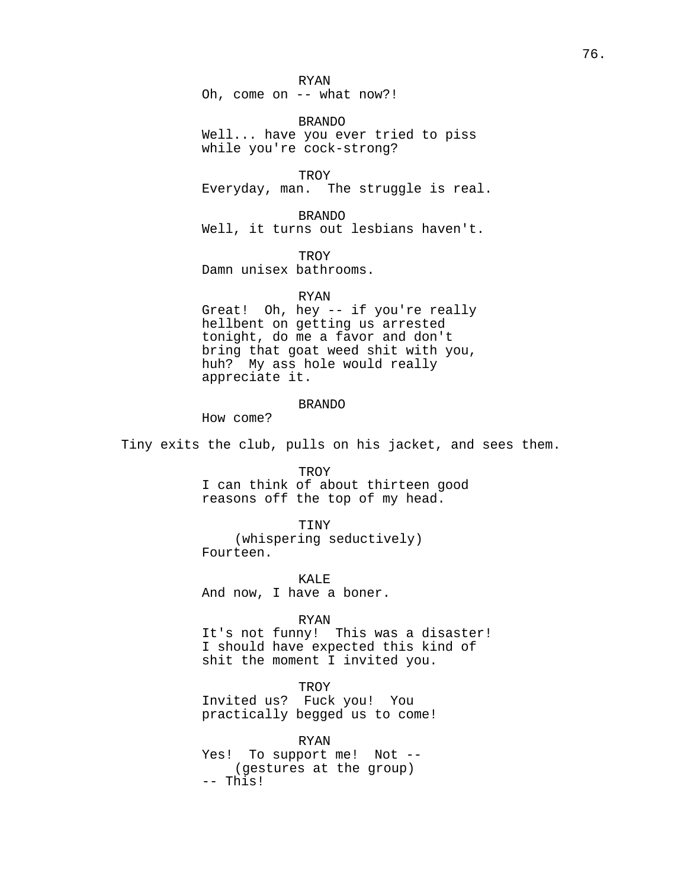RYAN Oh, come on -- what now?!

BRANDO Well... have you ever tried to piss while you're cock-strong?

**TROY** Everyday, man. The struggle is real.

BRANDO Well, it turns out lesbians haven't.

**TROY** 

Damn unisex bathrooms.

#### RYAN

Great! Oh, hey -- if you're really hellbent on getting us arrested tonight, do me a favor and don't bring that goat weed shit with you, huh? My ass hole would really appreciate it.

#### BRANDO

How come?

Tiny exits the club, pulls on his jacket, and sees them.

**TROY** I can think of about thirteen good reasons off the top of my head.

TINY (whispering seductively) Fourteen.

KALE And now, I have a boner.

RYAN

It's not funny! This was a disaster! I should have expected this kind of shit the moment I invited you.

#### **TROY**

Invited us? Fuck you! You practically begged us to come!

RYAN

Yes! To support me! Not -- (gestures at the group) -- This!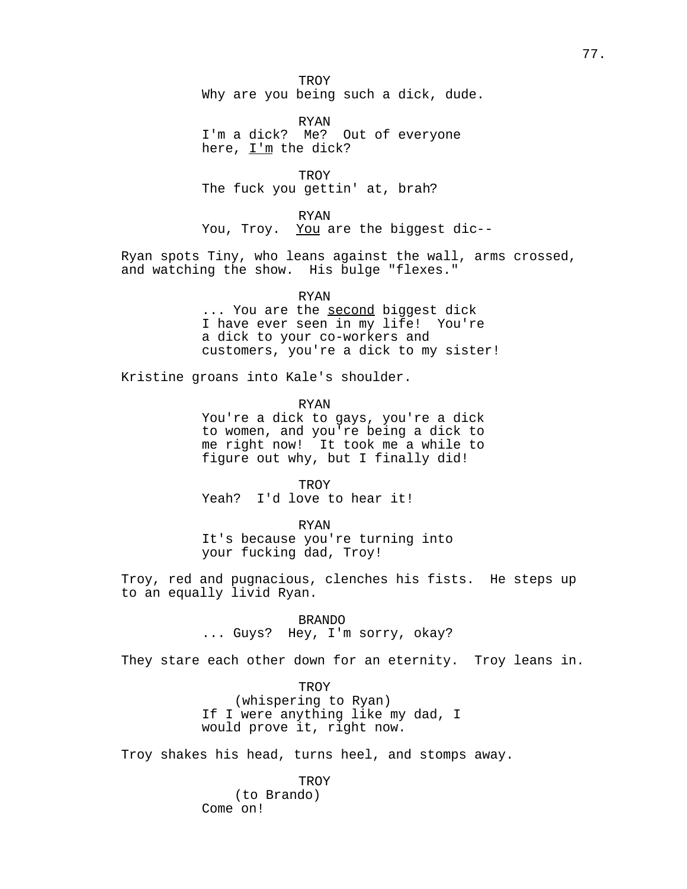**TROY** Why are you being such a dick, dude.

RYAN I'm a dick? Me? Out of everyone here, I'm the dick?

**TROY** The fuck you gettin' at, brah?

RYAN

You, Troy. You are the biggest dic--

Ryan spots Tiny, who leans against the wall, arms crossed, and watching the show. His bulge "flexes."

RYAN

... You are the second biggest dick I have ever seen in my life! You're a dick to your co-workers and customers, you're a dick to my sister!

Kristine groans into Kale's shoulder.

RYAN

You're a dick to gays, you're a dick to women, and you're being a dick to me right now! It took me a while to figure out why, but I finally did!

**TROY** Yeah? I'd love to hear it!

RYAN

It's because you're turning into your fucking dad, Troy!

Troy, red and pugnacious, clenches his fists. He steps up to an equally livid Ryan.

BRANDO

... Guys? Hey, I'm sorry, okay?

They stare each other down for an eternity. Troy leans in.

**TROY** (whispering to Ryan) If I were anything like my dad, I would prove it, right now.

Troy shakes his head, turns heel, and stomps away.

**TROY** (to Brando) Come on!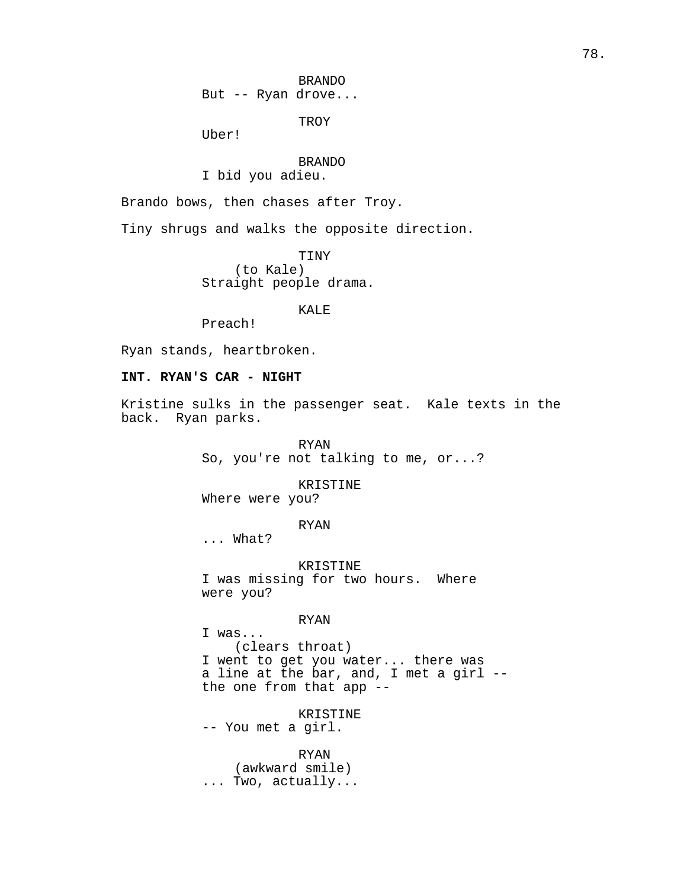BRANDO

But -- Ryan drove...

**TROY** 

Uber!

## BRANDO

I bid you adieu.

Brando bows, then chases after Troy.

Tiny shrugs and walks the opposite direction.

TINY (to Kale) Straight people drama.

KALE

Preach!

Ryan stands, heartbroken.

## **INT. RYAN'S CAR - NIGHT**

Kristine sulks in the passenger seat. Kale texts in the back. Ryan parks.

> RYAN So, you're not talking to me, or...?

> > KRISTINE

Where were you?

RYAN

... What?

KRISTINE I was missing for two hours. Where were you?

#### RYAN

I was... (clears throat) I went to get you water... there was a line at the bar, and, I met a girl - the one from that app --

KRISTINE

-- You met a girl.

RYAN (awkward smile) ... Two, actually...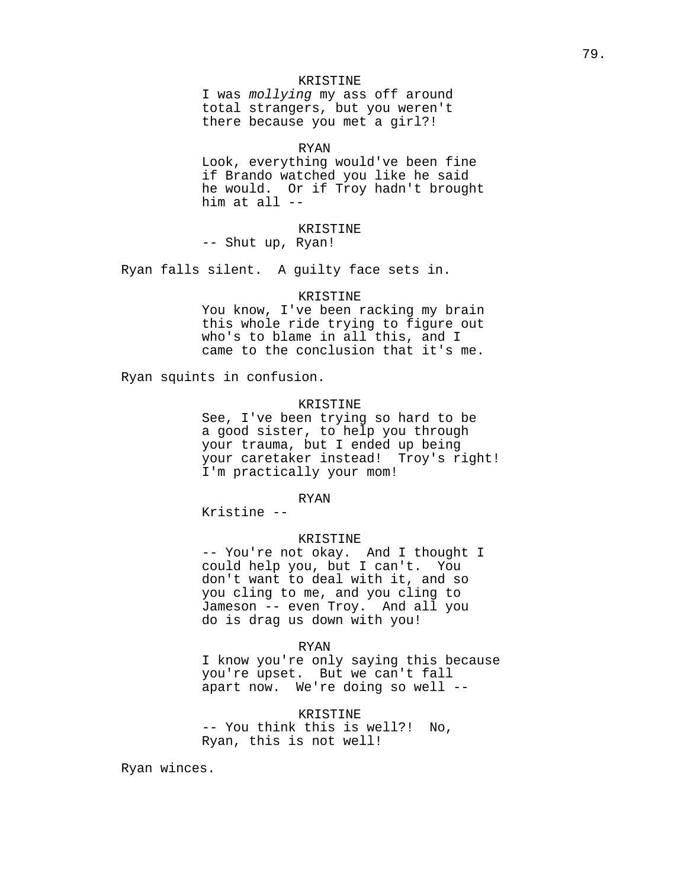## KRISTINE

I was mollying my ass off around total strangers, but you weren't there because you met a girl?!

RYAN

Look, everything would've been fine if Brando watched you like he said he would. Or if Troy hadn't brought him at all --

## KRISTINE

-- Shut up, Ryan!

Ryan falls silent. A guilty face sets in.

#### KRISTINE

You know, I've been racking my brain this whole ride trying to figure out who's to blame in all this, and I came to the conclusion that it's me.

Ryan squints in confusion.

#### KRISTINE

See, I've been trying so hard to be a good sister, to help you through your trauma, but I ended up being your caretaker instead! Troy's right! I'm practically your mom!

## RYAN

Kristine --

#### KRISTINE

-- You're not okay. And I thought I could help you, but I can't. You don't want to deal with it, and so you cling to me, and you cling to Jameson -- even Troy. And all you do is drag us down with you!

#### RYAN

I know you're only saying this because you're upset. But we can't fall apart now. We're doing so well --

KRISTINE -- You think this is well?! No, Ryan, this is not well!

Ryan winces.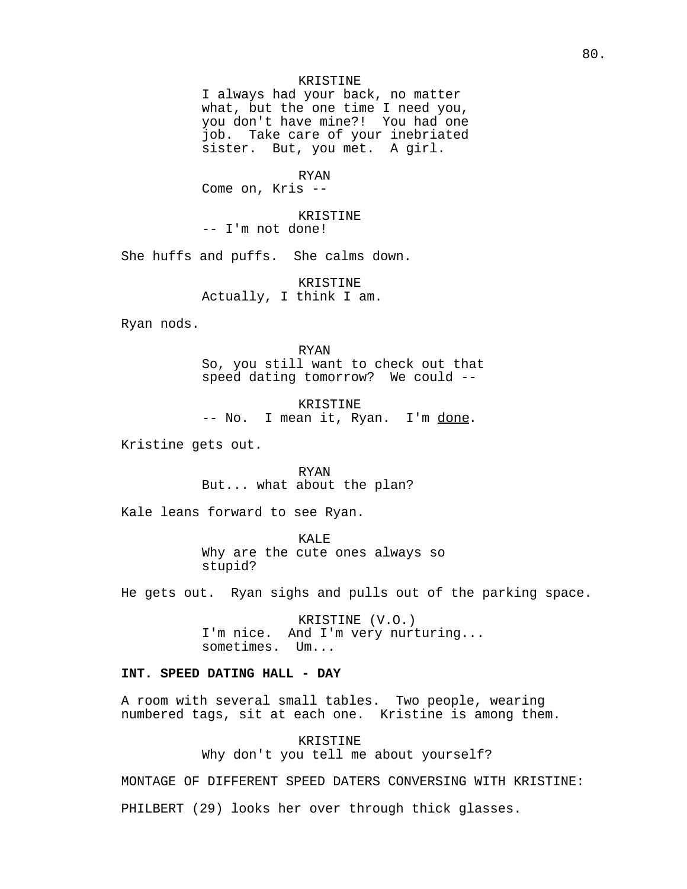## KRISTINE

I always had your back, no matter what, but the one time I need you, you don't have mine?! You had one job. Take care of your inebriated sister. But, you met. A girl.

#### RYAN

Come on, Kris --

## KRISTINE

-- I'm not done!

She huffs and puffs. She calms down.

KRISTINE Actually, I think I am.

Ryan nods.

RYAN So, you still want to check out that speed dating tomorrow? We could --

KRISTINE -- No. I mean it, Ryan. I'm done.

Kristine gets out.

RYAN But... what about the plan?

Kale leans forward to see Ryan.

KALE Why are the cute ones always so stupid?

He gets out. Ryan sighs and pulls out of the parking space.

KRISTINE (V.O.) I'm nice. And I'm very nurturing... sometimes. Um...

## **INT. SPEED DATING HALL - DAY**

A room with several small tables. Two people, wearing numbered tags, sit at each one. Kristine is among them.

KRISTINE

Why don't you tell me about yourself?

MONTAGE OF DIFFERENT SPEED DATERS CONVERSING WITH KRISTINE: PHILBERT (29) looks her over through thick glasses.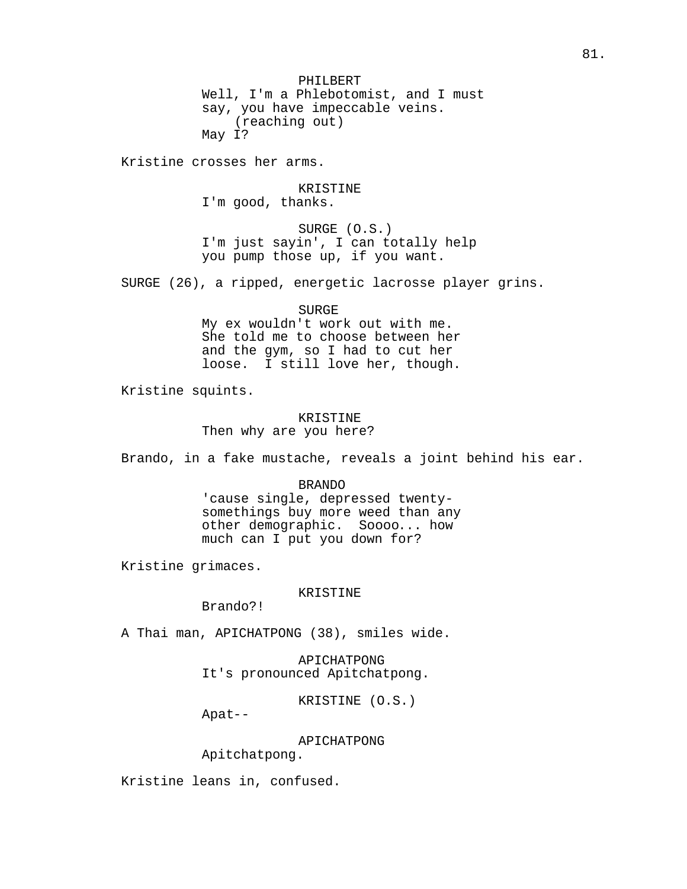PHILBERT Well, I'm a Phlebotomist, and I must say, you have impeccable veins. (reaching out) May I?

Kristine crosses her arms.

KRISTINE I'm good, thanks.

SURGE (O.S.) I'm just sayin', I can totally help you pump those up, if you want.

SURGE (26), a ripped, energetic lacrosse player grins.

SURGE

My ex wouldn't work out with me. She told me to choose between her and the gym, so I had to cut her loose. I still love her, though.

Kristine squints.

#### KRISTINE

Then why are you here?

Brando, in a fake mustache, reveals a joint behind his ear.

#### BRANDO

'cause single, depressed twentysomethings buy more weed than any other demographic. Soooo... how much can I put you down for?

Kristine grimaces.

## KRISTINE

Brando?!

A Thai man, APICHATPONG (38), smiles wide.

APICHATPONG It's pronounced Apitchatpong.

KRISTINE (O.S.)

Apat--

APICHATPONG

Apitchatpong.

Kristine leans in, confused.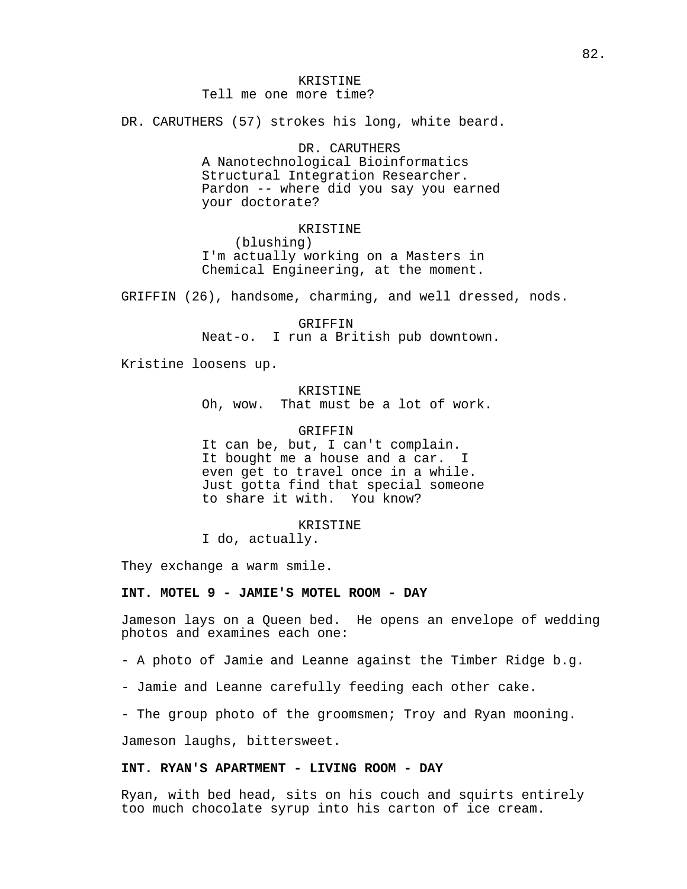## KRISTINE

## Tell me one more time?

DR. CARUTHERS (57) strokes his long, white beard.

#### DR. CARUTHERS

A Nanotechnological Bioinformatics Structural Integration Researcher. Pardon -- where did you say you earned your doctorate?

## KRISTINE

(blushing) I'm actually working on a Masters in Chemical Engineering, at the moment.

GRIFFIN (26), handsome, charming, and well dressed, nods.

GRIFFIN Neat-o. I run a British pub downtown.

Kristine loosens up.

KRISTINE Oh, wow. That must be a lot of work.

GRIFFIN It can be, but, I can't complain. It bought me a house and a car. I even get to travel once in a while. Just gotta find that special someone<br>to share it with. You know? to share it with.

KRISTINE I do, actually.

They exchange a warm smile.

#### **INT. MOTEL 9 - JAMIE'S MOTEL ROOM - DAY**

Jameson lays on a Queen bed. He opens an envelope of wedding photos and examines each one:

- A photo of Jamie and Leanne against the Timber Ridge b.g.

- Jamie and Leanne carefully feeding each other cake.

- The group photo of the groomsmen; Troy and Ryan mooning.

Jameson laughs, bittersweet.

## **INT. RYAN'S APARTMENT - LIVING ROOM - DAY**

Ryan, with bed head, sits on his couch and squirts entirely too much chocolate syrup into his carton of ice cream.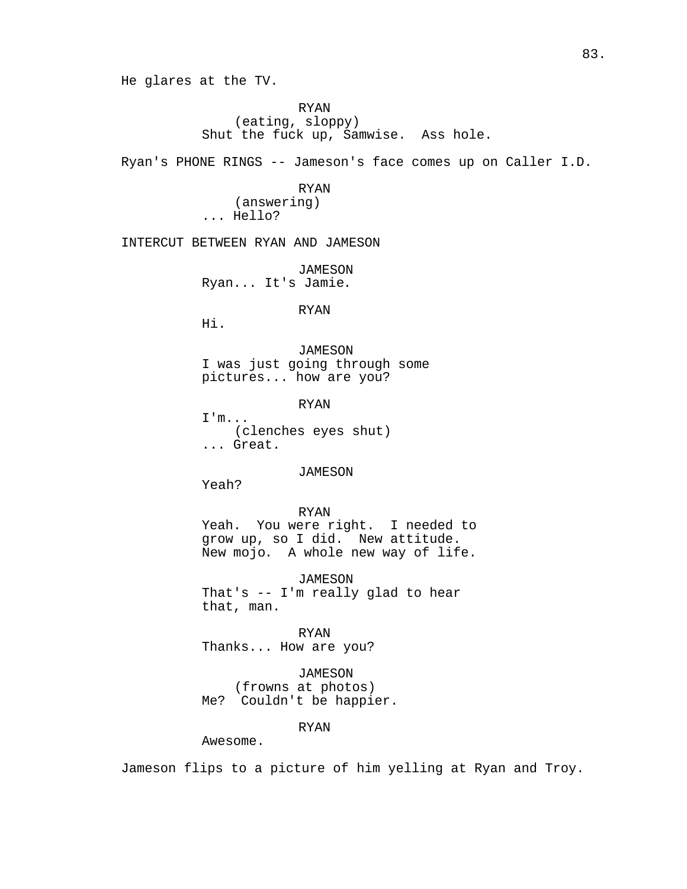He glares at the TV.

RYAN (eating, sloppy) Shut the fuck up, Samwise. Ass hole.

Ryan's PHONE RINGS -- Jameson's face comes up on Caller I.D.

RYAN (answering) ... Hello?

INTERCUT BETWEEN RYAN AND JAMESON

JAMESON Ryan... It's Jamie.

RYAN

Hi.

JAMESON I was just going through some pictures... how are you?

RYAN

I'm... (clenches eyes shut) ... Great.

*JAMESON* 

Yeah?

RYAN Yeah. You were right. I needed to grow up, so I did. New attitude. New mojo. A whole new way of life.

JAMESON That's -- I'm really glad to hear that, man.

RYAN Thanks... How are you?

JAMESON (frowns at photos) Me? Couldn't be happier.

RYAN

Awesome.

Jameson flips to a picture of him yelling at Ryan and Troy.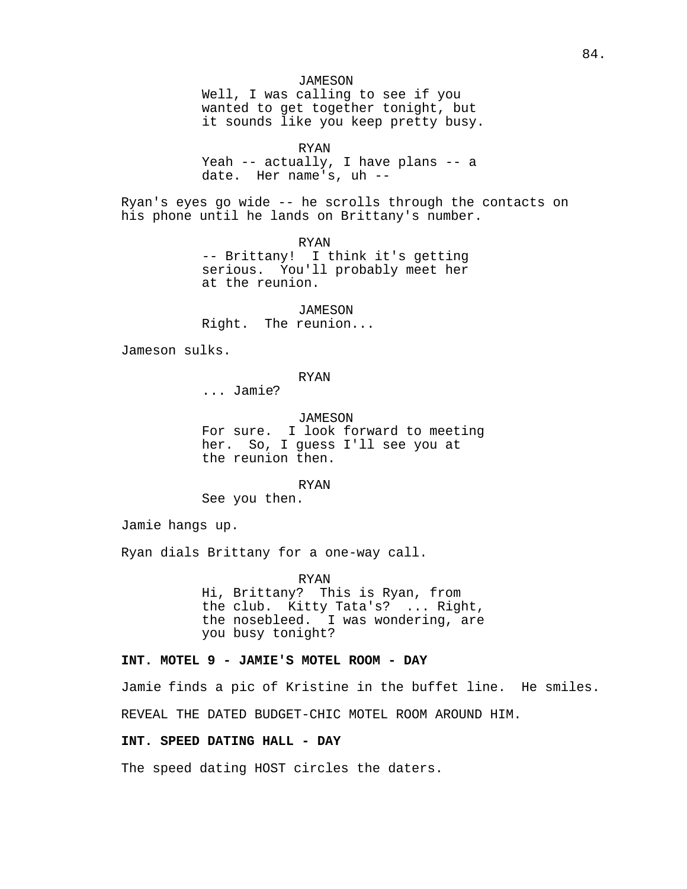*JAMESON* Well, I was calling to see if you wanted to get together tonight, but it sounds like you keep pretty busy.

RYAN

Yeah -- actually, I have plans -- a date. Her name's, uh --

Ryan's eyes go wide -- he scrolls through the contacts on his phone until he lands on Brittany's number.

> RYAN -- Brittany! I think it's getting serious. You'll probably meet her at the reunion.

JAMESON Right. The reunion...

Jameson sulks.

## RYAN

... Jamie?

JAMESON For sure. I look forward to meeting her. So, I guess I'll see you at the reunion then.

RYAN

See you then.

Jamie hangs up.

Ryan dials Brittany for a one-way call.

RYAN Hi, Brittany? This is Ryan, from the club. Kitty Tata's? ... Right, the nosebleed. I was wondering, are you busy tonight?

## **INT. MOTEL 9 - JAMIE'S MOTEL ROOM - DAY**

Jamie finds a pic of Kristine in the buffet line. He smiles. REVEAL THE DATED BUDGET-CHIC MOTEL ROOM AROUND HIM.

## **INT. SPEED DATING HALL - DAY**

The speed dating HOST circles the daters.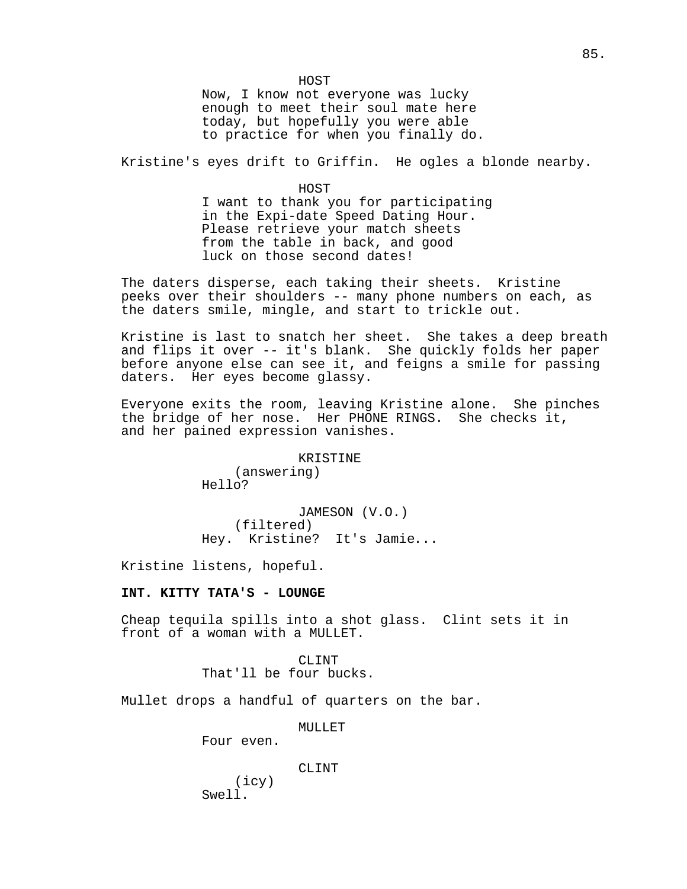HOST Now, I know not everyone was lucky enough to meet their soul mate here today, but hopefully you were able to practice for when you finally do.

Kristine's eyes drift to Griffin. He ogles a blonde nearby.

HOST I want to thank you for participating in the Expi-date Speed Dating Hour. Please retrieve your match sheets from the table in back, and good luck on those second dates!

The daters disperse, each taking their sheets. Kristine peeks over their shoulders -- many phone numbers on each, as the daters smile, mingle, and start to trickle out.

Kristine is last to snatch her sheet. She takes a deep breath and flips it over -- it's blank. She quickly folds her paper before anyone else can see it, and feigns a smile for passing daters. Her eyes become glassy.

Everyone exits the room, leaving Kristine alone. She pinches the bridge of her nose. Her PHONE RINGS. She checks it, and her pained expression vanishes.

> KRISTINE (answering) Hello?

JAMESON (V.O.) (filtered) Hey. Kristine? It's Jamie...

Kristine listens, hopeful.

## **INT. KITTY TATA'S - LOUNGE**

Cheap tequila spills into a shot glass. Clint sets it in front of a woman with a MULLET.

> CLINT That'll be four bucks.

Mullet drops a handful of quarters on the bar.

MULLET

Four even.

CLINT

(icy) Swell.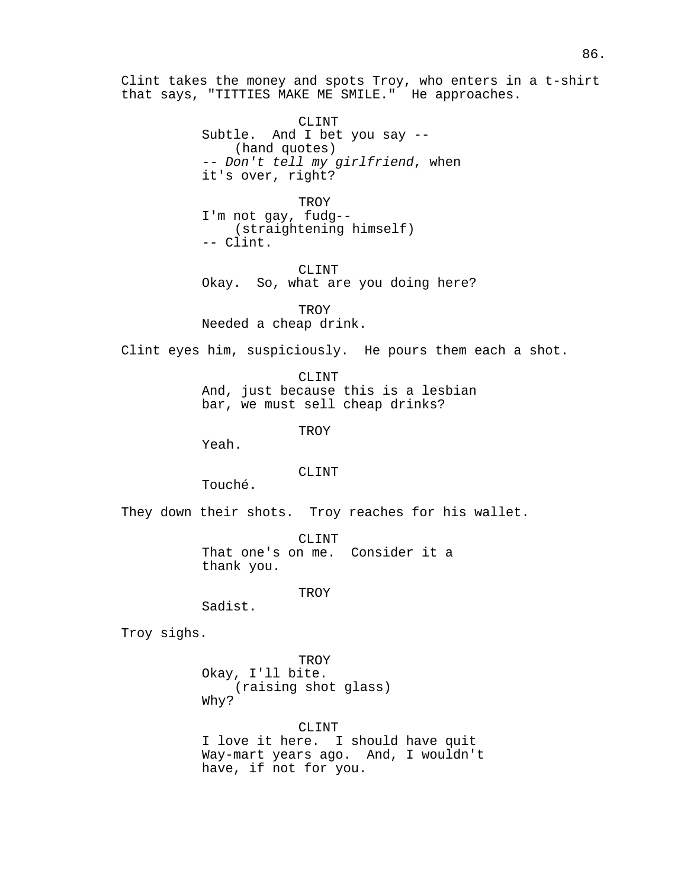Clint takes the money and spots Troy, who enters in a t-shirt that says, "TITTIES MAKE ME SMILE." He approaches.

> CLINT Subtle. And I bet you say -- (hand quotes) -- Don't tell my girlfriend, when it's over, right?

TROY I'm not gay, fudg-- (straightening himself) -- Clint.

CLINT Okay. So, what are you doing here?

TROY Needed a cheap drink.

Clint eyes him, suspiciously. He pours them each a shot.

CLINT And, just because this is a lesbian bar, we must sell cheap drinks?

**TROY** 

Yeah.

#### CLINT

Touché.

They down their shots. Troy reaches for his wallet.

CLINT That one's on me. Consider it a thank you.

TROY

Sadist.

Troy sighs.

**TROY** Okay, I'll bite. (raising shot glass) Why?

CLINT I love it here. I should have quit Way-mart years ago. And, I wouldn't have, if not for you.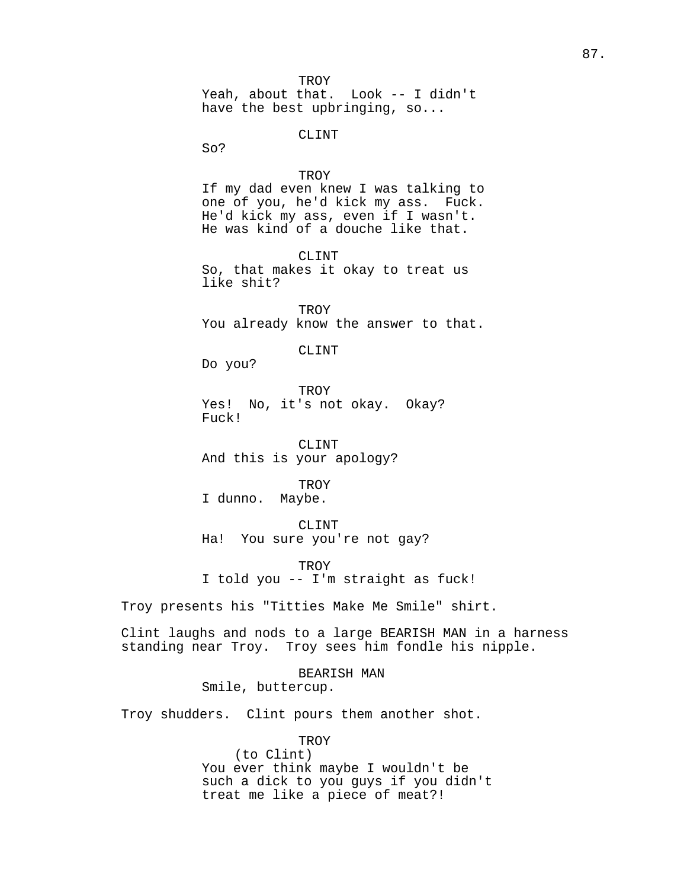TROY<br>Yeah, about that. Look -- I didn't have the best upbringing, so...

## CLINT

So?

## **TROY**

If my dad even knew I was talking to one of you, he'd kick my ass. Fuck. He'd kick my ass, even if I wasn't. He was kind of a douche like that.

CLINT

So, that makes it okay to treat us like shit?

TROY You already know the answer to that.

CLINT

Do you?

**TROY** Yes! No, it's not okay. Okay? Fuck!

CLINT And this is your apology?

TROY<br>.Maybe I dunno.

CLINT Ha! You sure you're not gay?

TROY I told you -- I'm straight as fuck!

Troy presents his "Titties Make Me Smile" shirt.

Clint laughs and nods to a large BEARISH MAN in a harness standing near Troy. Troy sees him fondle his nipple.

> BEARISH MAN Smile, buttercup.

Troy shudders. Clint pours them another shot.

**TROY** 

(to Clint) You ever think maybe I wouldn't be such a dick to you guys if you didn't treat me like a piece of meat?!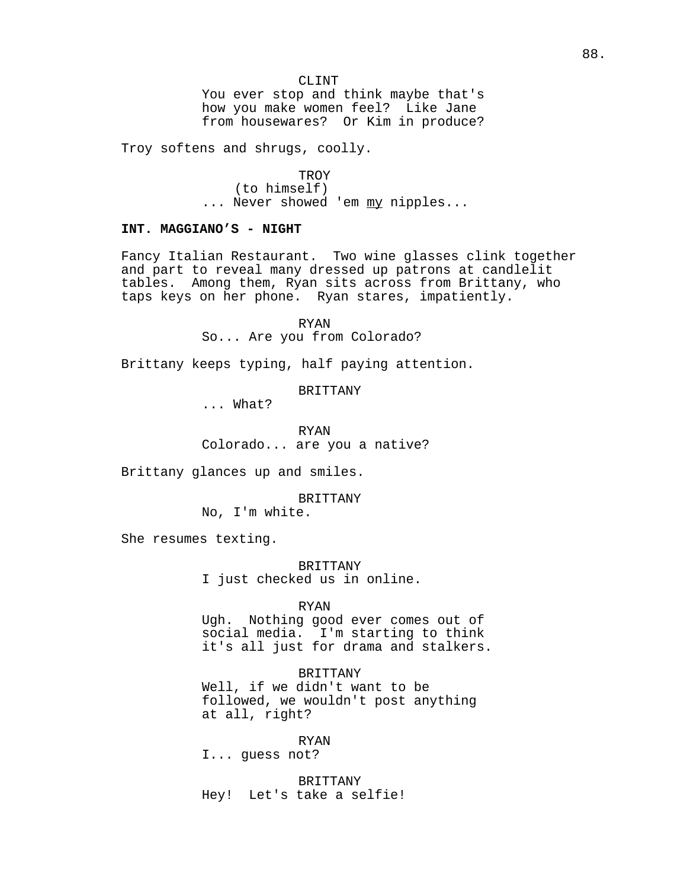You ever stop and think maybe that's how you make women feel? Like Jane from housewares? Or Kim in produce?

Troy softens and shrugs, coolly.

**TROY** (to himself) ... Never showed 'em my nipples...

## **INT. MAGGIANO'S - NIGHT**

Fancy Italian Restaurant. Two wine glasses clink together and part to reveal many dressed up patrons at candlelit tables. Among them, Ryan sits across from Brittany, who taps keys on her phone. Ryan stares, impatiently.

RYAN

So... Are you from Colorado?

Brittany keeps typing, half paying attention.

BRITTANY

... What?

RYAN Colorado... are you a native?

Brittany glances up and smiles.

BRITTANY

No, I'm white.

She resumes texting.

BRITTANY I just checked us in online.

RYAN

Ugh. Nothing good ever comes out of social media. I'm starting to think it's all just for drama and stalkers.

BRITTANY

Well, if we didn't want to be followed, we wouldn't post anything at all, right?

RYAN I... guess not?

BRITTANY Hey! Let's take a selfie!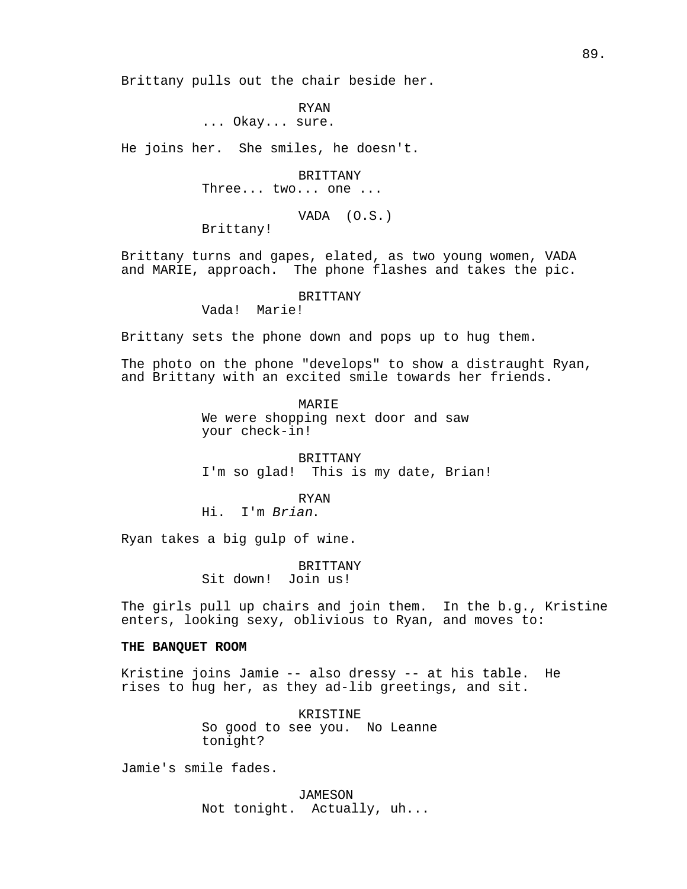Brittany pulls out the chair beside her.

RYAN ... Okay... sure.

He joins her. She smiles, he doesn't.

BRITTANY

Three... two... one ...

VADA (O.S.)

Brittany!

Brittany turns and gapes, elated, as two young women, VADA and MARIE, approach. The phone flashes and takes the pic.

#### BRITTANY

Vada! Marie!

Brittany sets the phone down and pops up to hug them.

The photo on the phone "develops" to show a distraught Ryan, and Brittany with an excited smile towards her friends.

> **MARTE** We were shopping next door and saw your check-in!

BRITTANY I'm so glad! This is my date, Brian!

RYAN Hi. I'm Brian.

Ryan takes a big gulp of wine.

BRITTANY Sit down! Join us!

The girls pull up chairs and join them. In the b.g., Kristine enters, looking sexy, oblivious to Ryan, and moves to:

#### **THE BANQUET ROOM**

Kristine joins Jamie -- also dressy -- at his table. He rises to hug her, as they ad-lib greetings, and sit.

> KRISTINE So good to see you. No Leanne tonight?

Jamie's smile fades.

JAMESON Not tonight. Actually, uh...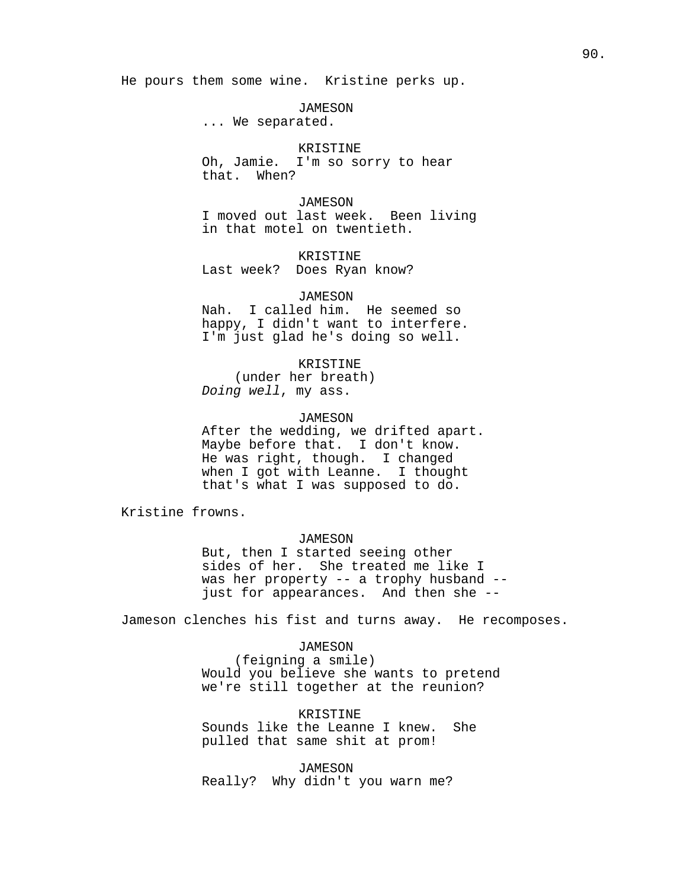He pours them some wine. Kristine perks up.

JAMESON

... We separated.

## KRISTINE

Oh, Jamie. I'm so sorry to hear that. When?

**JAMESON** I moved out last week. Been living in that motel on twentieth.

KRISTINE

Last week? Does Ryan know?

## JAMESON

Nah. I called him. He seemed so happy, I didn't want to interfere. I'm just glad he's doing so well.

KRISTINE

(under her breath) Doing well, my ass.

#### JAMESON

After the wedding, we drifted apart. Maybe before that. I don't know. He was right, though. I changed when I got with Leanne. I thought that's what I was supposed to do.

Kristine frowns.

*JAMESON* 

But, then I started seeing other sides of her. She treated me like I was her property -- a trophy husband - just for appearances. And then she --

Jameson clenches his fist and turns away. He recomposes.

*JAMESON* 

(feigning a smile) Would you believe she wants to pretend we're still together at the reunion?

KRISTINE Sounds like the Leanne I knew. She pulled that same shit at prom!

JAMESON Really? Why didn't you warn me?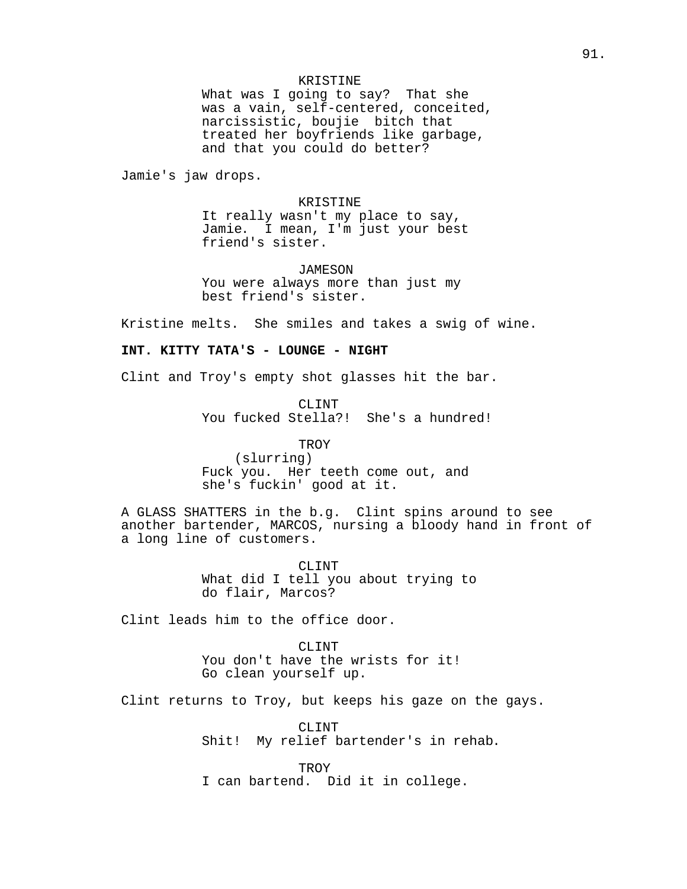## KRISTINE

What was I going to say? That she was a vain, self-centered, conceited, narcissistic, boujie bitch that treated her boyfriends like garbage, and that you could do better?

Jamie's jaw drops.

## KRISTINE

It really wasn't my place to say, Jamie. I mean, I'm just your best friend's sister.

JAMESON You were always more than just my best friend's sister.

Kristine melts. She smiles and takes a swig of wine.

## **INT. KITTY TATA'S - LOUNGE - NIGHT**

Clint and Troy's empty shot glasses hit the bar.

CLINT You fucked Stella?! She's a hundred!

TROY (slurring) Fuck you. Her teeth come out, and she's fuckin' good at it.

A GLASS SHATTERS in the b.g. Clint spins around to see another bartender, MARCOS, nursing a bloody hand in front of a long line of customers.

> CLINT What did I tell you about trying to do flair, Marcos?

Clint leads him to the office door.

CLINT You don't have the wrists for it! Go clean yourself up.

Clint returns to Troy, but keeps his gaze on the gays.

CLINT Shit! My relief bartender's in rehab.

**TROY** I can bartend. Did it in college.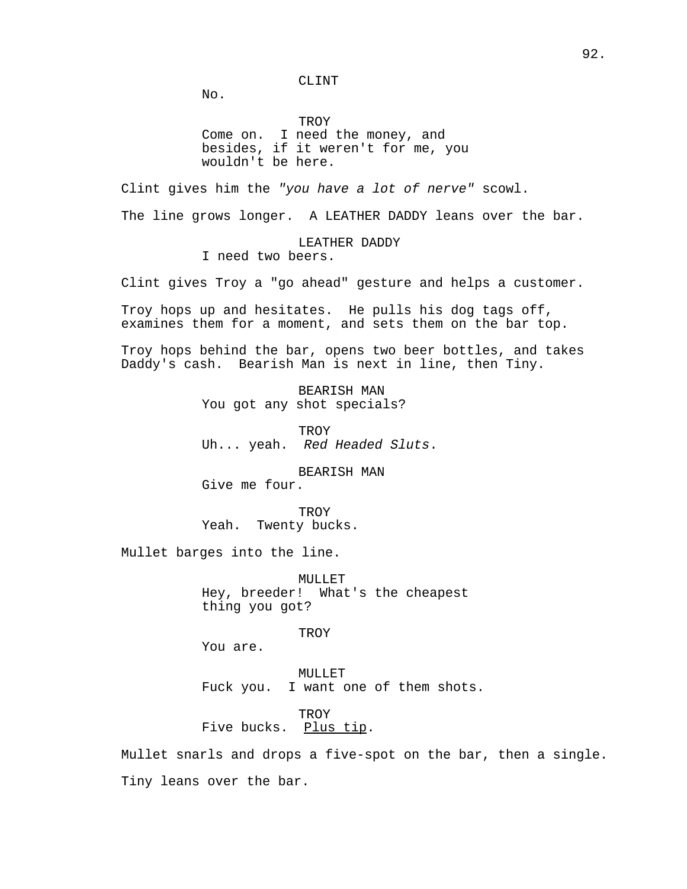CLINT

No.

TROY Come on. I need the money, and besides, if it weren't for me, you wouldn't be here.

Clint gives him the "you have a lot of nerve" scowl. The line grows longer. A LEATHER DADDY leans over the bar.

> LEATHER DADDY I need two beers.

Clint gives Troy a "go ahead" gesture and helps a customer.

Troy hops up and hesitates. He pulls his dog tags off, examines them for a moment, and sets them on the bar top.

Troy hops behind the bar, opens two beer bottles, and takes Daddy's cash. Bearish Man is next in line, then Tiny.

> BEARISH MAN You got any shot specials?

**TROY** Uh... yeah. Red Headed Sluts.

BEARISH MAN Give me four.

**TROY** Yeah. Twenty bucks.

Mullet barges into the line.

MULLET Hey, breeder! What's the cheapest thing you got?

**TROY** 

You are.

MULLET Fuck you. I want one of them shots.

**TROY** Five bucks. Plus tip.

Mullet snarls and drops a five-spot on the bar, then a single. Tiny leans over the bar.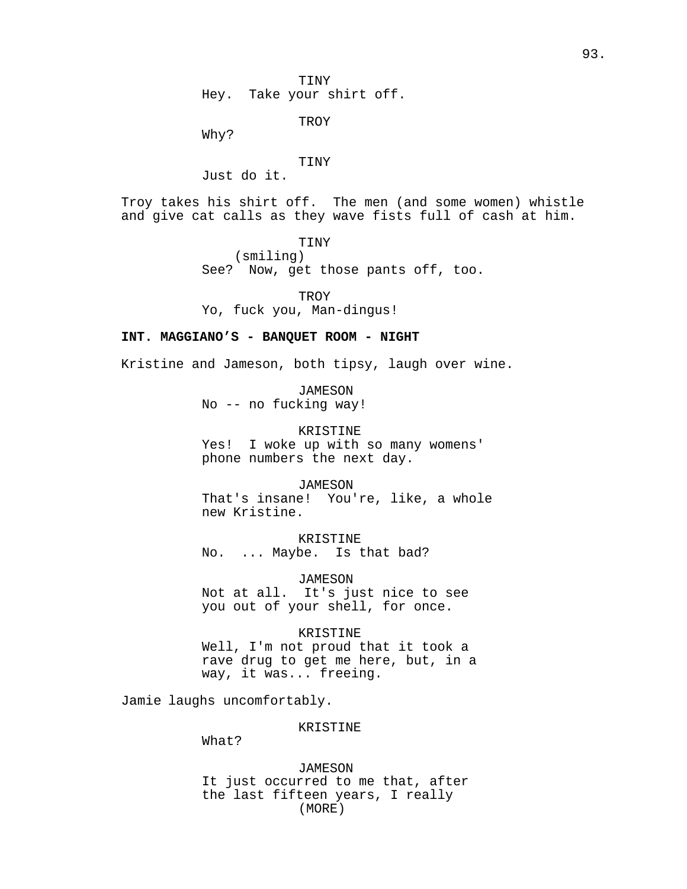TINY Hey. Take your shirt off.

**TROY** 

Why?

#### TINY

Just do it.

Troy takes his shirt off. The men (and some women) whistle and give cat calls as they wave fists full of cash at him.

TINY

(smiling) See? Now, get those pants off, too.

**TROY** 

Yo, fuck you, Man-dingus!

## **INT. MAGGIANO'S - BANQUET ROOM - NIGHT**

Kristine and Jameson, both tipsy, laugh over wine.

*JAMESON* No -- no fucking way!

KRISTINE Yes! I woke up with so many womens' phone numbers the next day.

JAMESON That's insane! You're, like, a whole new Kristine.

KRISTINE No. ... Maybe. Is that bad?

JAMESON Not at all. It's just nice to see you out of your shell, for once.

#### KRISTINE

Well, I'm not proud that it took a rave drug to get me here, but, in a way, it was... freeing.

Jamie laughs uncomfortably.

#### KRISTINE

What?

*JAMESON* It just occurred to me that, after the last fifteen years, I really (MORE)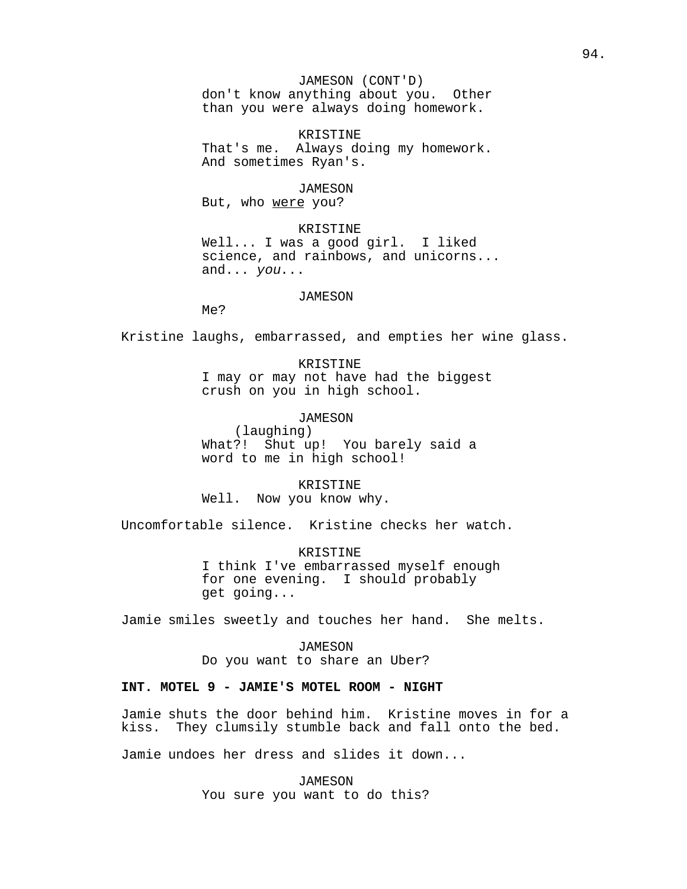## JAMESON (CONT'D)

don't know anything about you. Other than you were always doing homework.

KRISTINE That's me. Always doing my homework. And sometimes Ryan's.

#### JAMESON

But, who were you?

KRISTINE Well... I was a good girl. I liked science, and rainbows, and unicorns... and... you...

## *JAMESON*

Me?

Kristine laughs, embarrassed, and empties her wine glass.

KRISTINE I may or may not have had the biggest crush on you in high school.

JAMESON

(laughing) What?! Shut up! You barely said a word to me in high school!

KRISTINE Well. Now you know why.

Uncomfortable silence. Kristine checks her watch.

KRISTINE I think I've embarrassed myself enough for one evening. I should probably get going...

Jamie smiles sweetly and touches her hand. She melts.

*JAMESON* Do you want to share an Uber?

## **INT. MOTEL 9 - JAMIE'S MOTEL ROOM - NIGHT**

Jamie shuts the door behind him. Kristine moves in for a They clumsily stumble back and fall onto the bed.

Jamie undoes her dress and slides it down...

JAMESON You sure you want to do this?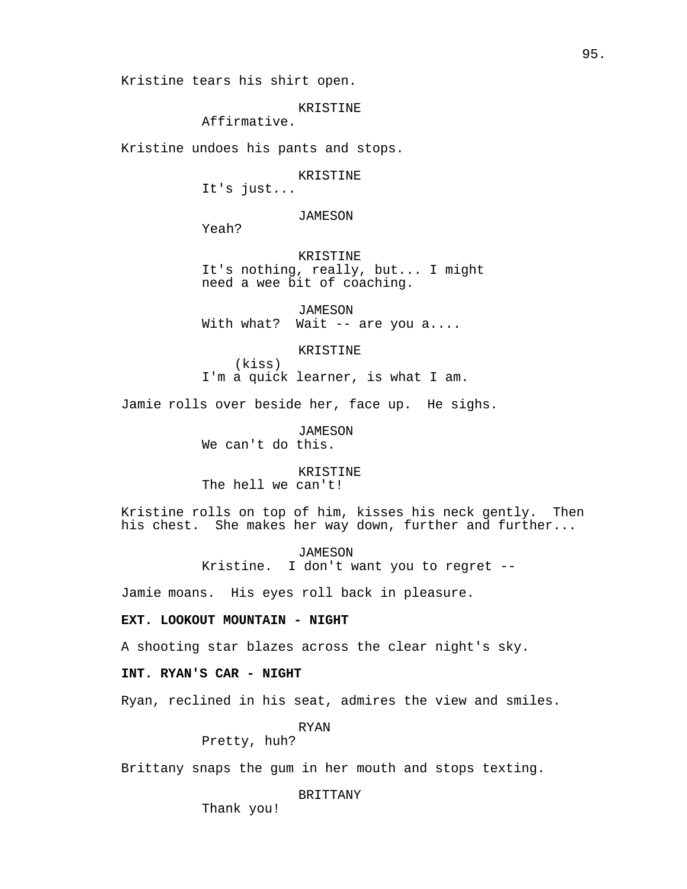Kristine tears his shirt open.

KRISTINE

Affirmative.

Kristine undoes his pants and stops.

KRISTINE

It's just...

*JAMESON* 

Yeah?

KRISTINE It's nothing, really, but... I might need a wee bit of coaching.

JAMESON With what? Wait -- are you a....

KRISTINE

I'm a quick learner, is what I am.

Jamie rolls over beside her, face up. He sighs.

*JAMESON* We can't do this.

(kiss)

KRISTINE

The hell we can't!

Kristine rolls on top of him, kisses his neck gently. Then his chest. She makes her way down, further and further...

JAMESON

Kristine. I don't want you to regret --

Jamie moans. His eyes roll back in pleasure.

**EXT. LOOKOUT MOUNTAIN - NIGHT**

A shooting star blazes across the clear night's sky.

**INT. RYAN'S CAR - NIGHT**

Ryan, reclined in his seat, admires the view and smiles.

RYAN

Pretty, huh?

Brittany snaps the gum in her mouth and stops texting.

BRITTANY

Thank you!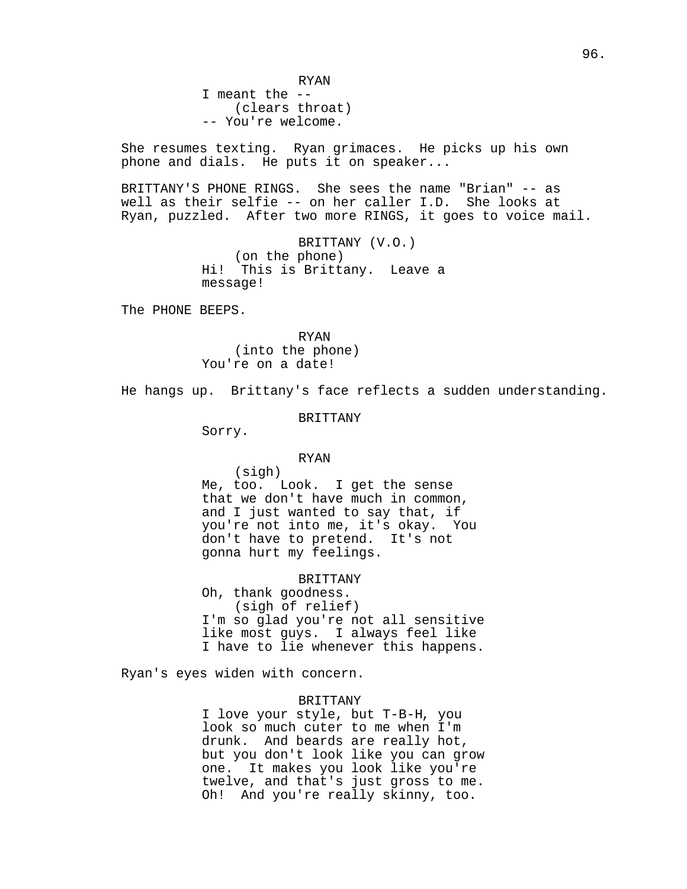RYAN I meant the -- (clears throat) -- You're welcome.

She resumes texting. Ryan grimaces. He picks up his own phone and dials. He puts it on speaker...

BRITTANY'S PHONE RINGS. She sees the name "Brian" -- as well as their selfie -- on her caller I.D. She looks at Ryan, puzzled. After two more RINGS, it goes to voice mail.

> BRITTANY (V.O.) (on the phone) Hi! This is Brittany. Leave a message!

The PHONE BEEPS.

RYAN (into the phone) You're on a date!

He hangs up. Brittany's face reflects a sudden understanding.

#### BRITTANY

Sorry.

#### RYAN

(sigh) Me, too. Look. I get the sense that we don't have much in common, and I just wanted to say that, if you're not into me, it's okay. You don't have to pretend. It's not gonna hurt my feelings.

## BRITTANY

Oh, thank goodness. (sigh of relief) I'm so glad you're not all sensitive like most guys. I always feel like I have to lie whenever this happens.

Ryan's eyes widen with concern.

## BRITTANY

I love your style, but T-B-H, you look so much cuter to me when I'm drunk. And beards are really hot, but you don't look like you can grow one. It makes you look like you're twelve, and that's just gross to me. Oh! And you're really skinny, too.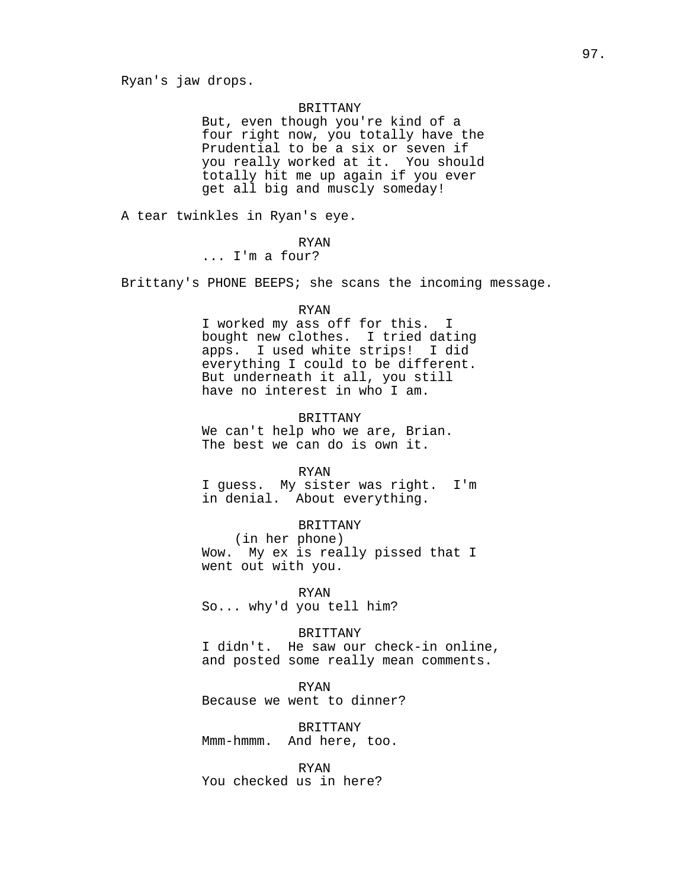## BRITTANY

But, even though you're kind of a four right now, you totally have the Prudential to be a six or seven if you really worked at it. You should totally hit me up again if you ever get all big and muscly someday!

A tear twinkles in Ryan's eye.

#### RYAN

... I'm a four?

Brittany's PHONE BEEPS; she scans the incoming message.

#### RYAN

I worked my ass off for this. I bought new clothes. I tried dating apps. I used white strips! I did everything I could to be different. But underneath it all, you still have no interest in who I am.

#### BRITTANY

We can't help who we are, Brian. The best we can do is own it.

#### RYAN

I guess. My sister was right. I'm in denial. About everything.

## BRITTANY

(in her phone) Wow. My ex is really pissed that I went out with you.

RYAN So... why'd you tell him?

#### BRITTANY

I didn't. He saw our check-in online, and posted some really mean comments.

RYAN

Because we went to dinner?

BRITTANY Mmm-hmmm. And here, too.

RYAN You checked us in here?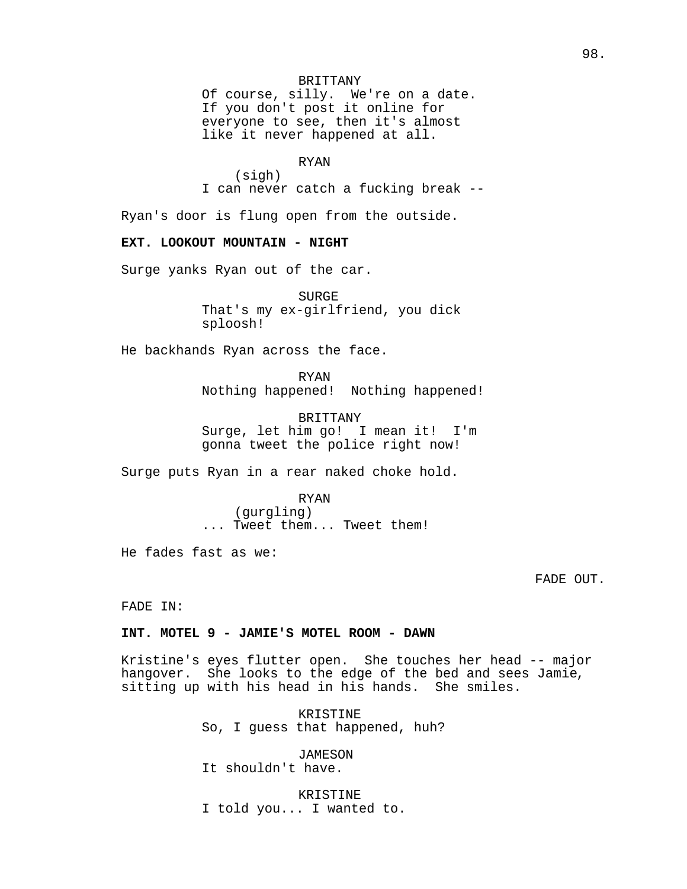## BRITTANY

Of course, silly. We're on a date. If you don't post it online for everyone to see, then it's almost like it never happened at all.

RYAN

(sigh) I can never catch a fucking break --

Ryan's door is flung open from the outside.

## **EXT. LOOKOUT MOUNTAIN - NIGHT**

Surge yanks Ryan out of the car.

SURGE That's my ex-girlfriend, you dick sploosh!

He backhands Ryan across the face.

RYAN Nothing happened! Nothing happened!

BRITTANY Surge, let him go! I mean it! I'm gonna tweet the police right now!

Surge puts Ryan in a rear naked choke hold.

RYAN (gurgling) ... Tweet them... Tweet them!

He fades fast as we:

FADE OUT.

FADE IN:

## **INT. MOTEL 9 - JAMIE'S MOTEL ROOM - DAWN**

Kristine's eyes flutter open. She touches her head -- major hangover. She looks to the edge of the bed and sees Jamie, sitting up with his head in his hands. She smiles.

> KRISTINE So, I guess that happened, huh?

JAMESON It shouldn't have.

KRISTINE I told you... I wanted to.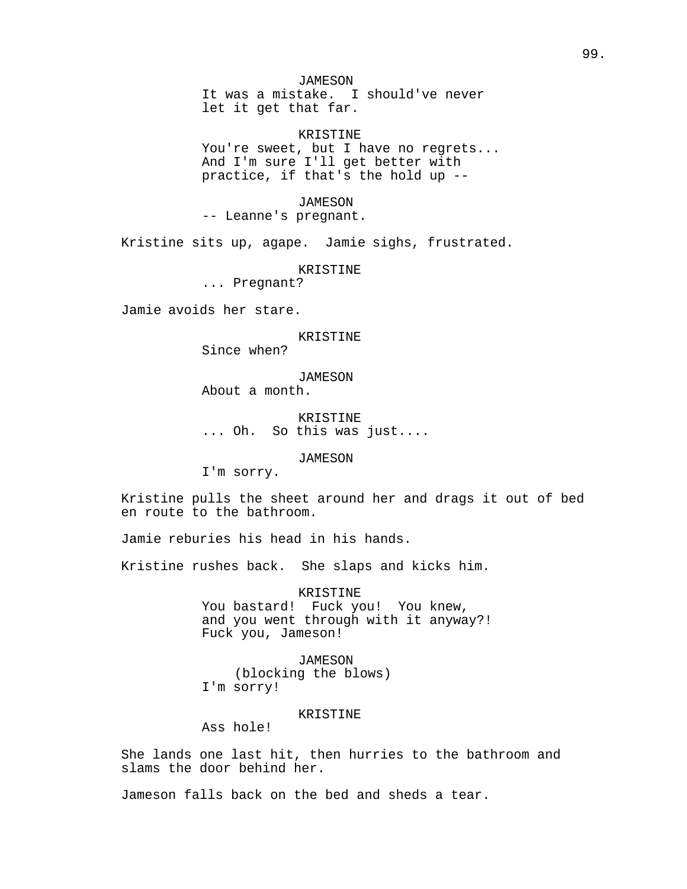JAMESON It was a mistake. I should've never let it get that far.

KRISTINE You're sweet, but I have no regrets... And I'm sure I'll get better with practice, if that's the hold up --

*JAMESON* -- Leanne's pregnant.

Kristine sits up, agape. Jamie sighs, frustrated.

KRISTINE

... Pregnant?

Jamie avoids her stare.

KRISTINE

Since when?

JAMESON About a month.

KRISTINE ... Oh. So this was just....

JAMESON

I'm sorry.

Kristine pulls the sheet around her and drags it out of bed en route to the bathroom.

Jamie reburies his head in his hands.

Kristine rushes back. She slaps and kicks him.

KRISTINE

You bastard! Fuck you! You knew, and you went through with it anyway?! Fuck you, Jameson!

JAMESON (blocking the blows) I'm sorry!

#### KRISTINE

Ass hole!

She lands one last hit, then hurries to the bathroom and slams the door behind her.

Jameson falls back on the bed and sheds a tear.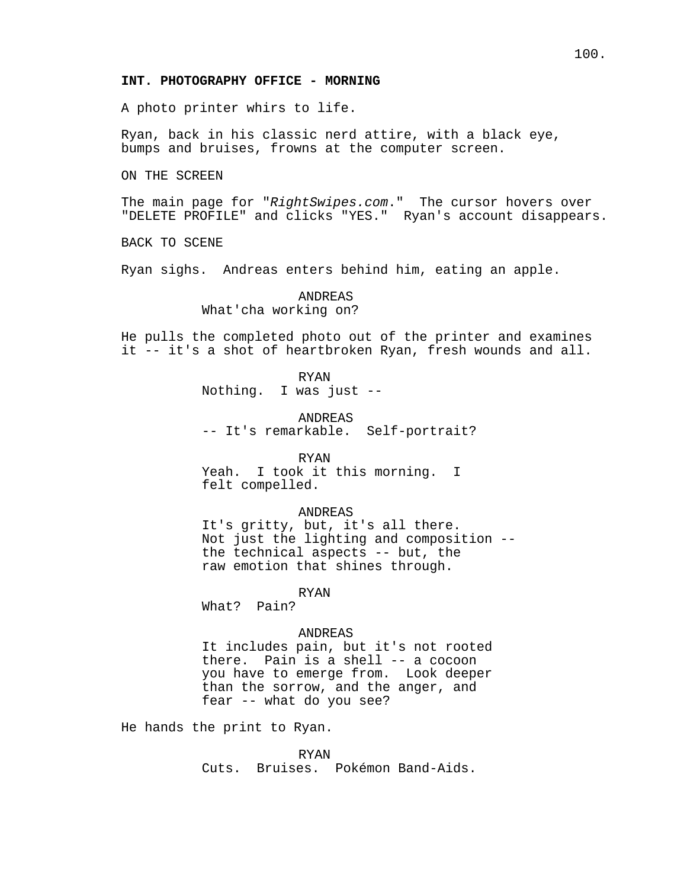## 100.

#### **INT. PHOTOGRAPHY OFFICE - MORNING**

A photo printer whirs to life.

Ryan, back in his classic nerd attire, with a black eye, bumps and bruises, frowns at the computer screen.

ON THE SCREEN

The main page for "RightSwipes.com." The cursor hovers over "DELETE PROFILE" and clicks "YES." Ryan's account disappears.

BACK TO SCENE

Ryan sighs. Andreas enters behind him, eating an apple.

ANDREAS

What'cha working on?

He pulls the completed photo out of the printer and examines it -- it's a shot of heartbroken Ryan, fresh wounds and all.

RYAN

Nothing. I was just --

ANDREAS

-- It's remarkable. Self-portrait?

RYAN

Yeah. I took it this morning. I felt compelled.

ANDREAS

It's gritty, but, it's all there. Not just the lighting and composition - the technical aspects -- but, the raw emotion that shines through.

RYAN

What? Pain?

#### ANDREAS

It includes pain, but it's not rooted there. Pain is a shell -- a cocoon you have to emerge from. Look deeper than the sorrow, and the anger, and fear -- what do you see?

He hands the print to Ryan.

RYAN

Cuts. Bruises. Pokémon Band-Aids.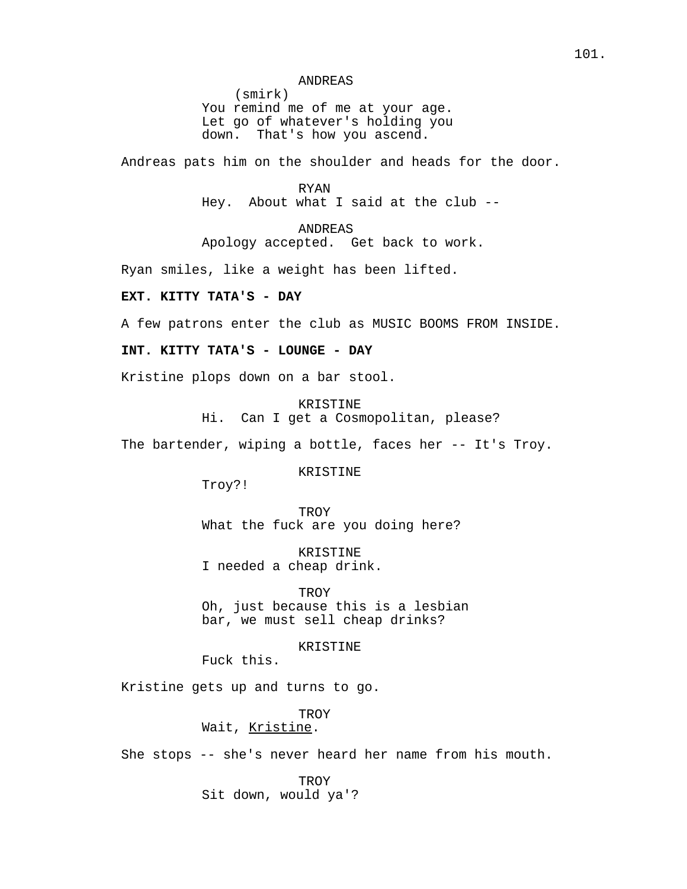#### ANDREAS

(smirk) You remind me of me at your age. Let go of whatever's holding you down. That's how you ascend.

Andreas pats him on the shoulder and heads for the door.

RYAN Hey. About what I said at the club --

ANDREAS Apology accepted. Get back to work.

Ryan smiles, like a weight has been lifted.

## **EXT. KITTY TATA'S - DAY**

A few patrons enter the club as MUSIC BOOMS FROM INSIDE.

## **INT. KITTY TATA'S - LOUNGE - DAY**

Kristine plops down on a bar stool.

KRISTINE

Hi. Can I get a Cosmopolitan, please?

The bartender, wiping a bottle, faces her -- It's Troy.

KRISTINE

Troy?!

**TROY** What the fuck are you doing here?

KRISTINE I needed a cheap drink.

TROY

Oh, just because this is a lesbian bar, we must sell cheap drinks?

KRISTINE

Fuck this.

Kristine gets up and turns to go.

**TROY** 

## Wait, Kristine.

She stops -- she's never heard her name from his mouth.

**TROY** Sit down, would ya'?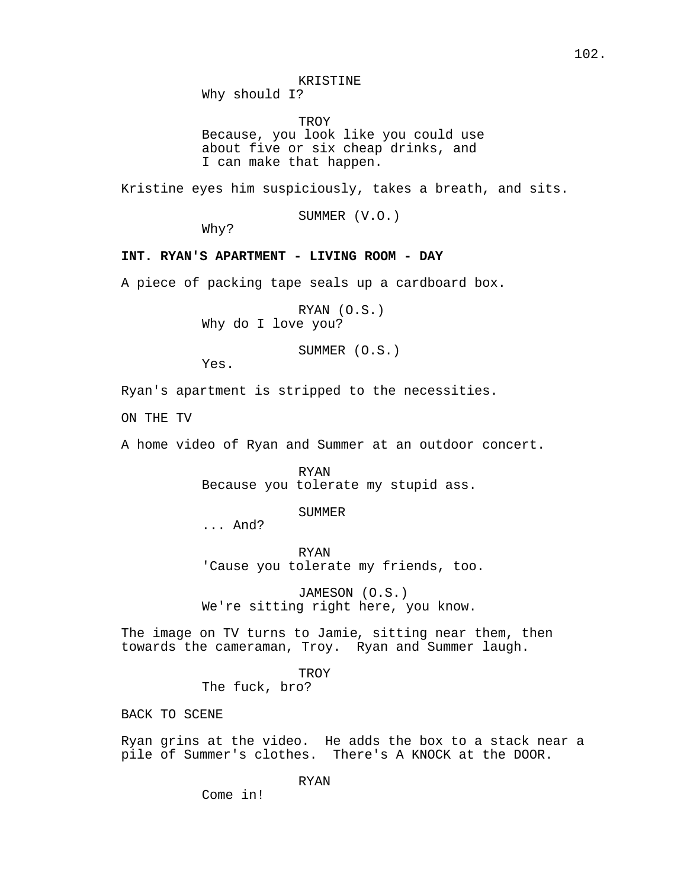Why should I?

**TROY** Because, you look like you could use about five or six cheap drinks, and I can make that happen.

Kristine eyes him suspiciously, takes a breath, and sits.

SUMMER (V.O.)

Why?

## **INT. RYAN'S APARTMENT - LIVING ROOM - DAY**

A piece of packing tape seals up a cardboard box.

RYAN (O.S.) Why do I love you?

SUMMER (O.S.)

Yes.

Ryan's apartment is stripped to the necessities.

ON THE TV

A home video of Ryan and Summer at an outdoor concert.

RYAN Because you tolerate my stupid ass.

SUMMER

... And?

RYAN 'Cause you tolerate my friends, too.

JAMESON (O.S.) We're sitting right here, you know.

The image on TV turns to Jamie, sitting near them, then towards the cameraman, Troy. Ryan and Summer laugh.

> **TROY** The fuck, bro?

BACK TO SCENE

Ryan grins at the video. He adds the box to a stack near a pile of Summer's clothes. There's A KNOCK at the DOOR.

RYAN

Come in!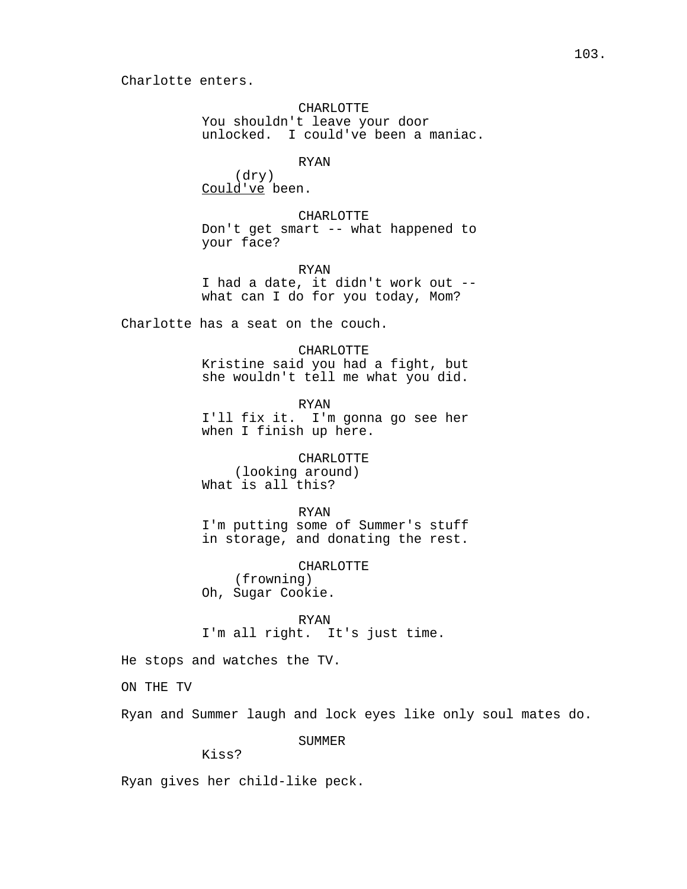CHARLOTTE

You shouldn't leave your door unlocked. I could've been a maniac.

RYAN

(dry) Could've been.

CHARLOTTE Don't get smart -- what happened to your face?

RYAN I had a date, it didn't work out - what can I do for you today, Mom?

Charlotte has a seat on the couch.

CHARLOTTE

Kristine said you had a fight, but she wouldn't tell me what you did.

RYAN

I'll fix it. I'm gonna go see her when I finish up here.

CHARLOTTE (looking around) What is all this?

RYAN

I'm putting some of Summer's stuff in storage, and donating the rest.

CHARLOTTE (frowning) Oh, Sugar Cookie.

RYAN I'm all right. It's just time.

He stops and watches the TV.

ON THE TV

Ryan and Summer laugh and lock eyes like only soul mates do.

SUMMER

Kiss?

Ryan gives her child-like peck.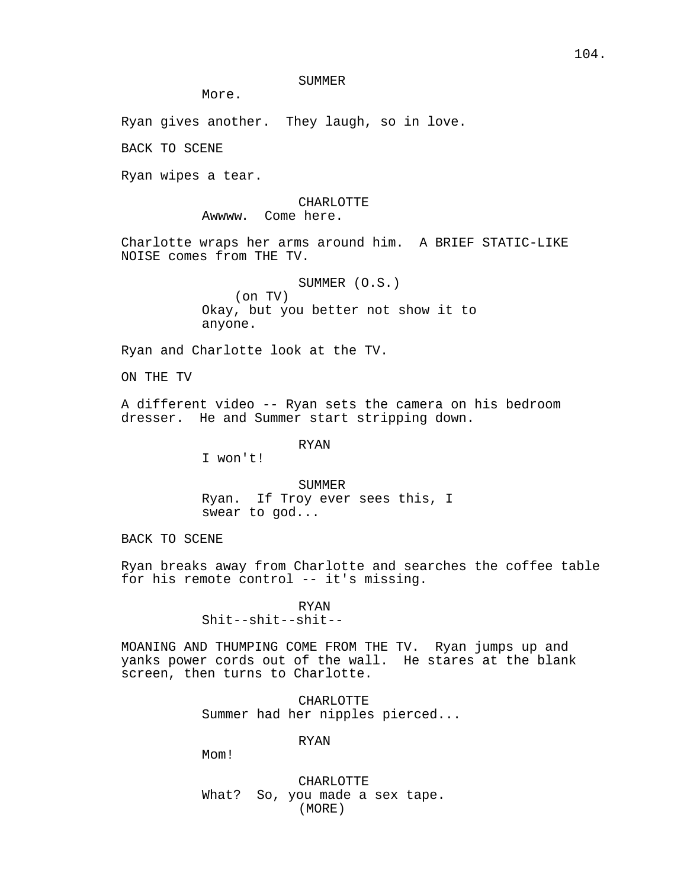## SUMMER

More.

Ryan gives another. They laugh, so in love.

BACK TO SCENE

Ryan wipes a tear.

# CHARLOTTE

Awwww. Come here.

Charlotte wraps her arms around him. A BRIEF STATIC-LIKE NOISE comes from THE TV.

> SUMMER (O.S.) (on TV) Okay, but you better not show it to anyone.

Ryan and Charlotte look at the TV.

ON THE TV

A different video -- Ryan sets the camera on his bedroom dresser. He and Summer start stripping down.

RYAN

I won't!

SUMMER Ryan. If Troy ever sees this, I swear to god...

BACK TO SCENE

Ryan breaks away from Charlotte and searches the coffee table for his remote control -- it's missing.

> RYAN Shit--shit--shit--

MOANING AND THUMPING COME FROM THE TV. Ryan jumps up and yanks power cords out of the wall. He stares at the blank screen, then turns to Charlotte.

> CHARLOTTE Summer had her nipples pierced...

> > RYAN

Mom!

CHARLOTTE What? So, you made a sex tape. (MORE)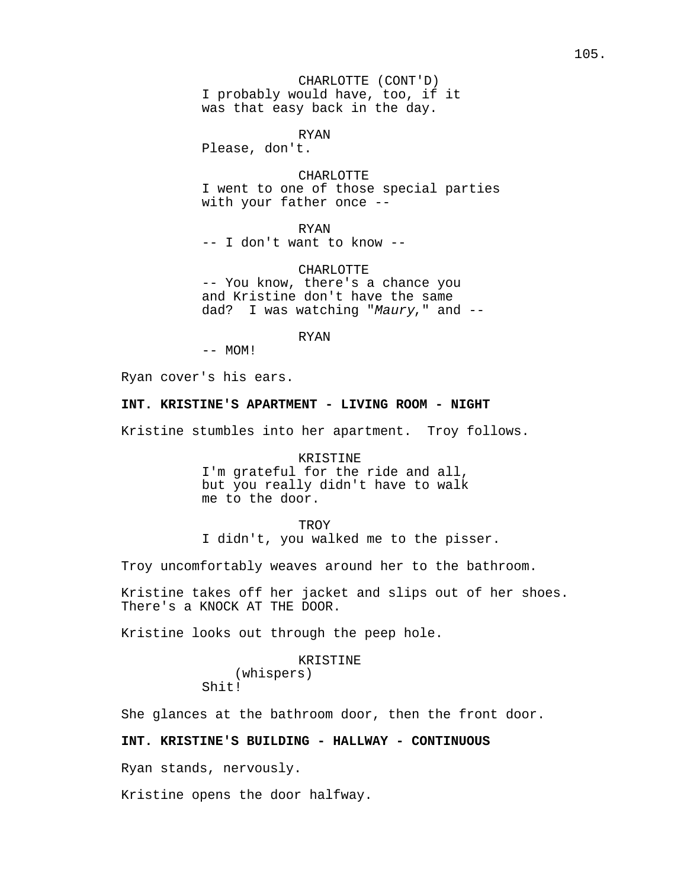CHARLOTTE (CONT'D) I probably would have, too, if it was that easy back in the day.

RYAN

Please, don't.

CHARLOTTE

I went to one of those special parties with your father once --

RYAN -- I don't want to know --

CHARLOTTE -- You know, there's a chance you and Kristine don't have the same dad? I was watching "Maury," and --

RYAN

 $--$  MOM!

Ryan cover's his ears.

#### **INT. KRISTINE'S APARTMENT - LIVING ROOM - NIGHT**

Kristine stumbles into her apartment. Troy follows.

KRISTINE

I'm grateful for the ride and all, but you really didn't have to walk me to the door.

**TROY** 

I didn't, you walked me to the pisser.

Troy uncomfortably weaves around her to the bathroom.

Kristine takes off her jacket and slips out of her shoes. There's a KNOCK AT THE DOOR.

Kristine looks out through the peep hole.

#### KRISTINE

(whispers) Shit!

She glances at the bathroom door, then the front door.

## **INT. KRISTINE'S BUILDING - HALLWAY - CONTINUOUS**

Ryan stands, nervously.

Kristine opens the door halfway.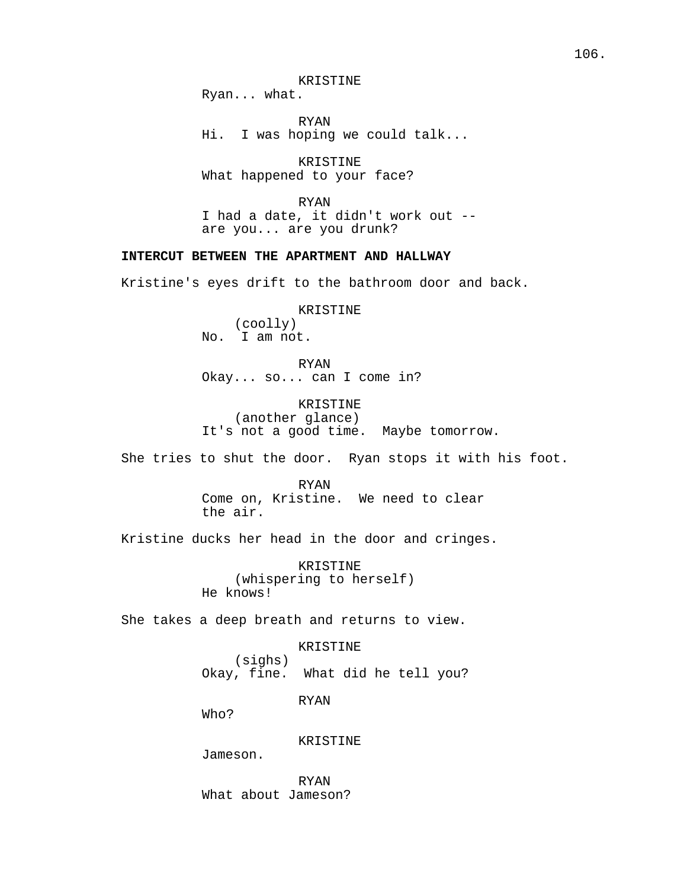Ryan... what.

RYAN Hi. I was hoping we could talk...

KRISTINE What happened to your face?

RYAN

I had a date, it didn't work out - are you... are you drunk?

## **INTERCUT BETWEEN THE APARTMENT AND HALLWAY**

Kristine's eyes drift to the bathroom door and back.

KRISTINE (coolly) No. I am not.

RYAN Okay... so... can I come in?

KRISTINE (another glance) It's not a good time. Maybe tomorrow.

She tries to shut the door. Ryan stops it with his foot.

RYAN Come on, Kristine. We need to clear the air.

Kristine ducks her head in the door and cringes.

KRISTINE (whispering to herself) He knows!

She takes a deep breath and returns to view.

## KRISTINE

(sighs) Okay, fine. What did he tell you?

RYAN

Who?

KRISTINE

Jameson.

RYAN What about Jameson?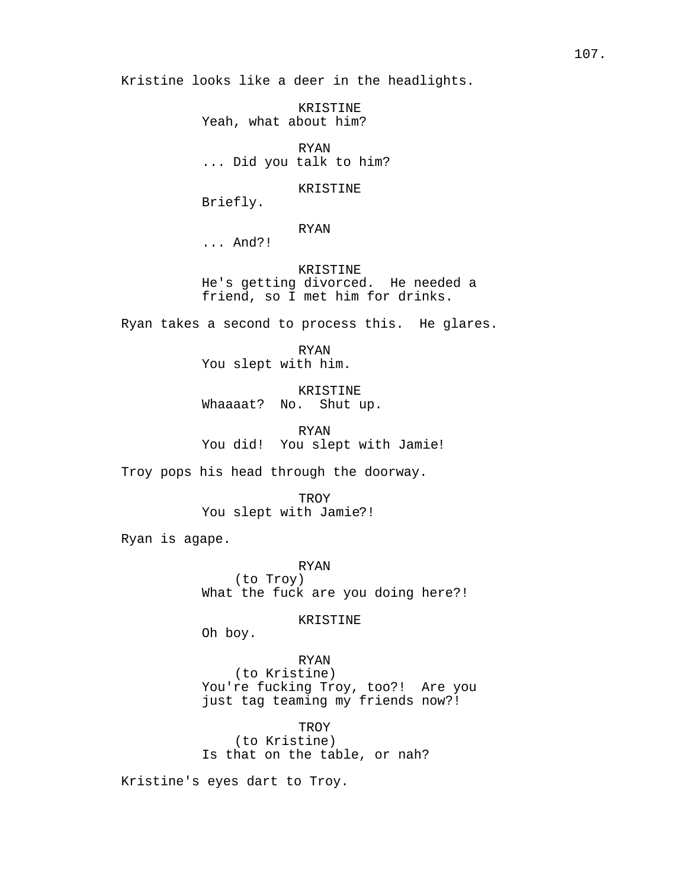Kristine looks like a deer in the headlights.

KRISTINE Yeah, what about him?

RYAN ... Did you talk to him?

KRISTINE

Briefly.

RYAN

... And?!

KRISTINE He's getting divorced. He needed a friend, so I met him for drinks.

Ryan takes a second to process this. He glares.

RYAN You slept with him.

KRISTINE Whaaaat? No. Shut up.

RYAN You did! You slept with Jamie!

Troy pops his head through the doorway.

**TROY** You slept with Jamie?!

Ryan is agape.

RYAN (to Troy) What the fuck are you doing here?!

KRISTINE

Oh boy.

RYAN (to Kristine) You're fucking Troy, too?! Are you just tag teaming my friends now?!

TROY (to Kristine) Is that on the table, or nah?

Kristine's eyes dart to Troy.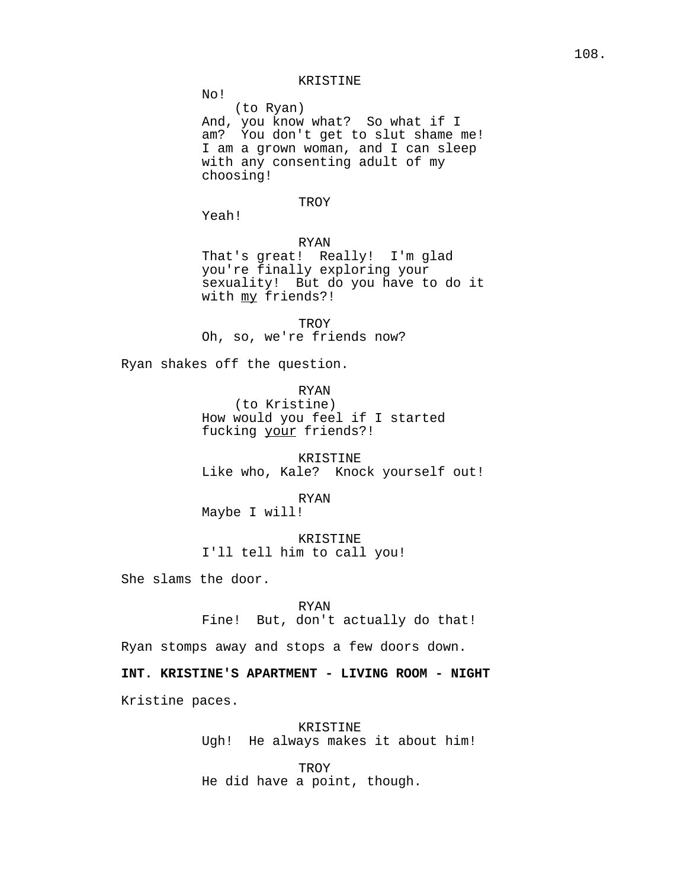### KRISTINE

(to Ryan) And, you know what? So what if I am? You don't get to slut shame me! I am a grown woman, and I can sleep with any consenting adult of my choosing!

# **TROY**

Yeah!

No!

RYAN

That's great! Really! I'm glad you're finally exploring your sexuality! But do you have to do it with my friends?!

**TROY** Oh, so, we're friends now?

Ryan shakes off the question.

RYAN

(to Kristine) How would you feel if I started fucking your friends?!

KRISTINE Like who, Kale? Knock yourself out!

RYAN Maybe I will!

KRISTINE I'll tell him to call you!

She slams the door.

RYAN

Fine! But, don't actually do that!

Ryan stomps away and stops a few doors down.

**INT. KRISTINE'S APARTMENT - LIVING ROOM - NIGHT** Kristine paces.

> KRISTINE Ugh! He always makes it about him!

**TROY** He did have a point, though.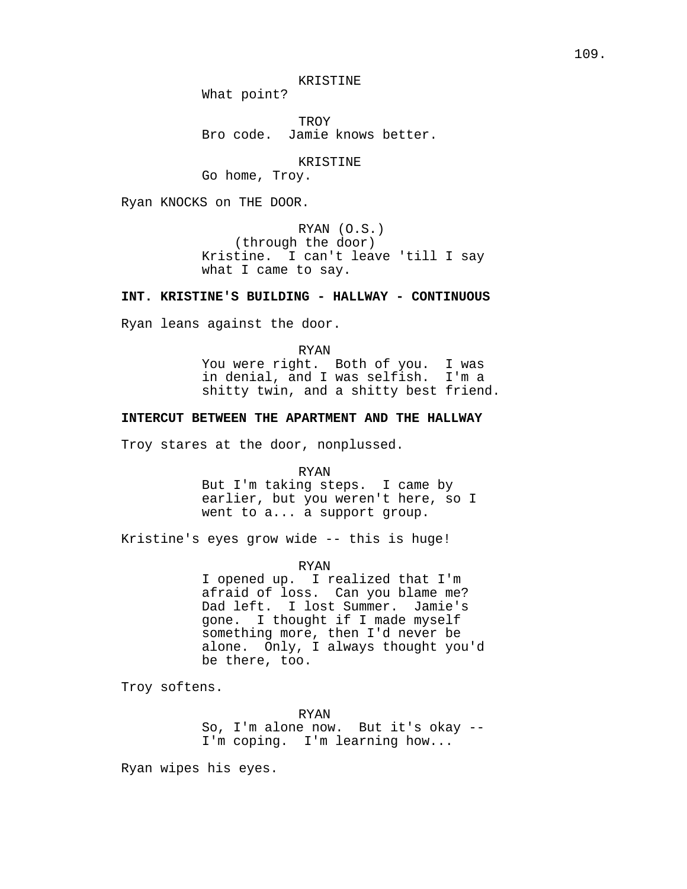KRISTINE

What point?

TROY Bro code. Jamie knows better.

KRISTINE

Go home, Troy.

Ryan KNOCKS on THE DOOR.

RYAN (O.S.) (through the door) Kristine. I can't leave 'till I say what I came to say.

# **INT. KRISTINE'S BUILDING - HALLWAY - CONTINUOUS**

Ryan leans against the door.

RYAN You were right. Both of you. I was in denial, and I was selfish. I'm a shitty twin, and a shitty best friend.

# **INTERCUT BETWEEN THE APARTMENT AND THE HALLWAY**

Troy stares at the door, nonplussed.

RYAN

But I'm taking steps. I came by earlier, but you weren't here, so I went to a... a support group.

Kristine's eyes grow wide -- this is huge!

RYAN

I opened up. I realized that I'm afraid of loss. Can you blame me? Dad left. I lost Summer. Jamie's gone. I thought if I made myself something more, then I'd never be alone. Only, I always thought you'd be there, too.

Troy softens.

RYAN So, I'm alone now. But it's okay -- I'm coping. I'm learning how...

Ryan wipes his eyes.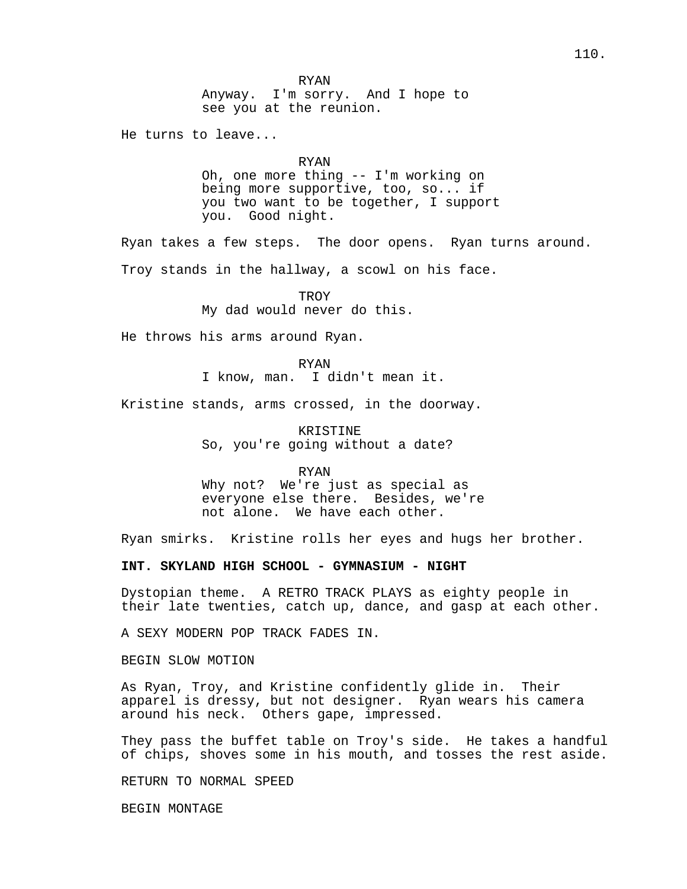He turns to leave...

RYAN

Oh, one more thing -- I'm working on being more supportive, too, so... if you two want to be together, I support you. Good night.

Ryan takes a few steps. The door opens. Ryan turns around. Troy stands in the hallway, a scowl on his face.

> **TROY** My dad would never do this.

He throws his arms around Ryan.

RYAN

I know, man. I didn't mean it.

Kristine stands, arms crossed, in the doorway.

KRISTINE So, you're going without a date?

RYAN Why not? We're just as special as everyone else there. Besides, we're not alone. We have each other.

Ryan smirks. Kristine rolls her eyes and hugs her brother.

**INT. SKYLAND HIGH SCHOOL - GYMNASIUM - NIGHT**

Dystopian theme. A RETRO TRACK PLAYS as eighty people in their late twenties, catch up, dance, and gasp at each other.

A SEXY MODERN POP TRACK FADES IN.

BEGIN SLOW MOTION

As Ryan, Troy, and Kristine confidently glide in. Their apparel is dressy, but not designer. Ryan wears his camera around his neck. Others gape, impressed.

They pass the buffet table on Troy's side. He takes a handful of chips, shoves some in his mouth, and tosses the rest aside.

RETURN TO NORMAL SPEED

BEGIN MONTAGE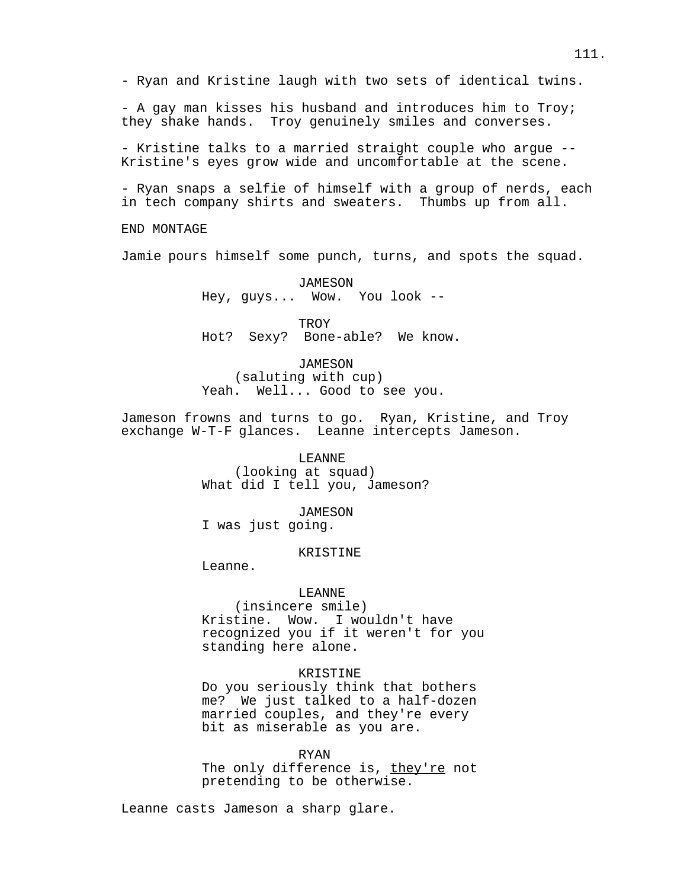- A gay man kisses his husband and introduces him to Troy; they shake hands. Troy genuinely smiles and converses.

- Kristine talks to a married straight couple who argue -- Kristine's eyes grow wide and uncomfortable at the scene.

- Ryan snaps a selfie of himself with a group of nerds, each in tech company shirts and sweaters. Thumbs up from all.

END MONTAGE

Jamie pours himself some punch, turns, and spots the squad.

JAMESON Hey, guys... Wow. You look --

**TROY** Hot? Sexy? Bone-able? We know.

*JAMESON* 

(saluting with cup) Yeah. Well... Good to see you.

Jameson frowns and turns to go. Ryan, Kristine, and Troy exchange W-T-F glances. Leanne intercepts Jameson.

> LEANNE (looking at squad) What did I tell you, Jameson?

> > JAMESON

I was just going.

# KRISTINE

Leanne.

# LEANNE

(insincere smile) Kristine. Wow. I wouldn't have recognized you if it weren't for you standing here alone.

# KRISTINE

Do you seriously think that bothers me? We just talked to a half-dozen married couples, and they're every bit as miserable as you are.

RYAN

The only difference is, they're not pretending to be otherwise.

Leanne casts Jameson a sharp glare.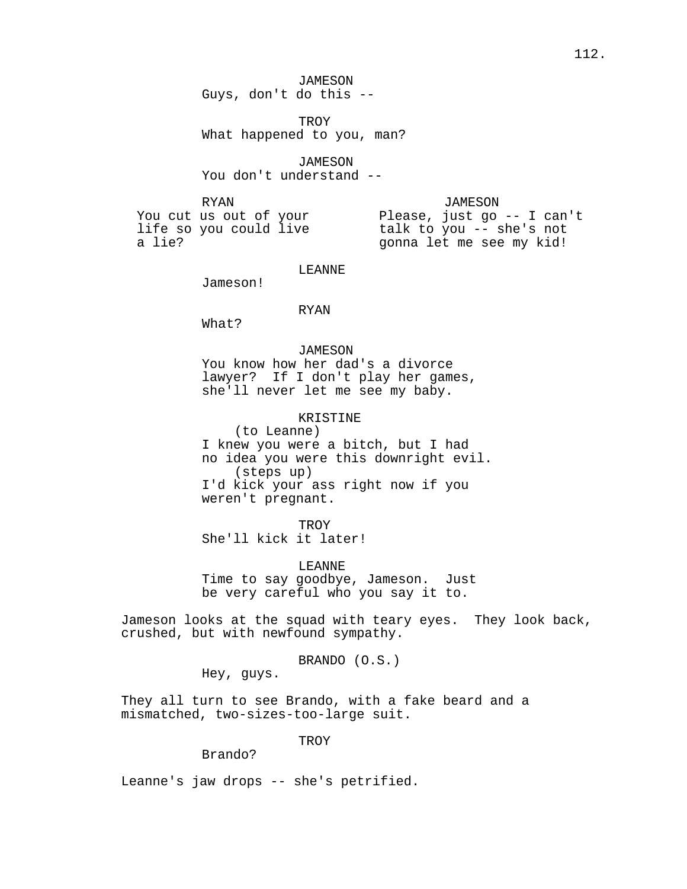JAMESON Guys, don't do this --

TROY What happened to you, man?

JAMESON You don't understand --

RYAN

JAMESON

You cut us out of your life so you could live a lie?

Please, just go -- I can't talk to you -- she's not gonna let me see my kid!

LEANNE

Jameson!

#### RYAN

What?

*JAMESON* You know how her dad's a divorce lawyer? If I don't play her games, she'll never let me see my baby.

KRISTINE

(to Leanne) I knew you were a bitch, but I had no idea you were this downright evil. (steps up) I'd kick your ass right now if you weren't pregnant.

**TROY** She'll kick it later!

LEANNE Time to say goodbye, Jameson. Just be very careful who you say it to.

Jameson looks at the squad with teary eyes. They look back, crushed, but with newfound sympathy.

BRANDO (O.S.)

Hey, guys.

They all turn to see Brando, with a fake beard and a mismatched, two-sizes-too-large suit.

**TROY** 

## Brando?

Leanne's jaw drops -- she's petrified.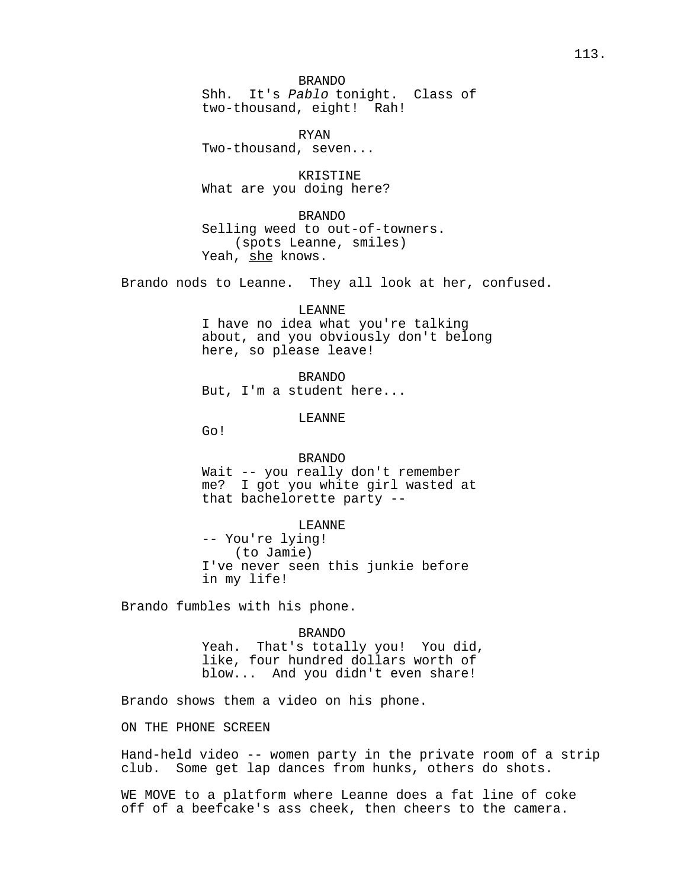BRANDO Shh. It's Pablo tonight. Class of two-thousand, eight! Rah!

RYAN Two-thousand, seven...

KRISTINE What are you doing here?

BRANDO Selling weed to out-of-towners. (spots Leanne, smiles) Yeah, she knows.

Brando nods to Leanne. They all look at her, confused.

LEANNE I have no idea what you're talking about, and you obviously don't belong here, so please leave!

BRANDO But, I'm a student here...

LEANNE

Go!

BRANDO Wait -- you really don't remember me? I got you white girl wasted at that bachelorette party --

LEANNE -- You're lying! (to Jamie) I've never seen this junkie before in my life!

Brando fumbles with his phone.

BRANDO Yeah. That's totally you! You did, like, four hundred dollars worth of blow... And you didn't even share!

Brando shows them a video on his phone.

ON THE PHONE SCREEN

Hand-held video -- women party in the private room of a strip club. Some get lap dances from hunks, others do shots.

WE MOVE to a platform where Leanne does a fat line of coke off of a beefcake's ass cheek, then cheers to the camera.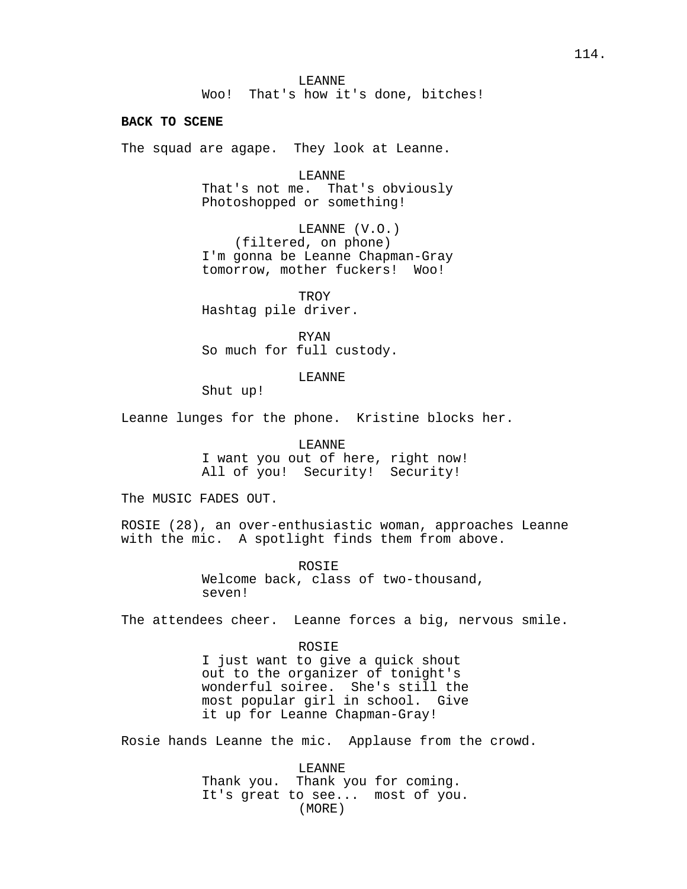LEANNE Woo! That's how it's done, bitches!

### **BACK TO SCENE**

The squad are agape. They look at Leanne.

LEANNE That's not me. That's obviously Photoshopped or something!

LEANNE (V.O.) (filtered, on phone) I'm gonna be Leanne Chapman-Gray tomorrow, mother fuckers! Woo!

**TROY** Hashtag pile driver.

RYAN So much for full custody.

LEANNE

Shut up!

Leanne lunges for the phone. Kristine blocks her.

LEANNE

I want you out of here, right now! All of you! Security! Security!

The MUSIC FADES OUT.

ROSIE (28), an over-enthusiastic woman, approaches Leanne with the mic. A spotlight finds them from above.

> ROSIE Welcome back, class of two-thousand, seven!

The attendees cheer. Leanne forces a big, nervous smile.

### ROSIE

I just want to give a quick shout out to the organizer of tonight's wonderful soiree. She's still the most popular girl in school. Give it up for Leanne Chapman-Gray!

Rosie hands Leanne the mic. Applause from the crowd.

LEANNE Thank you. Thank you for coming. It's great to see... most of you. (MORE)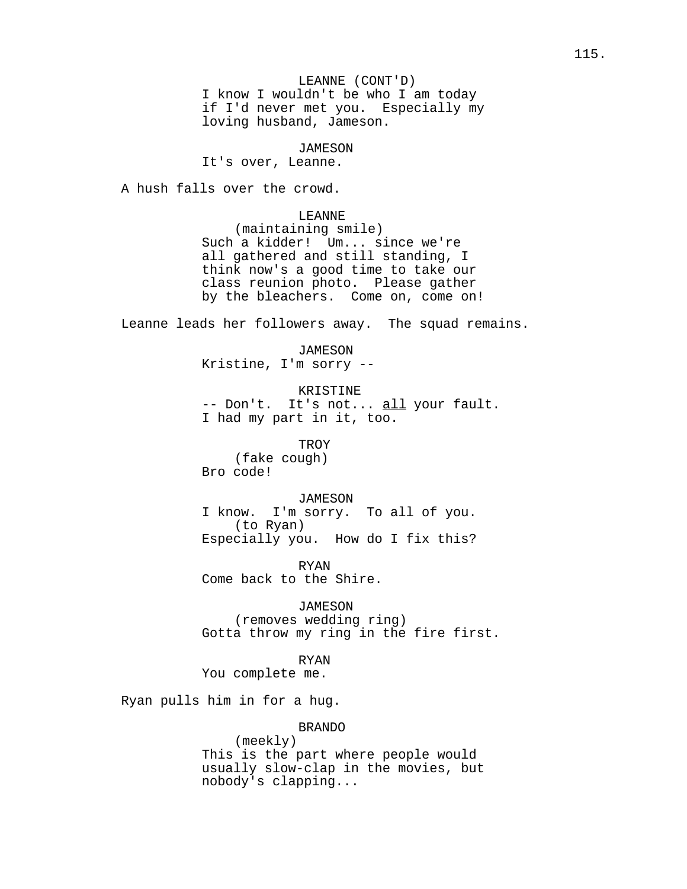# *JAMESON*

It's over, Leanne.

A hush falls over the crowd.

#### LEANNE

(maintaining smile) Such a kidder! Um... since we're all gathered and still standing, I think now's a good time to take our class reunion photo. Please gather by the bleachers. Come on, come on!

Leanne leads her followers away. The squad remains.

JAMESON Kristine, I'm sorry --

#### KRISTINE

-- Don't. It's not... all your fault. I had my part in it, too.

**TROY** 

(fake cough) Bro code!

JAMESON

I know. I'm sorry. To all of you. (to Ryan) Especially you. How do I fix this?

RYAN Come back to the Shire.

JAMESON (removes wedding ring) Gotta throw my ring in the fire first.

### RYAN

You complete me.

Ryan pulls him in for a hug.

# BRANDO

(meekly) This is the part where people would usually slow-clap in the movies, but nobody's clapping...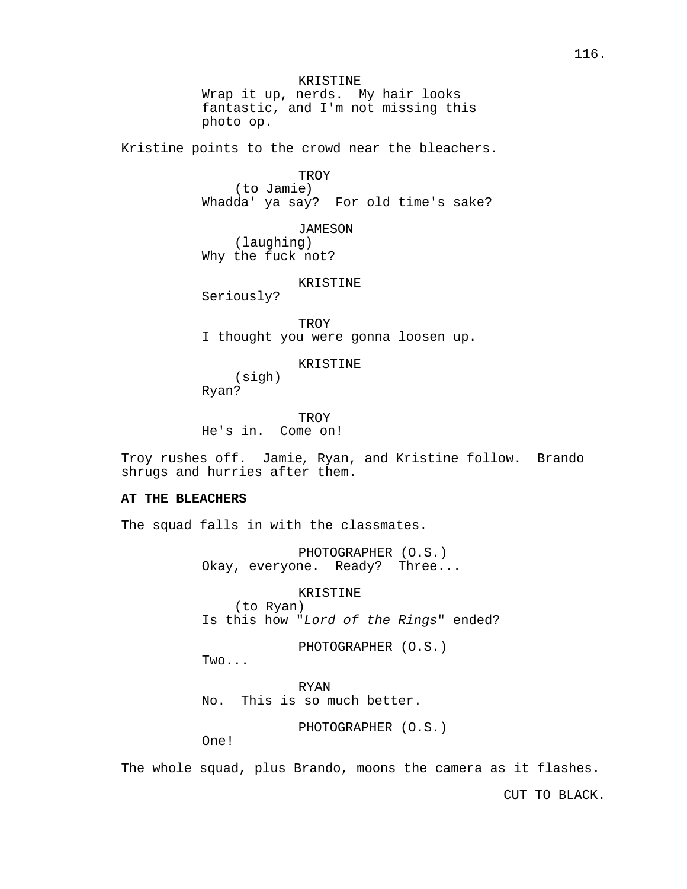KRISTINE Wrap it up, nerds. My hair looks fantastic, and I'm not missing this photo op.

Kristine points to the crowd near the bleachers.

### **TROY**

(to Jamie) Whadda' ya say? For old time's sake?

JAMESON (laughing) Why the fuck not?

### KRISTINE

Seriously?

**TROY** I thought you were gonna loosen up.

### KRISTINE

(sigh) Ryan?

**TROY** He's in. Come on!

Troy rushes off. Jamie, Ryan, and Kristine follow. Brando shrugs and hurries after them.

# **AT THE BLEACHERS**

The squad falls in with the classmates.

PHOTOGRAPHER (O.S.) Okay, everyone. Ready? Three...

# KRISTINE

(to Ryan) Is this how "Lord of the Rings" ended?

PHOTOGRAPHER (O.S.)

Two...

RYAN No. This is so much better.

PHOTOGRAPHER (O.S.)

One!

The whole squad, plus Brando, moons the camera as it flashes.

CUT TO BLACK.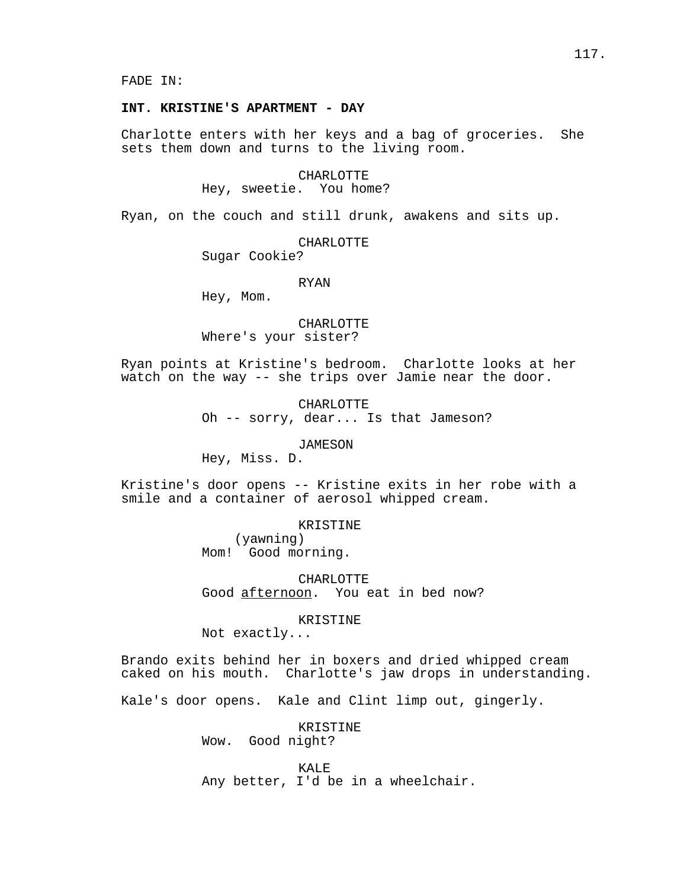FADE IN:

## **INT. KRISTINE'S APARTMENT - DAY**

Charlotte enters with her keys and a bag of groceries. She sets them down and turns to the living room.

#### CHARLOTTE

### Hey, sweetie. You home?

Ryan, on the couch and still drunk, awakens and sits up.

#### CHARLOTTE

Sugar Cookie?

#### RYAN

Hey, Mom.

## CHARLOTTE

Where's your sister?

Ryan points at Kristine's bedroom. Charlotte looks at her watch on the way -- she trips over Jamie near the door.

CHARLOTTE

Oh -- sorry, dear... Is that Jameson?

## JAMESON

Hey, Miss. D.

Kristine's door opens -- Kristine exits in her robe with a smile and a container of aerosol whipped cream.

### KRISTINE

(yawning) Mom! Good morning.

CHARLOTTE Good afternoon. You eat in bed now?

# KRISTINE

Not exactly...

Brando exits behind her in boxers and dried whipped cream caked on his mouth. Charlotte's jaw drops in understanding.

Kale's door opens. Kale and Clint limp out, gingerly.

KRISTINE Wow. Good night?

KALE<sup>T</sup> Any better, I'd be in a wheelchair.